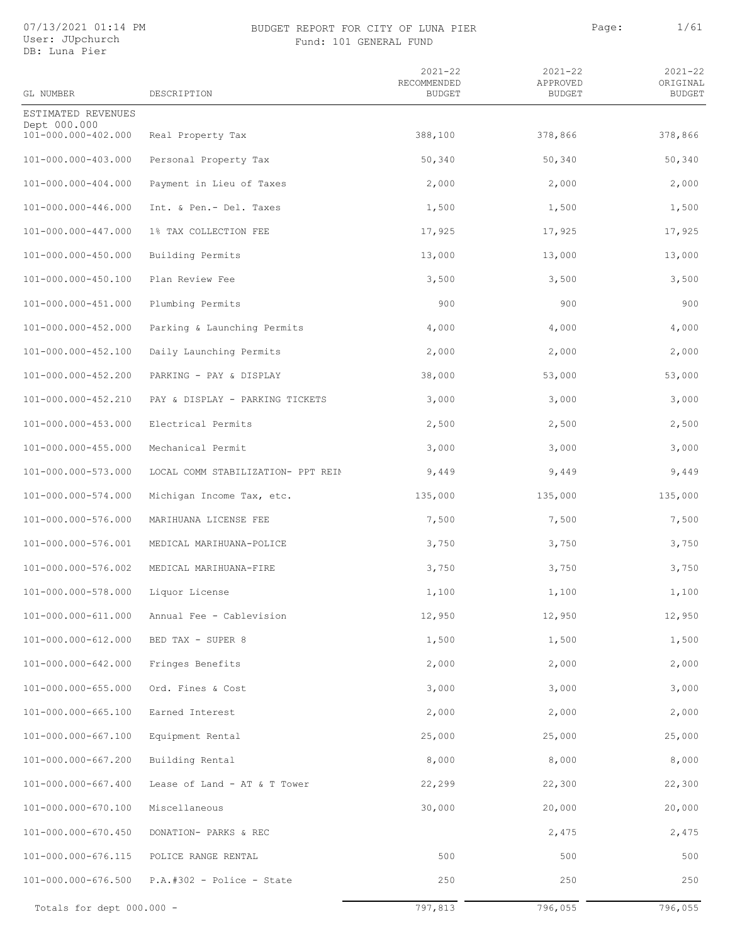#### 07/13/2021 01:14 PM User: JUpchurch DB: Luna Pier

### BUDGET REPORT FOR CITY OF LUNA PIER PAGE: Page: 1/61 Fund: 101 GENERAL FUND

| GL NUMBER                           | DESCRIPTION                        | $2021 - 22$<br>RECOMMENDED<br><b>BUDGET</b> | $2021 - 22$<br>APPROVED<br><b>BUDGET</b> | $2021 - 22$<br>ORIGINAL<br><b>BUDGET</b> |
|-------------------------------------|------------------------------------|---------------------------------------------|------------------------------------------|------------------------------------------|
| ESTIMATED REVENUES                  |                                    |                                             |                                          |                                          |
| Dept 000.000<br>101-000.000-402.000 | Real Property Tax                  | 388,100                                     | 378,866                                  | 378,866                                  |
| 101-000.000-403.000                 | Personal Property Tax              | 50,340                                      | 50,340                                   | 50,340                                   |
| 101-000.000-404.000                 | Payment in Lieu of Taxes           | 2,000                                       | 2,000                                    | 2,000                                    |
| 101-000.000-446.000                 | Int. & Pen.- Del. Taxes            | 1,500                                       | 1,500                                    | 1,500                                    |
| 101-000.000-447.000                 | 1% TAX COLLECTION FEE              | 17,925                                      | 17,925                                   | 17,925                                   |
| 101-000.000-450.000                 | Building Permits                   | 13,000                                      | 13,000                                   | 13,000                                   |
| 101-000.000-450.100                 | Plan Review Fee                    | 3,500                                       | 3,500                                    | 3,500                                    |
| 101-000.000-451.000                 | Plumbing Permits                   | 900                                         | 900                                      | 900                                      |
| 101-000.000-452.000                 | Parking & Launching Permits        | 4,000                                       | 4,000                                    | 4,000                                    |
| 101-000.000-452.100                 | Daily Launching Permits            | 2,000                                       | 2,000                                    | 2,000                                    |
| 101-000.000-452.200                 | PARKING - PAY & DISPLAY            | 38,000                                      | 53,000                                   | 53,000                                   |
| 101-000.000-452.210                 | PAY & DISPLAY - PARKING TICKETS    | 3,000                                       | 3,000                                    | 3,000                                    |
| 101-000.000-453.000                 | Electrical Permits                 | 2,500                                       | 2,500                                    | 2,500                                    |
| 101-000.000-455.000                 | Mechanical Permit                  | 3,000                                       | 3,000                                    | 3,000                                    |
| 101-000.000-573.000                 | LOCAL COMM STABILIZATION- PPT REIN | 9,449                                       | 9,449                                    | 9,449                                    |
| 101-000.000-574.000                 | Michigan Income Tax, etc.          | 135,000                                     | 135,000                                  | 135,000                                  |
| 101-000.000-576.000                 | MARIHUANA LICENSE FEE              | 7,500                                       | 7,500                                    | 7,500                                    |
| 101-000.000-576.001                 | MEDICAL MARIHUANA-POLICE           | 3,750                                       | 3,750                                    | 3,750                                    |
| 101-000.000-576.002                 | MEDICAL MARIHUANA-FIRE             | 3,750                                       | 3,750                                    | 3,750                                    |
| 101-000.000-578.000                 | Liquor License                     | 1,100                                       | 1,100                                    | 1,100                                    |
| 101-000.000-611.000                 | Annual Fee - Cablevision           | 12,950                                      | 12,950                                   | 12,950                                   |
| 101-000.000-612.000                 | BED TAX - SUPER 8                  | 1,500                                       | 1,500                                    | 1,500                                    |
| 101-000.000-642.000                 | Fringes Benefits                   | 2,000                                       | 2,000                                    | 2,000                                    |
| 101-000.000-655.000                 | Ord. Fines & Cost                  | 3,000                                       | 3,000                                    | 3,000                                    |
| 101-000.000-665.100                 | Earned Interest                    | 2,000                                       | 2,000                                    | 2,000                                    |
| 101-000.000-667.100                 | Equipment Rental                   | 25,000                                      | 25,000                                   | 25,000                                   |
| 101-000.000-667.200                 | Building Rental                    | 8,000                                       | 8,000                                    | 8,000                                    |
| 101-000.000-667.400                 | Lease of Land - AT & T Tower       | 22,299                                      | 22,300                                   | 22,300                                   |
| 101-000.000-670.100                 | Miscellaneous                      | 30,000                                      | 20,000                                   | 20,000                                   |
| 101-000.000-670.450                 | DONATION- PARKS & REC              |                                             | 2,475                                    | 2,475                                    |
| 101-000.000-676.115                 | POLICE RANGE RENTAL                | 500                                         | 500                                      | 500                                      |
| 101-000.000-676.500                 | $P.A.+302 - Police - State$        | 250                                         | 250                                      | 250                                      |
| Totals for dept 000.000 -           |                                    | 797,813                                     | 796,055                                  | 796,055                                  |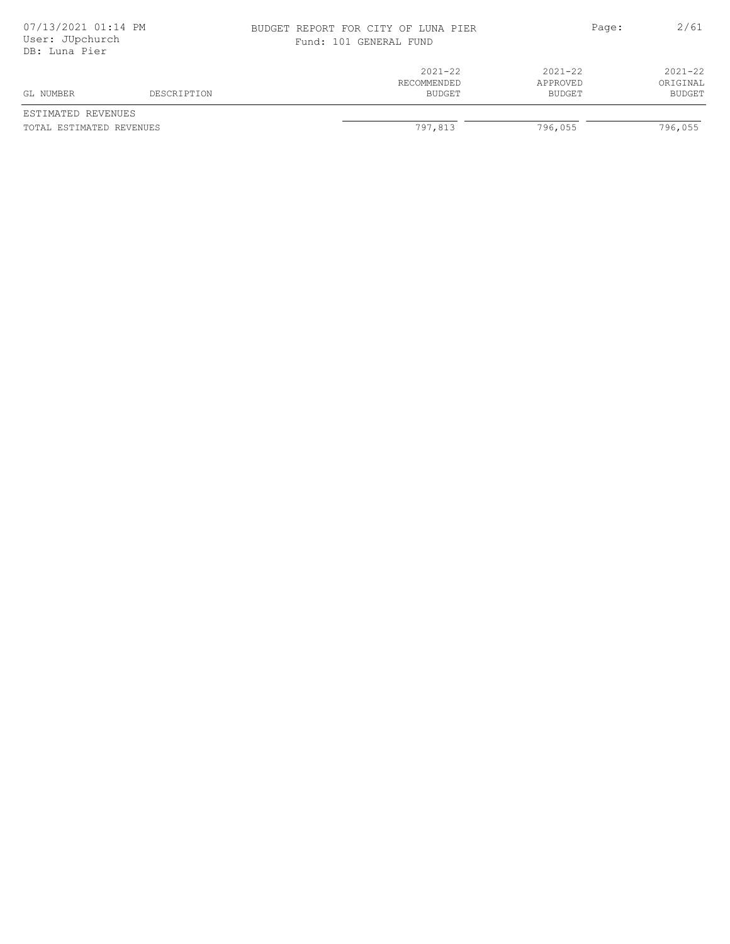| 07/13/2021 01:14 PM<br>User: JUpchurch<br>DB: Luna Pier |             | BUDGET REPORT FOR CITY OF LUNA PIER<br>Fund: 101 GENERAL FUND |                                   | 2/61<br>Page:                     |
|---------------------------------------------------------|-------------|---------------------------------------------------------------|-----------------------------------|-----------------------------------|
| GL NUMBER                                               | DESCRIPTION | $2021 - 22$<br>RECOMMENDED<br>BUDGET                          | $2021 - 22$<br>APPROVED<br>BUDGET | $2021 - 22$<br>ORIGINAL<br>BUDGET |

ESTIMATED REVENUES TOTAL ESTIMATED REVENUES **1999** TOTAL ESTIMATED REVENUES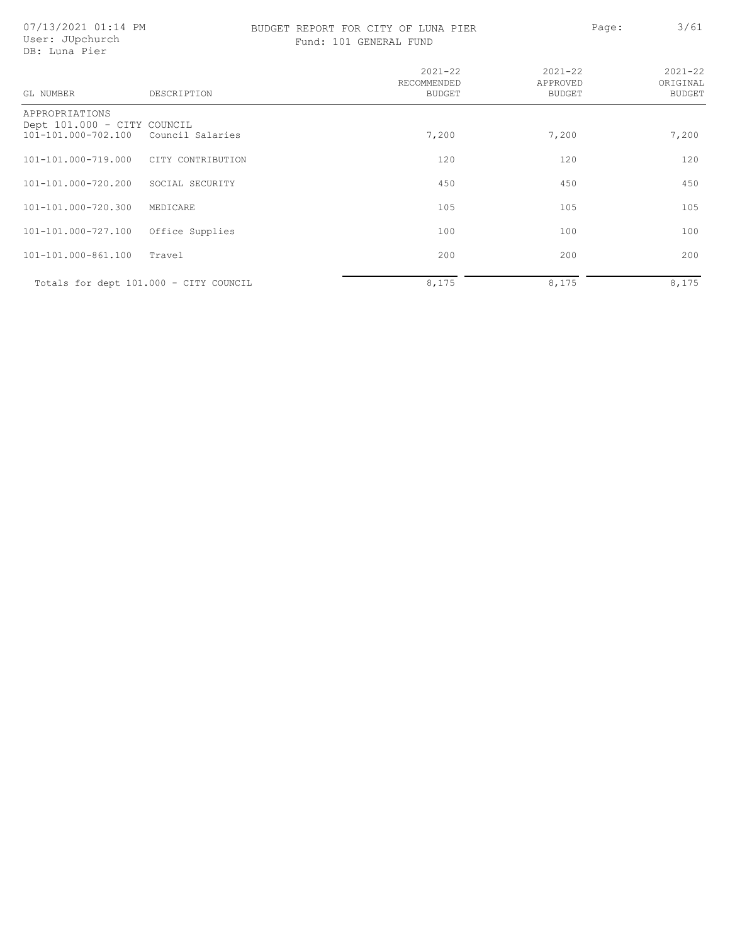07/13/2021 01:14 PM User: JUpchurch DB: Luna Pier

# BUDGET REPORT FOR CITY OF LUNA PIER PAGE: Page: 3/61

|  |  |  | Fund: 101 GENERAL FUND |  |  |
|--|--|--|------------------------|--|--|
|--|--|--|------------------------|--|--|

| GL NUMBER                                                            | DESCRIPTION       | $2021 - 22$<br>RECOMMENDED<br><b>BUDGET</b> | $2021 - 22$<br>APPROVED<br><b>BUDGET</b> | $2021 - 22$<br>ORIGINAL<br><b>BUDGET</b> |
|----------------------------------------------------------------------|-------------------|---------------------------------------------|------------------------------------------|------------------------------------------|
| APPROPRIATIONS<br>Dept 101.000 - CITY COUNCIL<br>101-101.000-702.100 | Council Salaries  | 7,200                                       | 7,200                                    | 7,200                                    |
| 101-101.000-719.000                                                  | CITY CONTRIBUTION | 120                                         | 120                                      | 120                                      |
| 101-101.000-720.200                                                  | SOCIAL SECURITY   | 450                                         | 450                                      | 450                                      |
| 101-101.000-720.300                                                  | MEDICARE          | 105                                         | 105                                      | 105                                      |
| 101-101.000-727.100                                                  | Office Supplies   | 100                                         | 100                                      | 100                                      |
| 101-101.000-861.100                                                  | Travel            | 200                                         | 200                                      | 200                                      |
| Totals for dept 101.000 - CITY COUNCIL                               |                   | 8,175                                       | 8,175                                    | 8,175                                    |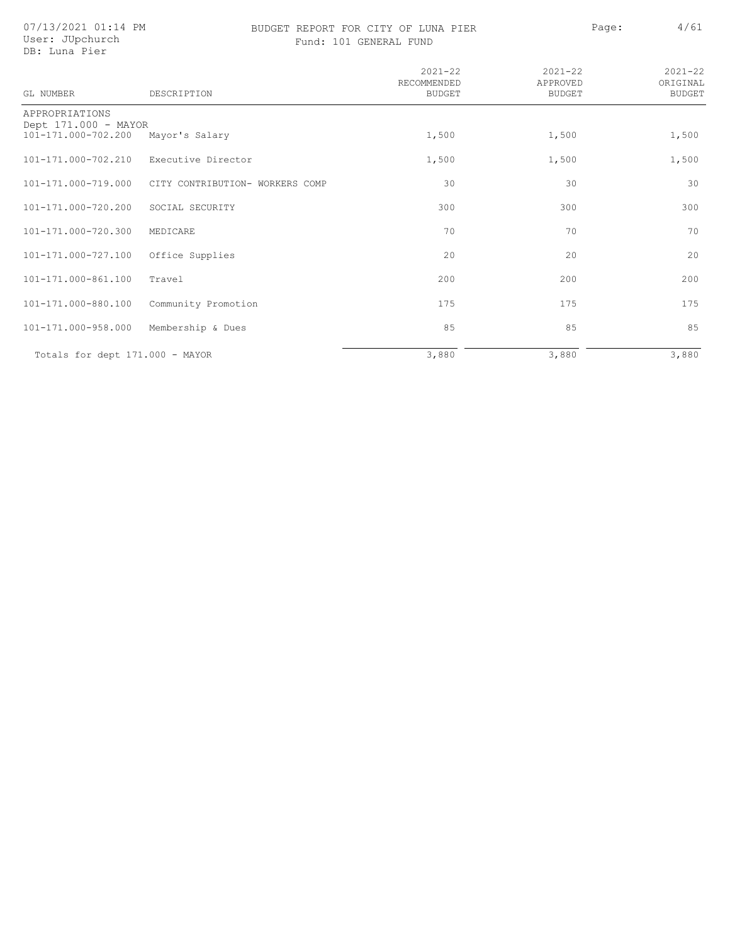07/13/2021 01:14 PM User: JUpchurch DB: Luna Pier

# BUDGET REPORT FOR CITY OF LUNA PIER PAGE: Page: 4/61

| GL NUMBER                                   | DESCRIPTION                     | $2021 - 22$<br>RECOMMENDED<br><b>BUDGET</b> | $2021 - 22$<br>APPROVED<br><b>BUDGET</b> | $2021 - 22$<br>ORIGINAL<br><b>BUDGET</b> |
|---------------------------------------------|---------------------------------|---------------------------------------------|------------------------------------------|------------------------------------------|
| APPROPRIATIONS                              |                                 |                                             |                                          |                                          |
| Dept 171.000 - MAYOR<br>101-171.000-702.200 | Mayor's Salary                  | 1,500                                       | 1,500                                    | 1,500                                    |
| 101-171.000-702.210                         | Executive Director              | 1,500                                       | 1,500                                    | 1,500                                    |
| 101-171.000-719.000                         | CITY CONTRIBUTION- WORKERS COMP | 30                                          | 30                                       | 30                                       |
| 101-171.000-720.200                         | SOCIAL SECURITY                 | 300                                         | 300                                      | 300                                      |
| 101-171.000-720.300                         | MEDICARE                        | 70                                          | 70                                       | 70                                       |
| 101-171.000-727.100                         | Office Supplies                 | 20                                          | 20                                       | 20                                       |
| 101-171.000-861.100                         | Travel                          | 200                                         | 200                                      | 200                                      |
| 101-171.000-880.100                         | Community Promotion             | 175                                         | 175                                      | 175                                      |
| 101-171.000-958.000                         | Membership & Dues               | 85                                          | 85                                       | 85                                       |
| Totals for dept 171.000 - MAYOR             |                                 | 3,880                                       | 3,880                                    | 3,880                                    |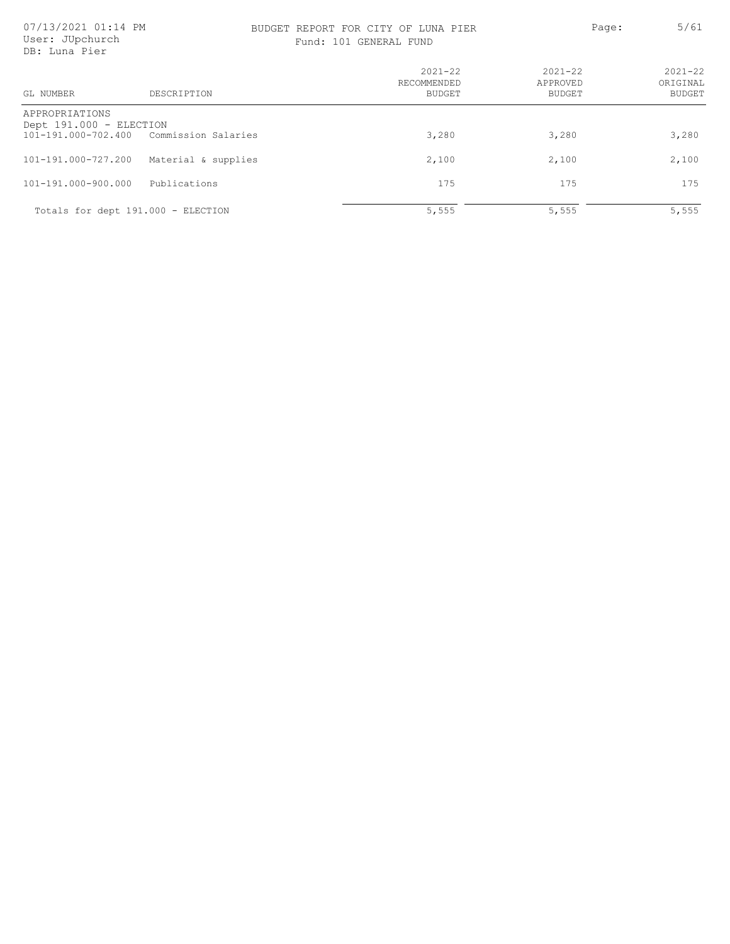### BUDGET REPORT FOR CITY OF LUNA PIER Page: 5/61 Fund: 101 GENERAL FUND

| GL NUMBER                                 | DESCRIPTION                             | $2021 - 22$<br>RECOMMENDED<br><b>BUDGET</b> | $2021 - 22$<br>APPROVED<br><b>BUDGET</b> | $2021 - 22$<br>ORIGINAL<br><b>BUDGET</b> |
|-------------------------------------------|-----------------------------------------|---------------------------------------------|------------------------------------------|------------------------------------------|
| APPROPRIATIONS<br>Dept 191.000 - ELECTION |                                         |                                             |                                          |                                          |
|                                           | 101-191.000-702.400 Commission Salaries | 3,280                                       | 3,280                                    | 3,280                                    |
| 101-191.000-727.200                       | Material & supplies                     | 2,100                                       | 2,100                                    | 2,100                                    |
| 101-191.000-900.000                       | Publications                            | 175                                         | 175                                      | 175                                      |
|                                           | Totals for dept 191.000 - ELECTION      | 5,555                                       | 5,555                                    | 5,555                                    |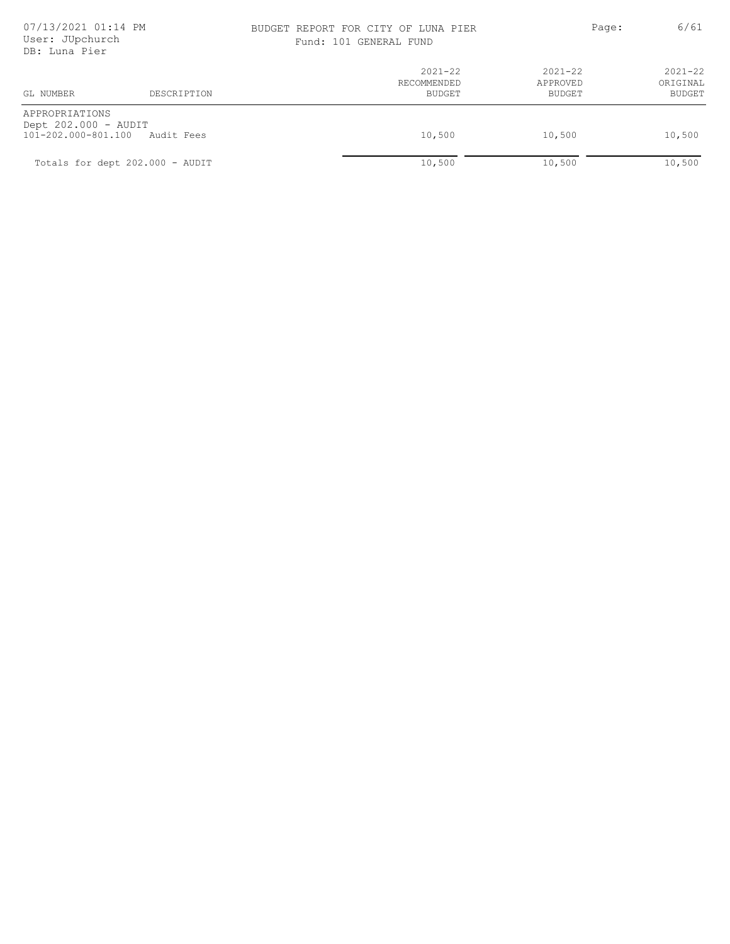### BUDGET REPORT FOR CITY OF LUNA PIER PAGE: Page: 6/61 Fund: 101 GENERAL FUND

| DD. AUHA FICT                                                 |                                 |                                      |                                   |                                          |
|---------------------------------------------------------------|---------------------------------|--------------------------------------|-----------------------------------|------------------------------------------|
| GL NUMBER                                                     | DESCRIPTION                     | $2021 - 22$<br>RECOMMENDED<br>BUDGET | $2021 - 22$<br>APPROVED<br>BUDGET | $2021 - 22$<br>ORIGINAL<br><b>BUDGET</b> |
| APPROPRIATIONS<br>Dept 202.000 - AUDIT<br>101-202.000-801.100 | Audit Fees                      | 10,500                               | 10,500                            | 10,500                                   |
|                                                               | Totals for dept 202.000 - AUDIT | 10,500                               | 10,500                            | 10,500                                   |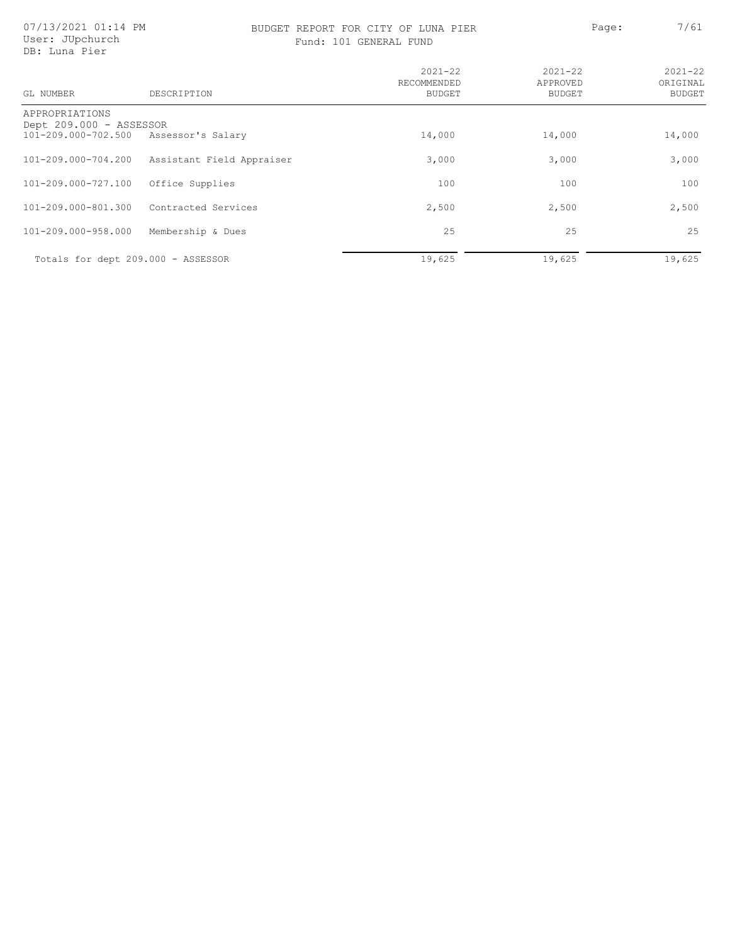# BUDGET REPORT FOR CITY OF LUNA PIER PAGE: Page: 7/61

Fund: 101 GENERAL FUND

| GL NUMBER                                                                          | DESCRIPTION               | $2021 - 22$<br>RECOMMENDED<br>BUDGET | $2021 - 22$<br>APPROVED<br>BUDGET | $2021 - 22$<br>ORIGINAL<br>BUDGET |
|------------------------------------------------------------------------------------|---------------------------|--------------------------------------|-----------------------------------|-----------------------------------|
| APPROPRIATIONS<br>Dept 209.000 - ASSESSOR<br>101-209.000-702.500 Assessor's Salary |                           | 14,000                               | 14,000                            | 14,000                            |
| 101-209.000-704.200                                                                | Assistant Field Appraiser | 3,000                                | 3,000                             | 3,000                             |
| 101-209.000-727.100                                                                | Office Supplies           | 100                                  | 100                               | 100                               |
| 101-209.000-801.300                                                                | Contracted Services       | 2,500                                | 2,500                             | 2,500                             |
| 101-209.000-958.000                                                                | Membership & Dues         | 25                                   | 25                                | 25                                |
| Totals for dept 209.000 - ASSESSOR                                                 |                           | 19,625                               | 19,625                            | 19,625                            |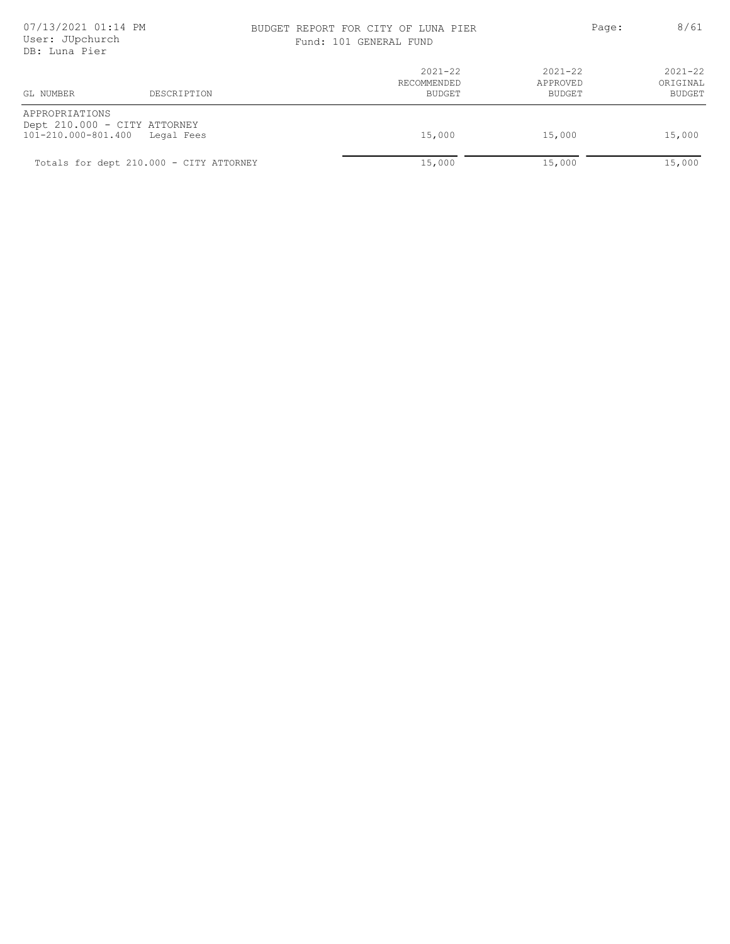# 07/13/2021 01:14 PM BUDGET REPORT FOR CITY OF LUNA PIER 8/61

| Fund: 101 GENERAL FUND |  |
|------------------------|--|
|------------------------|--|

| рр. пана гіст                         |                                            |                                      |                                   |                                   |
|---------------------------------------|--------------------------------------------|--------------------------------------|-----------------------------------|-----------------------------------|
| GL NUMBER                             | DESCRIPTION                                | $2021 - 22$<br>RECOMMENDED<br>BUDGET | $2021 - 22$<br>APPROVED<br>BUDGET | $2021 - 22$<br>ORIGINAL<br>BUDGET |
| APPROPRIATIONS<br>101-210.000-801.400 | Dept 210.000 - CITY ATTORNEY<br>Legal Fees | 15,000                               | 15,000                            | 15,000                            |
|                                       | Totals for dept 210.000 - CITY ATTORNEY    | 15,000                               | 15,000                            | 15,000                            |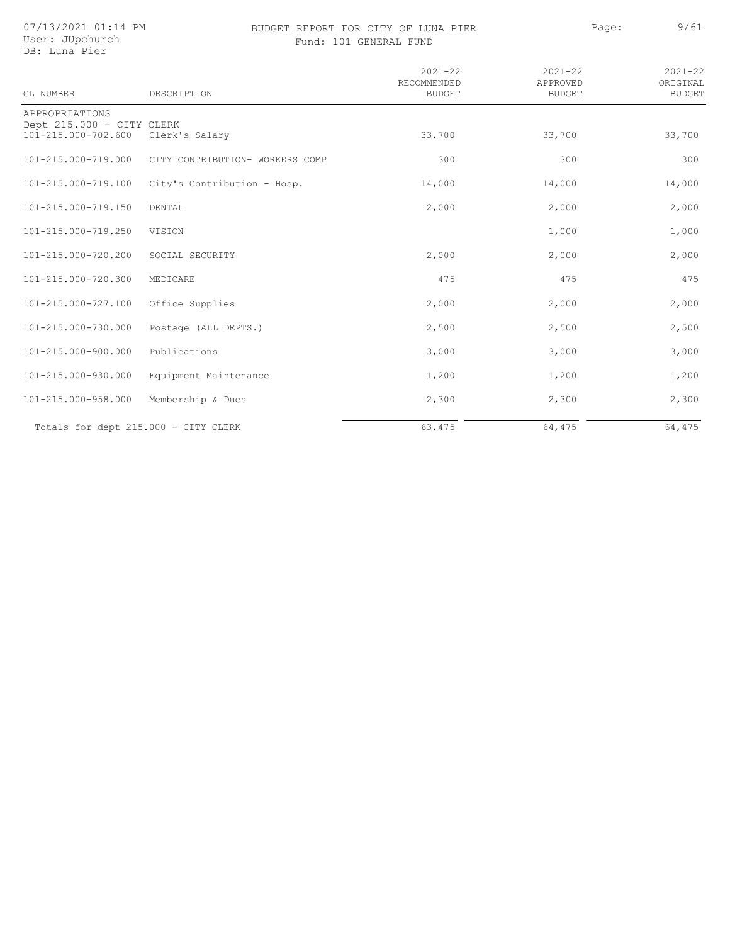07/13/2021 01:14 PM User: JUpchurch

### BUDGET REPORT FOR CITY OF LUNA PIER PAGE: Page: 9/61 Fund: 101 GENERAL FUND

| DB: Luna Pier                                                      |                                 |                                             |                                          |                                          |
|--------------------------------------------------------------------|---------------------------------|---------------------------------------------|------------------------------------------|------------------------------------------|
| <b>GL NUMBER</b>                                                   | DESCRIPTION                     | $2021 - 22$<br>RECOMMENDED<br><b>BUDGET</b> | $2021 - 22$<br>APPROVED<br><b>BUDGET</b> | $2021 - 22$<br>ORIGINAL<br><b>BUDGET</b> |
| APPROPRIATIONS<br>Dept 215.000 - CITY CLERK<br>101-215.000-702.600 | Clerk's Salary                  | 33,700                                      | 33,700                                   | 33,700                                   |
| 101-215.000-719.000                                                | CITY CONTRIBUTION- WORKERS COMP | 300                                         | 300                                      | 300                                      |
| 101-215.000-719.100                                                | City's Contribution - Hosp.     | 14,000                                      | 14,000                                   | 14,000                                   |
| 101-215.000-719.150                                                | DENTAL                          | 2,000                                       | 2,000                                    | 2,000                                    |
| 101-215.000-719.250                                                | VISION                          |                                             | 1,000                                    | 1,000                                    |
| 101-215.000-720.200                                                | SOCIAL SECURITY                 | 2,000                                       | 2,000                                    | 2,000                                    |
| 101-215.000-720.300                                                | MEDICARE                        | 475                                         | 475                                      | 475                                      |
| 101-215.000-727.100                                                | Office Supplies                 | 2,000                                       | 2,000                                    | 2,000                                    |
| 101-215.000-730.000                                                | Postage (ALL DEPTS.)            | 2,500                                       | 2,500                                    | 2,500                                    |
| 101-215.000-900.000                                                | Publications                    | 3,000                                       | 3,000                                    | 3,000                                    |
| 101-215.000-930.000                                                | Equipment Maintenance           | 1,200                                       | 1,200                                    | 1,200                                    |
| 101-215.000-958.000                                                | Membership & Dues               | 2,300                                       | 2,300                                    | 2,300                                    |
| Totals for dept 215.000 - CITY CLERK                               |                                 | 63,475                                      | 64,475                                   | 64, 475                                  |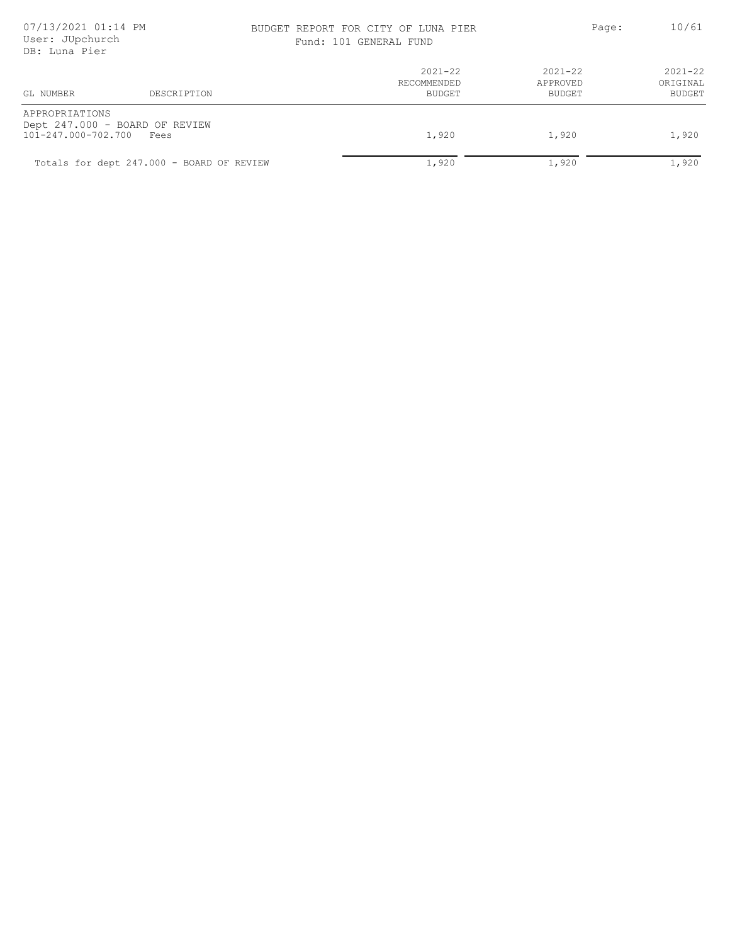# BUDGET REPORT FOR CITY OF LUNA PIER PAGE: Page: 10/61

Fund: 101 GENERAL FUND

| -aqe: |  |  | ΙU. |
|-------|--|--|-----|
|       |  |  |     |

| GL NUMBER                                  | DESCRIPTION                               | $2021 - 22$<br>RECOMMENDED<br>BUDGET | $2021 - 22$<br>APPROVED<br>BUDGET | $2021 - 22$<br>ORIGINAL<br>BUDGET |
|--------------------------------------------|-------------------------------------------|--------------------------------------|-----------------------------------|-----------------------------------|
| APPROPRIATIONS<br>101-247.000-702.700 Fees | Dept 247.000 - BOARD OF REVIEW            | 1,920                                | 1,920                             | 1,920                             |
|                                            | Totals for dept 247.000 - BOARD OF REVIEW | 1,920                                | 1,920                             | 1,920                             |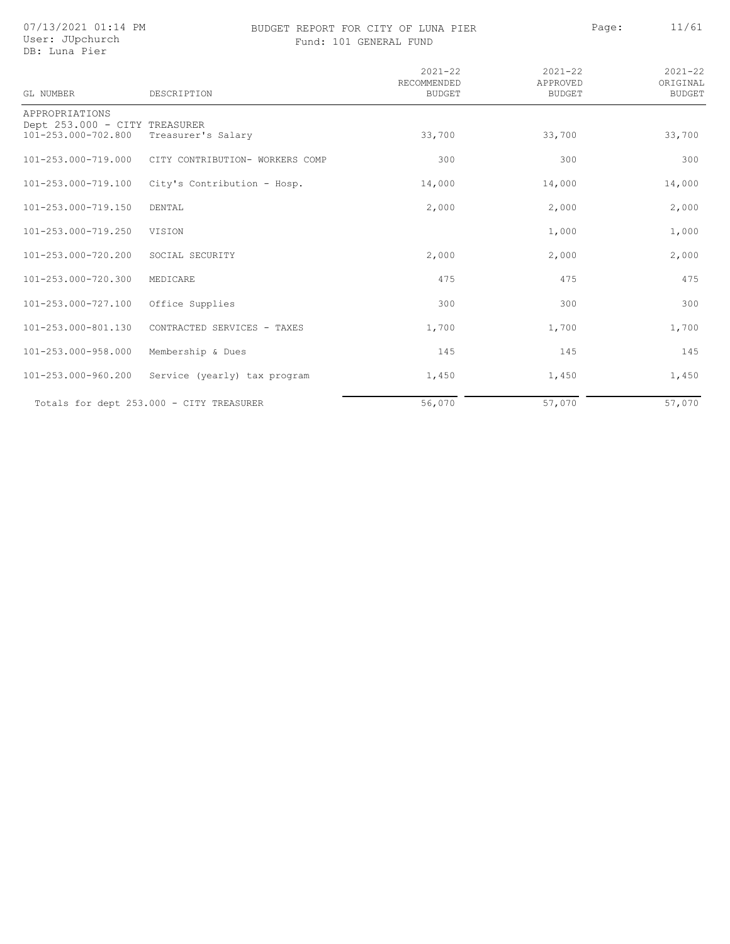07/13/2021 01:14 PM User: JUpchurch DB: Luna Pier

### BUDGET REPORT FOR CITY OF LUNA PIER PAGE: Page: 11/61 Fund: 101 GENERAL FUND

|         | $-29$ |  | $+ +$ $ -$ |  |  |
|---------|-------|--|------------|--|--|
|         |       |  |            |  |  |
|         |       |  |            |  |  |
|         |       |  |            |  |  |
|         |       |  |            |  |  |
|         |       |  |            |  |  |
| 0.00100 |       |  | 0.00100    |  |  |

| GL NUMBER                                       | DESCRIPTION                              | $2021 - 22$<br>RECOMMENDED<br><b>BUDGET</b> | $2021 - 22$<br>APPROVED<br><b>BUDGET</b> | $2021 - 22$<br>ORIGINAL<br><b>BUDGET</b> |
|-------------------------------------------------|------------------------------------------|---------------------------------------------|------------------------------------------|------------------------------------------|
| APPROPRIATIONS<br>Dept 253.000 - CITY TREASURER |                                          |                                             |                                          |                                          |
| 101-253.000-702.800                             | Treasurer's Salary                       | 33,700                                      | 33,700                                   | 33,700                                   |
| 101-253.000-719.000                             | CITY CONTRIBUTION- WORKERS COMP          | 300                                         | 300                                      | 300                                      |
| 101-253.000-719.100                             | City's Contribution - Hosp.              | 14,000                                      | 14,000                                   | 14,000                                   |
| 101-253.000-719.150                             | DENTAL                                   | 2,000                                       | 2,000                                    | 2,000                                    |
| 101-253.000-719.250                             | VISION                                   |                                             | 1,000                                    | 1,000                                    |
| 101-253.000-720.200                             | SOCIAL SECURITY                          | 2,000                                       | 2,000                                    | 2,000                                    |
| 101-253.000-720.300                             | MEDICARE                                 | 475                                         | 475                                      | 475                                      |
| 101-253.000-727.100                             | Office Supplies                          | 300                                         | 300                                      | 300                                      |
| 101-253.000-801.130                             | CONTRACTED SERVICES - TAXES              | 1,700                                       | 1,700                                    | 1,700                                    |
| 101-253.000-958.000                             | Membership & Dues                        | 145                                         | 145                                      | 145                                      |
| 101-253.000-960.200                             | Service (yearly) tax program             | 1,450                                       | 1,450                                    | 1,450                                    |
|                                                 | Totals for dept 253.000 - CITY TREASURER | 56,070                                      | 57,070                                   | 57,070                                   |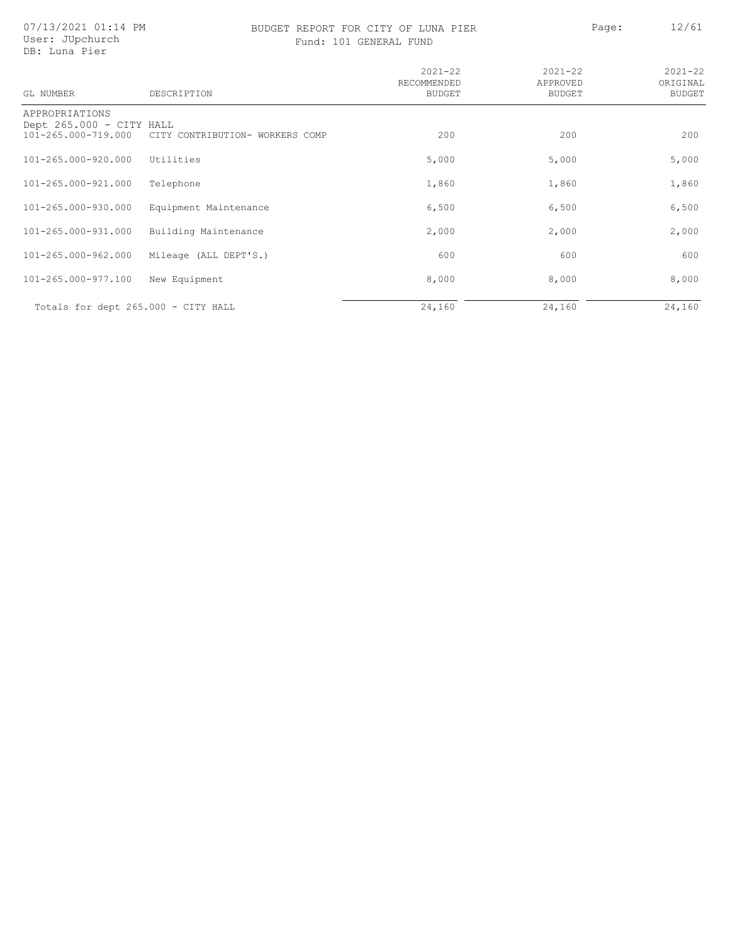07/13/2021 01:14 PM User: JUpchurch DB: Luna Pier

### BUDGET REPORT FOR CITY OF LUNA PIER PAGE: Page: 12/61 Fund: 101 GENERAL FUND

| 101 GENERAL FUND |
|------------------|
|------------------|

| GL NUMBER                                       | DESCRIPTION                     | $2021 - 22$<br>RECOMMENDED<br><b>BUDGET</b> | $2021 - 22$<br>APPROVED<br><b>BUDGET</b> | $2021 - 22$<br>ORIGINAL<br><b>BUDGET</b> |
|-------------------------------------------------|---------------------------------|---------------------------------------------|------------------------------------------|------------------------------------------|
| APPROPRIATIONS                                  |                                 |                                             |                                          |                                          |
| Dept 265.000 - CITY HALL<br>101-265.000-719.000 | CITY CONTRIBUTION- WORKERS COMP | 200                                         | 200                                      | 200                                      |
| 101-265.000-920.000                             | Utilities                       | 5,000                                       | 5,000                                    | 5,000                                    |
| 101-265.000-921.000                             | Telephone                       | 1,860                                       | 1,860                                    | 1,860                                    |
| 101-265.000-930.000                             | Equipment Maintenance           | 6,500                                       | 6,500                                    | 6,500                                    |
| 101-265.000-931.000                             | Building Maintenance            | 2,000                                       | 2,000                                    | 2,000                                    |
| 101-265.000-962.000                             | Mileage (ALL DEPT'S.)           | 600                                         | 600                                      | 600                                      |
| 101-265.000-977.100                             | New Equipment                   | 8,000                                       | 8,000                                    | 8,000                                    |
| Totals for dept 265.000 - CITY HALL             |                                 | 24,160                                      | 24,160                                   | 24,160                                   |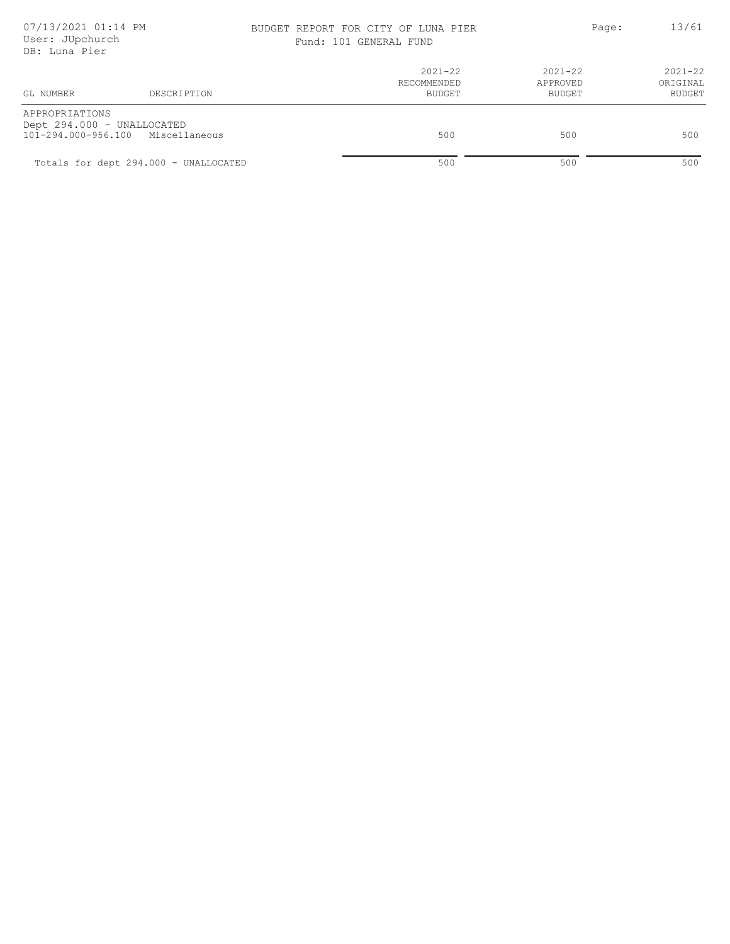### BUDGET REPORT FOR CITY OF LUNA PIER PAGE: Page: 13/61 Fund: 101 GENERAL FUND

| DB: Luna Pier                                |                                       |                                             |                                      |                                   |
|----------------------------------------------|---------------------------------------|---------------------------------------------|--------------------------------------|-----------------------------------|
| GL NUMBER                                    | DESCRIPTION                           | $2021 - 22$<br>RECOMMENDED<br><b>BUDGET</b> | 2021-22<br>APPROVED<br><b>BUDGET</b> | $2021 - 22$<br>ORIGINAL<br>BUDGET |
| APPROPRIATIONS<br>Dept 294.000 - UNALLOCATED |                                       |                                             |                                      |                                   |
|                                              | 101-294.000-956.100 Miscellaneous     | 500                                         | 500                                  | 500                               |
|                                              | Totals for dept 294.000 - UNALLOCATED | 500                                         | 500                                  | 500                               |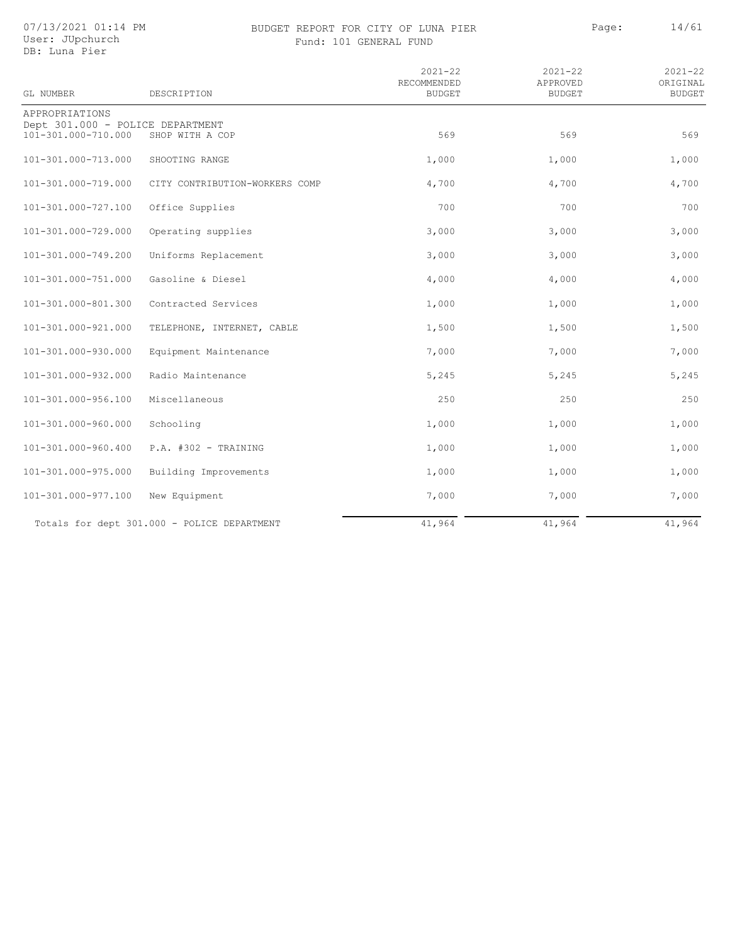### BUDGET REPORT FOR CITY OF LUNA PIER PAGE: Page: 14/61 Fund: 101 GENERAL FUND

| GL NUMBER                                               | DESCRIPTION                                 | $2021 - 22$<br>RECOMMENDED<br><b>BUDGET</b> | $2021 - 22$<br>APPROVED<br><b>BUDGET</b> | $2021 - 22$<br>ORIGINAL<br><b>BUDGET</b> |
|---------------------------------------------------------|---------------------------------------------|---------------------------------------------|------------------------------------------|------------------------------------------|
| APPROPRIATIONS                                          |                                             |                                             |                                          |                                          |
| Dept 301.000 - POLICE DEPARTMENT<br>101-301.000-710.000 | SHOP WITH A COP                             | 569                                         | 569                                      | 569                                      |
| 101-301.000-713.000                                     | SHOOTING RANGE                              | 1,000                                       | 1,000                                    | 1,000                                    |
| 101-301.000-719.000                                     | CITY CONTRIBUTION-WORKERS COMP              | 4,700                                       | 4,700                                    | 4,700                                    |
| 101-301.000-727.100                                     | Office Supplies                             | 700                                         | 700                                      | 700                                      |
| 101-301.000-729.000                                     | Operating supplies                          | 3,000                                       | 3,000                                    | 3,000                                    |
| 101-301.000-749.200                                     | Uniforms Replacement                        | 3,000                                       | 3,000                                    | 3,000                                    |
| 101-301.000-751.000                                     | Gasoline & Diesel                           | 4,000                                       | 4,000                                    | 4,000                                    |
| 101-301.000-801.300                                     | Contracted Services                         | 1,000                                       | 1,000                                    | 1,000                                    |
| 101-301.000-921.000                                     | TELEPHONE, INTERNET, CABLE                  | 1,500                                       | 1,500                                    | 1,500                                    |
| 101-301.000-930.000                                     | Equipment Maintenance                       | 7,000                                       | 7,000                                    | 7,000                                    |
| 101-301.000-932.000                                     | Radio Maintenance                           | 5,245                                       | 5,245                                    | 5,245                                    |
| 101-301.000-956.100                                     | Miscellaneous                               | 250                                         | 250                                      | 250                                      |
| 101-301.000-960.000                                     | Schooling                                   | 1,000                                       | 1,000                                    | 1,000                                    |
| 101-301.000-960.400                                     | P.A. #302 - TRAINING                        | 1,000                                       | 1,000                                    | 1,000                                    |
| 101-301.000-975.000                                     | Building Improvements                       | 1,000                                       | 1,000                                    | 1,000                                    |
| 101-301.000-977.100                                     | New Equipment                               | 7,000                                       | 7,000                                    | 7,000                                    |
|                                                         | Totals for dept 301.000 - POLICE DEPARTMENT | 41,964                                      | 41,964                                   | 41,964                                   |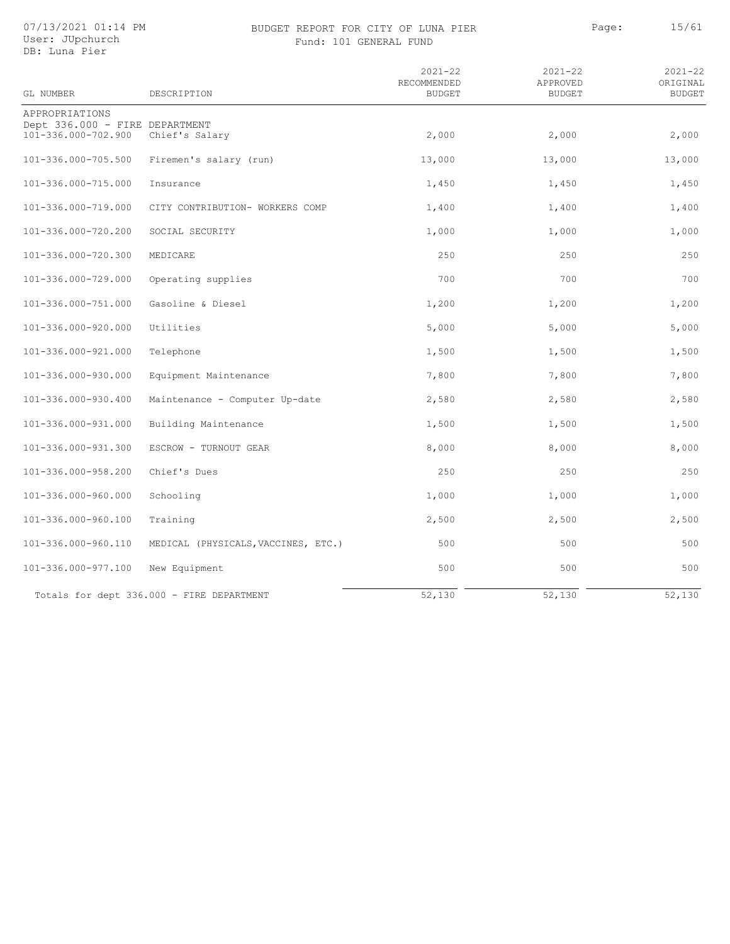07/13/2021 01:14 PM User: JUpchurch

### DB: Luna Pier

### BUDGET REPORT FOR CITY OF LUNA PIER PAGE: Page: 15/61 Fund: 101 GENERAL FUND

| GL NUMBER                                             | DESCRIPTION                               | $2021 - 22$<br>RECOMMENDED<br><b>BUDGET</b> | $2021 - 22$<br>APPROVED<br><b>BUDGET</b> | $2021 - 22$<br>ORIGINAL<br><b>BUDGET</b> |
|-------------------------------------------------------|-------------------------------------------|---------------------------------------------|------------------------------------------|------------------------------------------|
| APPROPRIATIONS                                        |                                           |                                             |                                          |                                          |
| Dept 336.000 - FIRE DEPARTMENT<br>101-336.000-702.900 | Chief's Salary                            | 2,000                                       | 2,000                                    | 2,000                                    |
| 101-336.000-705.500                                   | Firemen's salary (run)                    | 13,000                                      | 13,000                                   | 13,000                                   |
| 101-336.000-715.000                                   | Insurance                                 | 1,450                                       | 1,450                                    | 1,450                                    |
| 101-336.000-719.000                                   | CITY CONTRIBUTION- WORKERS COMP           | 1,400                                       | 1,400                                    | 1,400                                    |
| 101-336.000-720.200                                   | SOCIAL SECURITY                           | 1,000                                       | 1,000                                    | 1,000                                    |
| 101-336.000-720.300                                   | MEDICARE                                  | 250                                         | 250                                      | 250                                      |
| 101-336.000-729.000                                   | Operating supplies                        | 700                                         | 700                                      | 700                                      |
| 101-336.000-751.000                                   | Gasoline & Diesel                         | 1,200                                       | 1,200                                    | 1,200                                    |
| 101-336.000-920.000                                   | Utilities                                 | 5,000                                       | 5,000                                    | 5,000                                    |
| 101-336.000-921.000                                   | Telephone                                 | 1,500                                       | 1,500                                    | 1,500                                    |
| 101-336.000-930.000                                   | Equipment Maintenance                     | 7,800                                       | 7,800                                    | 7,800                                    |
| 101-336.000-930.400                                   | Maintenance - Computer Up-date            | 2,580                                       | 2,580                                    | 2,580                                    |
| 101-336.000-931.000                                   | Building Maintenance                      | 1,500                                       | 1,500                                    | 1,500                                    |
| 101-336.000-931.300                                   | ESCROW - TURNOUT GEAR                     | 8,000                                       | 8,000                                    | 8,000                                    |
| 101-336.000-958.200                                   | Chief's Dues                              | 250                                         | 250                                      | 250                                      |
| 101-336.000-960.000                                   | Schooling                                 | 1,000                                       | 1,000                                    | 1,000                                    |
| 101-336.000-960.100                                   | Training                                  | 2,500                                       | 2,500                                    | 2,500                                    |
| 101-336.000-960.110                                   | MEDICAL (PHYSICALS, VACCINES, ETC.)       | 500                                         | 500                                      | 500                                      |
| 101-336.000-977.100                                   | New Equipment                             | 500                                         | 500                                      | 500                                      |
|                                                       | Totals for dept 336.000 - FIRE DEPARTMENT | 52,130                                      | 52,130                                   | 52,130                                   |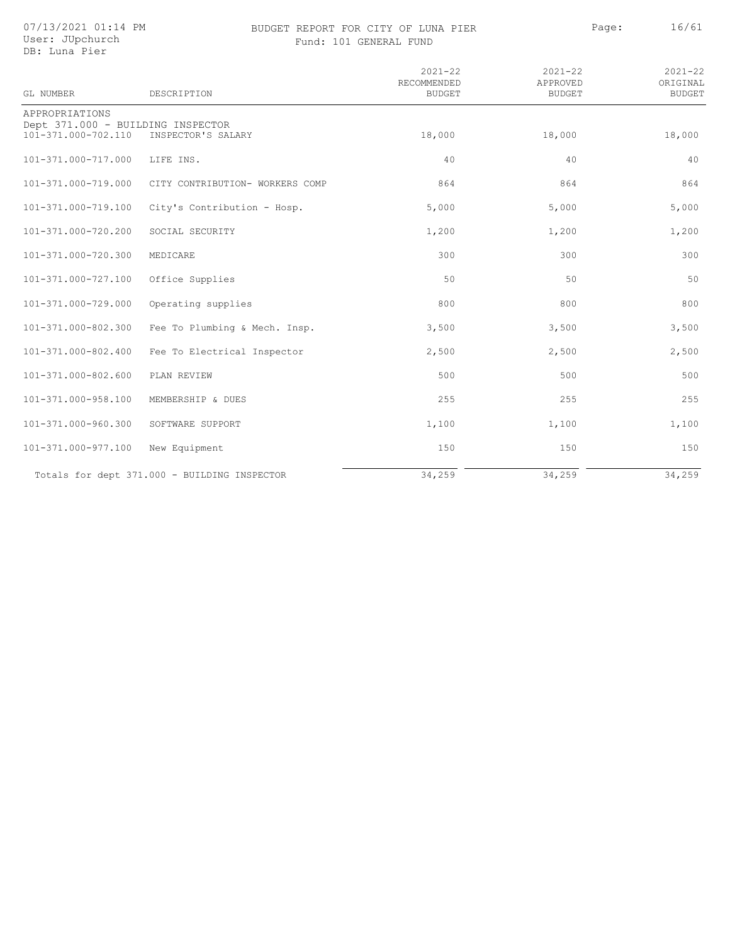### BUDGET REPORT FOR CITY OF LUNA PIER PAGE: Page: 16/61 Fund: 101 GENERAL FUND

|  |  | ıd: 101 GENERAL FUND |  |  |
|--|--|----------------------|--|--|
|--|--|----------------------|--|--|

| GL NUMBER                                                | DESCRIPTION                                  | $2021 - 22$<br>RECOMMENDED<br><b>BUDGET</b> | $2021 - 22$<br>APPROVED<br><b>BUDGET</b> | $2021 - 22$<br>ORIGINAL<br><b>BUDGET</b> |
|----------------------------------------------------------|----------------------------------------------|---------------------------------------------|------------------------------------------|------------------------------------------|
| APPROPRIATIONS                                           |                                              |                                             |                                          |                                          |
| Dept 371.000 - BUILDING INSPECTOR<br>101-371.000-702.110 | INSPECTOR'S SALARY                           | 18,000                                      | 18,000                                   | 18,000                                   |
| 101-371.000-717.000                                      | LIFE INS.                                    | 40                                          | 40                                       | 40                                       |
| 101-371.000-719.000                                      | CITY CONTRIBUTION- WORKERS COMP              | 864                                         | 864                                      | 864                                      |
| 101-371.000-719.100                                      | City's Contribution - Hosp.                  | 5,000                                       | 5,000                                    | 5,000                                    |
| 101-371.000-720.200                                      | SOCIAL SECURITY                              | 1,200                                       | 1,200                                    | 1,200                                    |
| 101-371.000-720.300                                      | MEDICARE                                     | 300                                         | 300                                      | 300                                      |
| 101-371.000-727.100                                      | Office Supplies                              | 50                                          | 50                                       | 50                                       |
| 101-371.000-729.000                                      | Operating supplies                           | 800                                         | 800                                      | 800                                      |
| 101-371.000-802.300                                      | Fee To Plumbing & Mech. Insp.                | 3,500                                       | 3,500                                    | 3,500                                    |
| 101-371.000-802.400                                      | Fee To Electrical Inspector                  | 2,500                                       | 2,500                                    | 2,500                                    |
| 101-371.000-802.600                                      | PLAN REVIEW                                  | 500                                         | 500                                      | 500                                      |
| 101-371.000-958.100                                      | MEMBERSHIP & DUES                            | 255                                         | 255                                      | 255                                      |
| 101-371.000-960.300                                      | SOFTWARE SUPPORT                             | 1,100                                       | 1,100                                    | 1,100                                    |
| 101-371.000-977.100                                      | New Equipment                                | 150                                         | 150                                      | 150                                      |
|                                                          | Totals for dept 371.000 - BUILDING INSPECTOR | 34,259                                      | 34,259                                   | 34,259                                   |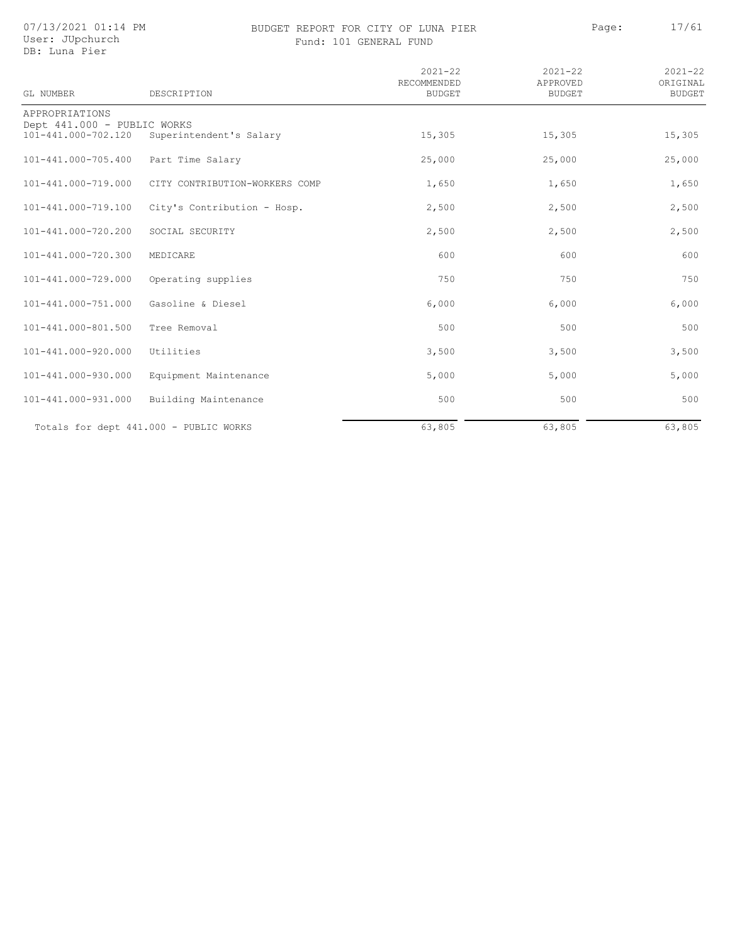07/13/2021 01:14 PM User: JUpchurch

DB: Luna Pier

### BUDGET REPORT FOR CITY OF LUNA PIER PAGE: Page: 17/61 Fund: 101 GENERAL FUND

| GL NUMBER                                          | DESCRIPTION                            | $2021 - 22$<br>RECOMMENDED<br><b>BUDGET</b> | $2021 - 22$<br>APPROVED<br><b>BUDGET</b> | $2021 - 22$<br>ORIGINAL<br><b>BUDGET</b> |
|----------------------------------------------------|----------------------------------------|---------------------------------------------|------------------------------------------|------------------------------------------|
| APPROPRIATIONS                                     |                                        |                                             |                                          |                                          |
| Dept 441.000 - PUBLIC WORKS<br>101-441.000-702.120 | Superintendent's Salary                | 15,305                                      | 15,305                                   | 15,305                                   |
| 101-441.000-705.400                                | Part Time Salary                       | 25,000                                      | 25,000                                   | 25,000                                   |
| 101-441.000-719.000                                | CITY CONTRIBUTION-WORKERS COMP         | 1,650                                       | 1,650                                    | 1,650                                    |
| 101-441.000-719.100                                | City's Contribution - Hosp.            | 2,500                                       | 2,500                                    | 2,500                                    |
| 101-441.000-720.200                                | SOCIAL SECURITY                        | 2,500                                       | 2,500                                    | 2,500                                    |
| 101-441.000-720.300                                | MEDICARE                               | 600                                         | 600                                      | 600                                      |
| 101-441.000-729.000                                | Operating supplies                     | 750                                         | 750                                      | 750                                      |
| 101-441.000-751.000                                | Gasoline & Diesel                      | 6,000                                       | 6,000                                    | 6,000                                    |
| 101-441.000-801.500                                | Tree Removal                           | 500                                         | 500                                      | 500                                      |
| 101-441.000-920.000                                | Utilities                              | 3,500                                       | 3,500                                    | 3,500                                    |
| 101-441.000-930.000                                | Equipment Maintenance                  | 5,000                                       | 5,000                                    | 5,000                                    |
| 101-441.000-931.000                                | Building Maintenance                   | 500                                         | 500                                      | 500                                      |
|                                                    | Totals for dept 441.000 - PUBLIC WORKS | 63,805                                      | 63,805                                   | 63,805                                   |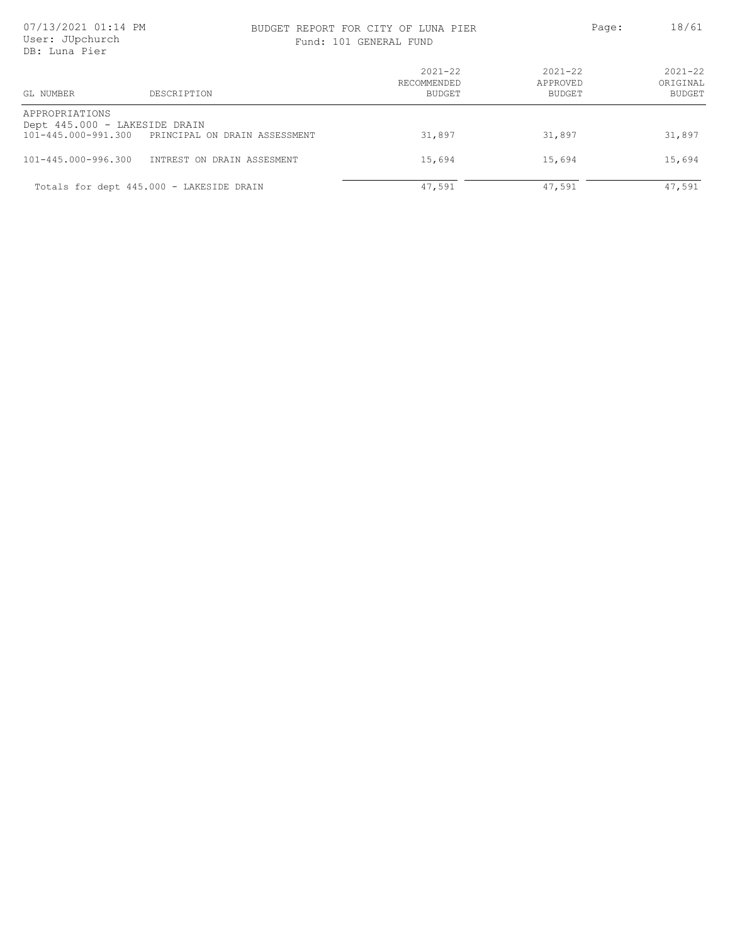### BUDGET REPORT FOR CITY OF LUNA PIER PAGE: Page: 18/61

|  | Fund: 101 GENERAL FUND |  |
|--|------------------------|--|
|  |                        |  |

| GL NUMBER<br>DESCRIPTION                                                                             | $2021 - 22$<br>RECOMMENDED<br>BUDGET | $2021 - 22$<br>APPROVED<br>BUDGET | $2021 - 22$<br>ORIGINAL<br>BUDGET |
|------------------------------------------------------------------------------------------------------|--------------------------------------|-----------------------------------|-----------------------------------|
| APPROPRIATIONS<br>Dept 445.000 - LAKESIDE DRAIN<br>101-445.000-991.300 PRINCIPAL ON DRAIN ASSESSMENT | 31,897                               | 31,897                            | 31,897                            |
| 101-445.000-996.300<br>INTREST ON DRAIN ASSESMENT                                                    | 15,694                               | 15,694                            | 15,694                            |
| Totals for dept 445.000 - LAKESIDE DRAIN                                                             | 47,591                               | 47,591                            | 47,591                            |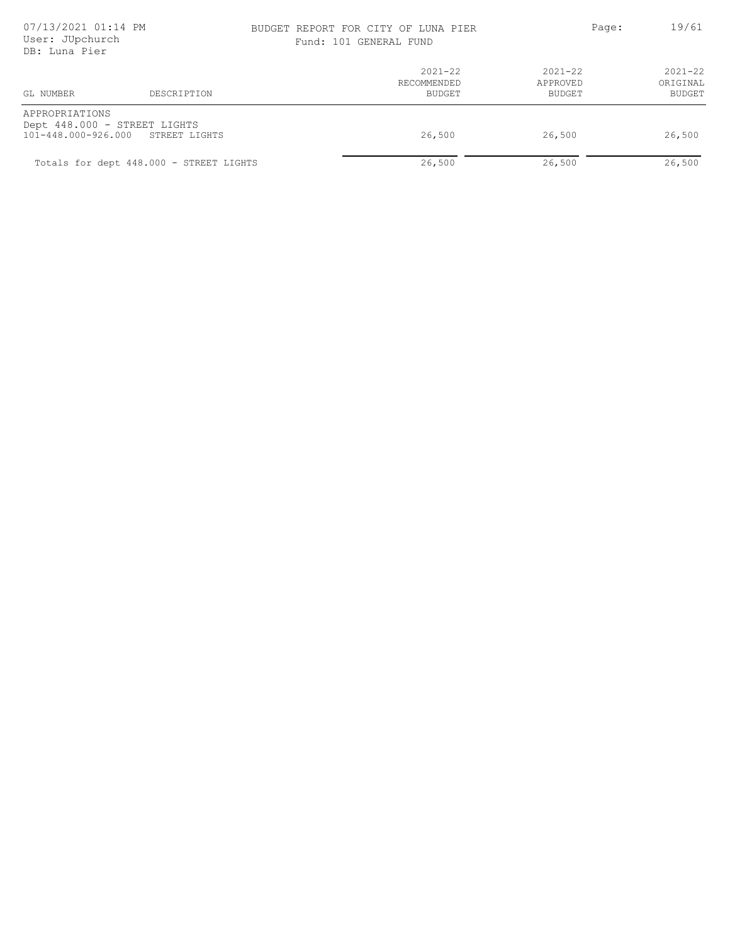# BUDGET REPORT FOR CITY OF LUNA PIER PAGE: Page: 19/61

| Fund: 101 GENERAL FUND |
|------------------------|
|------------------------|

| GL NUMBER                                                                           | DESCRIPTION                             | $2021 - 22$<br>RECOMMENDED<br><b>BUDGET</b> | $2021 - 22$<br>APPROVED<br>BUDGET | $2021 - 22$<br>ORIGINAL<br>BUDGET |
|-------------------------------------------------------------------------------------|-----------------------------------------|---------------------------------------------|-----------------------------------|-----------------------------------|
| APPROPRIATIONS<br>Dept 448.000 - STREET LIGHTS<br>101-448.000-926.000 STREET LIGHTS |                                         | 26,500                                      | 26,500                            | 26,500                            |
|                                                                                     | Totals for dept 448.000 - STREET LIGHTS | 26,500                                      | 26,500                            | 26,500                            |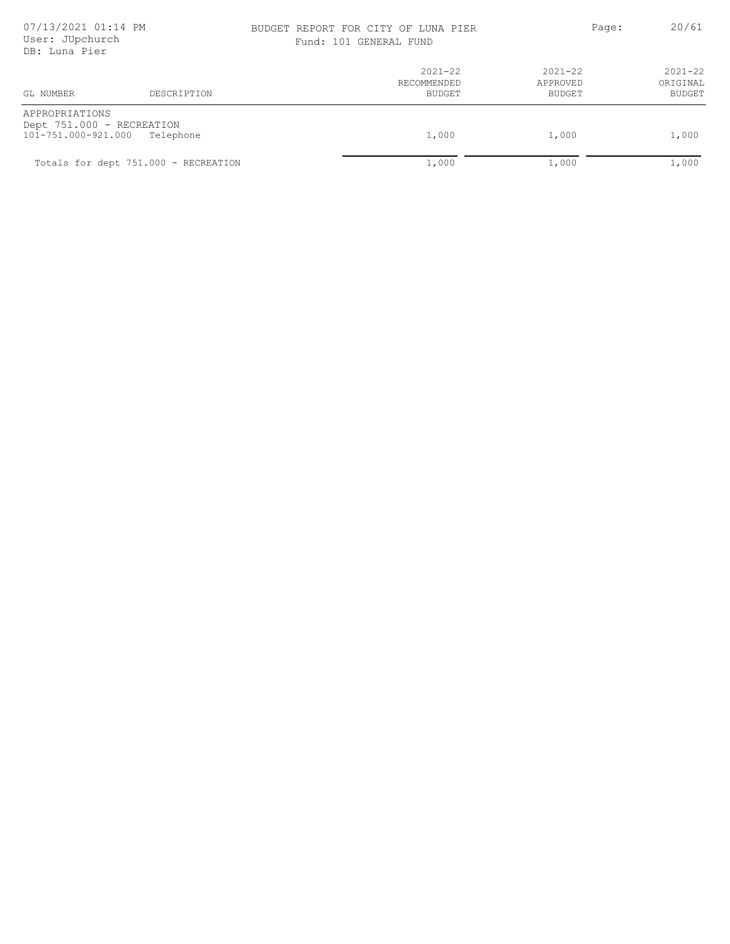# 07/13/2021 01:14 PM BUDGET REPORT FOR CITY OF LUNA PIER Page: 20/61

|  |  | Fund: 101 GENERAL FUND |  |  |
|--|--|------------------------|--|--|
|--|--|------------------------|--|--|

| <i>DD.</i> DUNC 1151                                               |                                      |                                      |                                   |                                   |
|--------------------------------------------------------------------|--------------------------------------|--------------------------------------|-----------------------------------|-----------------------------------|
| GL NUMBER                                                          | DESCRIPTION                          | $2021 - 22$<br>RECOMMENDED<br>BUDGET | $2021 - 22$<br>APPROVED<br>BUDGET | $2021 - 22$<br>ORIGINAL<br>BUDGET |
| APPROPRIATIONS<br>Dept 751.000 - RECREATION<br>101-751.000-921.000 | Telephone                            | 1,000                                | 1,000                             | 1,000                             |
|                                                                    | Totals for dept 751.000 - RECREATION | 1,000                                | 1,000                             | 1,000                             |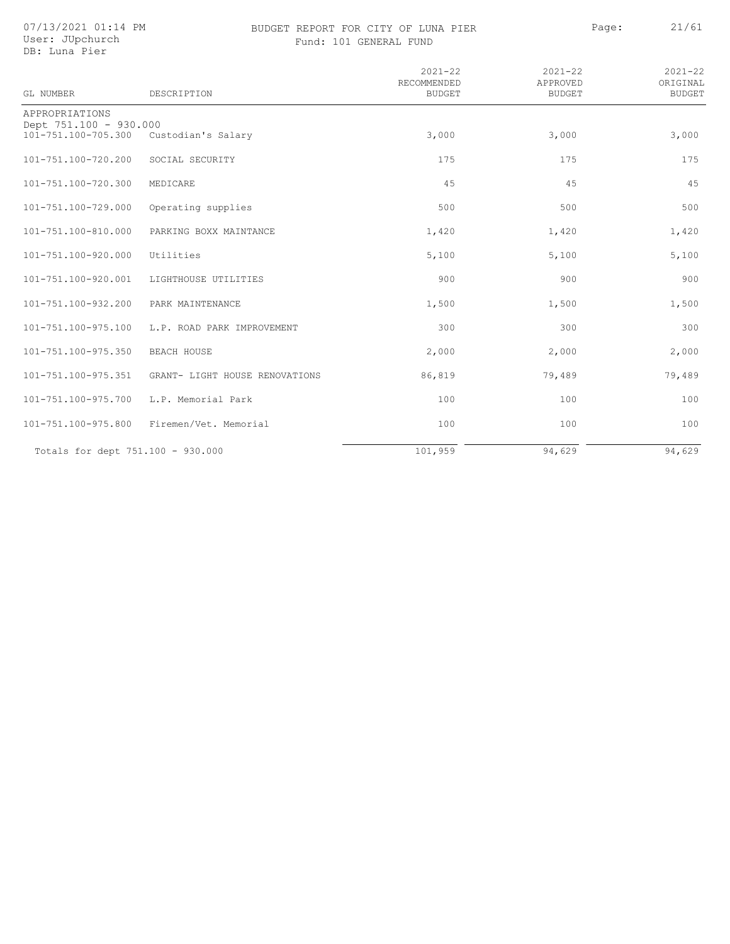07/13/2021 01:14 PM User: JUpchurch

### BUDGET REPORT FOR CITY OF LUNA PIER PAGE: 21/61 Fund: 101 GENERAL FUND

| ---       | --           | - - - - - |
|-----------|--------------|-----------|
|           |              |           |
| ז גם החוי | <b>THIND</b> |           |

|  | User: JUpchurc |
|--|----------------|
|  | DB: Luna Pier  |

|                                               |                                | $2021 - 22$<br>RECOMMENDED | $2021 - 22$<br>APPROVED | $2021 - 22$<br>ORIGINAL |
|-----------------------------------------------|--------------------------------|----------------------------|-------------------------|-------------------------|
| GL NUMBER                                     | DESCRIPTION                    | <b>BUDGET</b>              | <b>BUDGET</b>           | <b>BUDGET</b>           |
| APPROPRIATIONS                                |                                |                            |                         |                         |
| Dept 751.100 - 930.000<br>101-751.100-705.300 | Custodian's Salary             | 3,000                      | 3,000                   | 3,000                   |
|                                               |                                |                            |                         |                         |
| 101-751.100-720.200                           | SOCIAL SECURITY                | 175                        | 175                     | 175                     |
| 101-751.100-720.300                           | MEDICARE                       | 45                         | 45                      | 45                      |
|                                               |                                |                            |                         |                         |
| 101-751.100-729.000                           | Operating supplies             | 500                        | 500                     | 500                     |
| 101-751.100-810.000                           | PARKING BOXX MAINTANCE         | 1,420                      | 1,420                   | 1,420                   |
|                                               |                                |                            |                         |                         |
| 101-751.100-920.000                           | Utilities                      | 5,100                      | 5,100                   | 5,100                   |
| 101-751.100-920.001                           | LIGHTHOUSE UTILITIES           | 900                        | 900                     | 900                     |
|                                               |                                |                            |                         |                         |
| 101-751.100-932.200                           | PARK MAINTENANCE               | 1,500                      | 1,500                   | 1,500                   |
| 101-751.100-975.100                           | L.P. ROAD PARK IMPROVEMENT     | 300                        | 300                     | 300                     |
|                                               |                                |                            |                         |                         |
| 101-751.100-975.350                           | <b>BEACH HOUSE</b>             | 2,000                      | 2,000                   | 2,000                   |
| 101-751.100-975.351                           | GRANT- LIGHT HOUSE RENOVATIONS | 86,819                     | 79,489                  | 79,489                  |
|                                               |                                |                            |                         |                         |
| 101-751.100-975.700                           | L.P. Memorial Park             | 100                        | 100                     | 100                     |
| 101-751.100-975.800                           | Firemen/Vet. Memorial          | 100                        | 100                     | 100                     |
|                                               |                                |                            |                         |                         |
| Totals for dept 751.100 - 930.000             |                                | 101,959                    | 94,629                  | 94,629                  |
|                                               |                                |                            |                         |                         |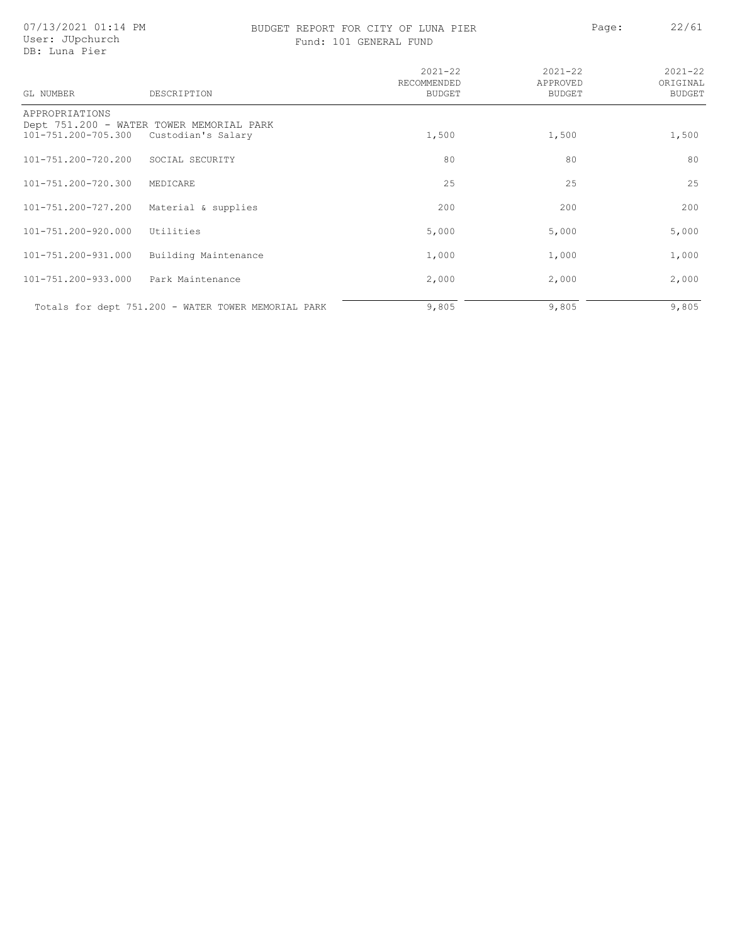# BUDGET REPORT FOR CITY OF LUNA PIER PAGE: Page: 22/61

Fund: 101 GENERAL FUND

| GT. NUMBER          | DESCRIPTION                                         | $2021 - 22$<br>RECOMMENDED<br><b>BUDGET</b> | $2021 - 22$<br>APPROVED<br>BUDGET | $2021 - 22$<br>ORIGINAL<br><b>BUDGET</b> |
|---------------------|-----------------------------------------------------|---------------------------------------------|-----------------------------------|------------------------------------------|
| APPROPRIATIONS      | Dept 751.200 - WATER TOWER MEMORIAL PARK            |                                             |                                   |                                          |
| 101-751.200-705.300 | Custodian's Salary                                  | 1,500                                       | 1,500                             | 1,500                                    |
| 101-751.200-720.200 | SOCIAL SECURITY                                     | 80                                          | 80                                | 80                                       |
| 101-751.200-720.300 | MEDICARE                                            | 25                                          | 25                                | 25                                       |
| 101-751.200-727.200 | Material & supplies                                 | 200                                         | 200                               | 200                                      |
| 101-751.200-920.000 | Utilities                                           | 5,000                                       | 5,000                             | 5,000                                    |
| 101-751.200-931.000 | Building Maintenance                                | 1,000                                       | 1,000                             | 1,000                                    |
| 101-751.200-933.000 | Park Maintenance                                    | 2,000                                       | 2,000                             | 2,000                                    |
|                     | Totals for dept 751.200 - WATER TOWER MEMORIAL PARK | 9,805                                       | 9,805                             | 9,805                                    |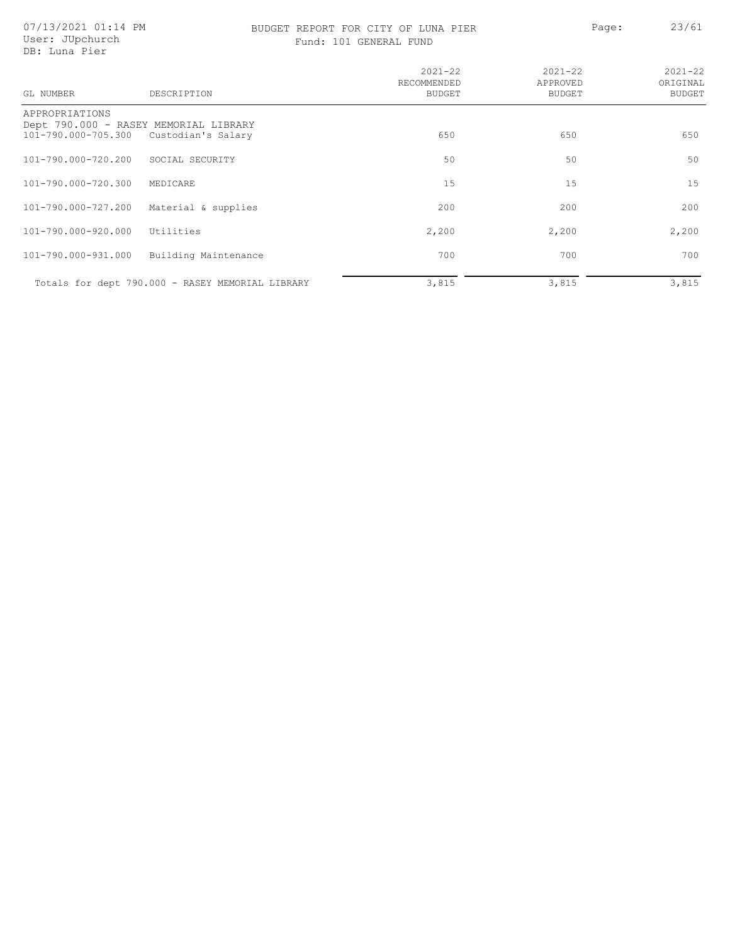### BUDGET REPORT FOR CITY OF LUNA PIER<br>
- A continued by Delta Page: 23/61 Fund: 101 GENERAL FUND

| GL NUMBER                             | DESCRIPTION                                                 | $2021 - 22$<br>RECOMMENDED<br>BUDGET | $2021 - 22$<br>APPROVED<br><b>BUDGET</b> | $2021 - 22$<br>ORIGINAL<br><b>BUDGET</b> |
|---------------------------------------|-------------------------------------------------------------|--------------------------------------|------------------------------------------|------------------------------------------|
| APPROPRIATIONS<br>101-790.000-705.300 | Dept 790.000 - RASEY MEMORIAL LIBRARY<br>Custodian's Salary | 650                                  | 650                                      | 650                                      |
| 101-790.000-720.200                   | SOCIAL SECURITY                                             | 50                                   | 50                                       | 50                                       |
| 101-790.000-720.300                   | MEDICARE                                                    | 15                                   | 15                                       | 15                                       |
| 101-790.000-727.200                   | Material & supplies                                         | 200                                  | 200                                      | 200                                      |
| 101-790.000-920.000                   | Utilities                                                   | 2,200                                | 2,200                                    | 2,200                                    |
| 101-790.000-931.000                   | Building Maintenance                                        | 700                                  | 700                                      | 700                                      |
|                                       | Totals for dept 790.000 - RASEY MEMORIAL LIBRARY            | 3,815                                | 3,815                                    | 3,815                                    |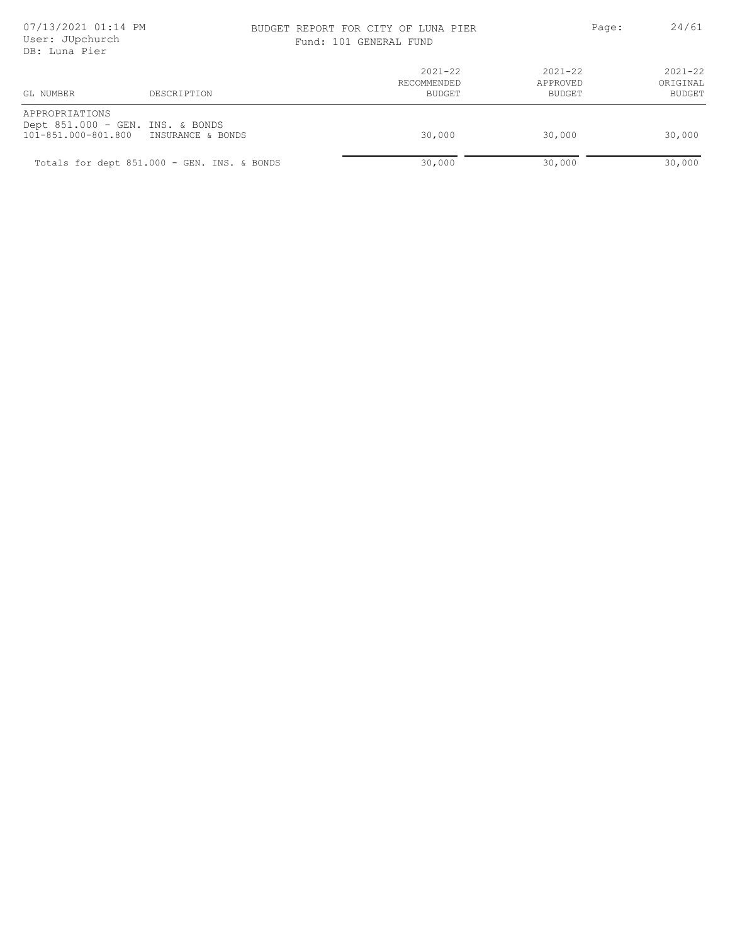# BUDGET REPORT FOR CITY OF LUNA PIER PAGE: Page: 24/61

Fund: 101 GENERAL FUND

| GL NUMBER<br>DESCRIPTION                                                                    | $2021 - 22$<br>RECOMMENDED<br>BUDGET | $2021 - 22$<br>APPROVED<br>BUDGET | $2021 - 22$<br>ORIGINAL<br>BUDGET |
|---------------------------------------------------------------------------------------------|--------------------------------------|-----------------------------------|-----------------------------------|
| APPROPRIATIONS<br>Dept 851.000 - GEN. INS. & BONDS<br>101-851.000-801.800 INSURANCE & BONDS | 30,000                               | 30,000                            | 30,000                            |
| Totals for dept 851.000 - GEN. INS. & BONDS                                                 | 30,000                               | 30,000                            | 30,000                            |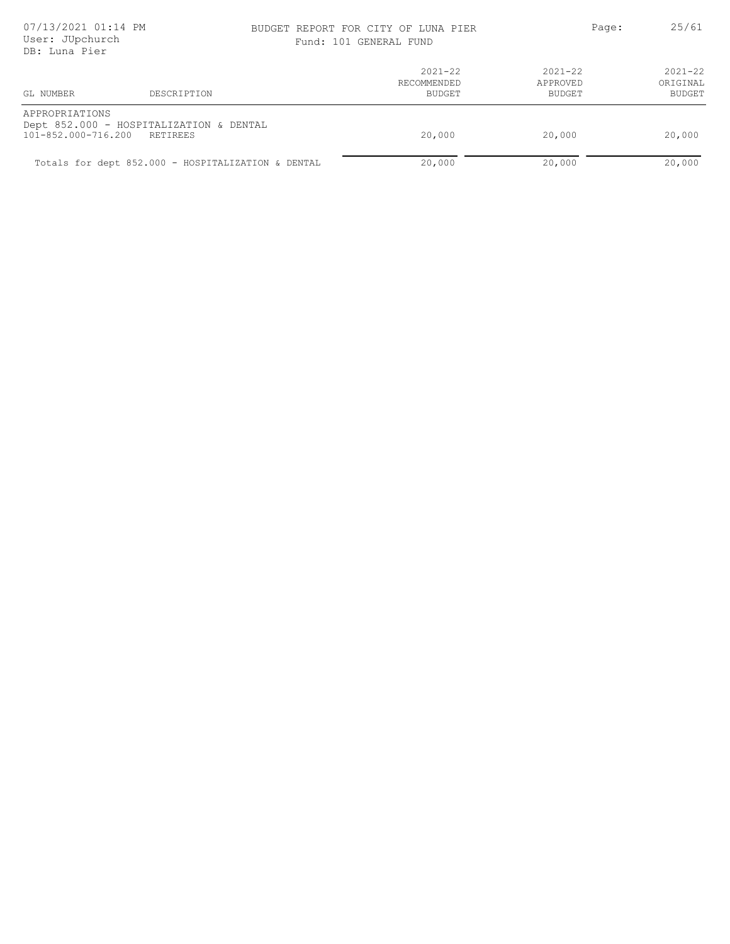### BUDGET REPORT FOR CITY OF LUNA PIER PAGE: 25/61 Fund: 101 GENERAL FUND

| 101 GENERAL FUND |  |
|------------------|--|
|------------------|--|

| GL NUMBER                             | DESCRIPTION                                         | $2021 - 22$<br>RECOMMENDED<br>BUDGET | $2021 - 22$<br>APPROVED<br>BUDGET | $2021 - 22$<br>ORIGINAL<br>BUDGET |
|---------------------------------------|-----------------------------------------------------|--------------------------------------|-----------------------------------|-----------------------------------|
| APPROPRIATIONS<br>101-852.000-716.200 | Dept 852.000 - HOSPITALIZATION & DENTAL<br>RETIREES | 20,000                               | 20,000                            | 20,000                            |
|                                       | Totals for dept 852.000 - HOSPITALIZATION & DENTAL  | 20,000                               | 20,000                            | 20,000                            |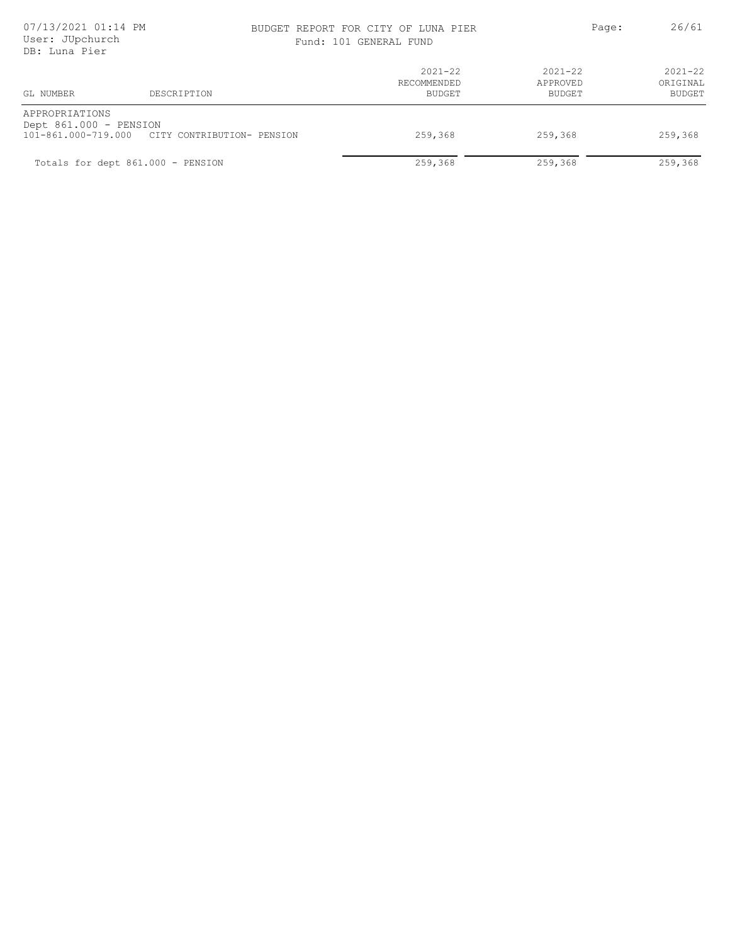### BUDGET REPORT FOR CITY OF LUNA PIER PAGE: Page: 26/61

|  | Fund: 101 GENERAL FUND |  |
|--|------------------------|--|
|  |                        |  |

| GL NUMBER                                | DESCRIPTION                                    | $2021 - 22$<br>RECOMMENDED<br><b>BUDGET</b> | 2021-22<br>APPROVED<br>BUDGET | $2021 - 22$<br>ORIGINAL<br><b>BUDGET</b> |
|------------------------------------------|------------------------------------------------|---------------------------------------------|-------------------------------|------------------------------------------|
| APPROPRIATIONS<br>Dept 861.000 - PENSION | 101-861.000-719.000 CITY CONTRIBUTION- PENSION | 259,368                                     | 259,368                       | 259,368                                  |
| Totals for dept 861.000 - PENSION        |                                                | 259,368                                     | 259,368                       | 259,368                                  |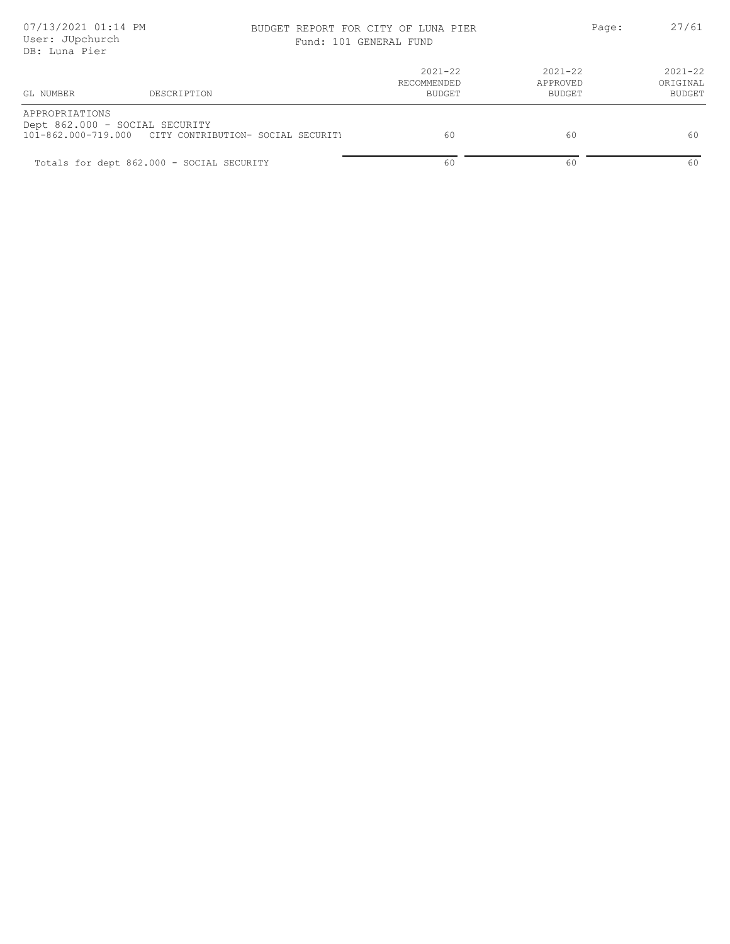# BUDGET REPORT FOR CITY OF LUNA PIER PAGE: 27/61

| Fund: 101 GENERAL FUND |
|------------------------|
|                        |

| GL NUMBER      | DESCRIPTION                                                                              | $2021 - 22$<br>RECOMMENDED<br>BUDGET | $2021 - 22$<br>APPROVED<br>BUDGET | $2021 - 22$<br>ORIGINAL<br><b>BUDGET</b> |
|----------------|------------------------------------------------------------------------------------------|--------------------------------------|-----------------------------------|------------------------------------------|
| APPROPRIATIONS | Dept 862.000 - SOCIAL SECURITY<br>101-862.000-719.000 CITY CONTRIBUTION- SOCIAL SECURITY | 60                                   | 60                                | -60                                      |
|                | Totals for dept 862.000 - SOCIAL SECURITY                                                | 60                                   | 60                                | 60                                       |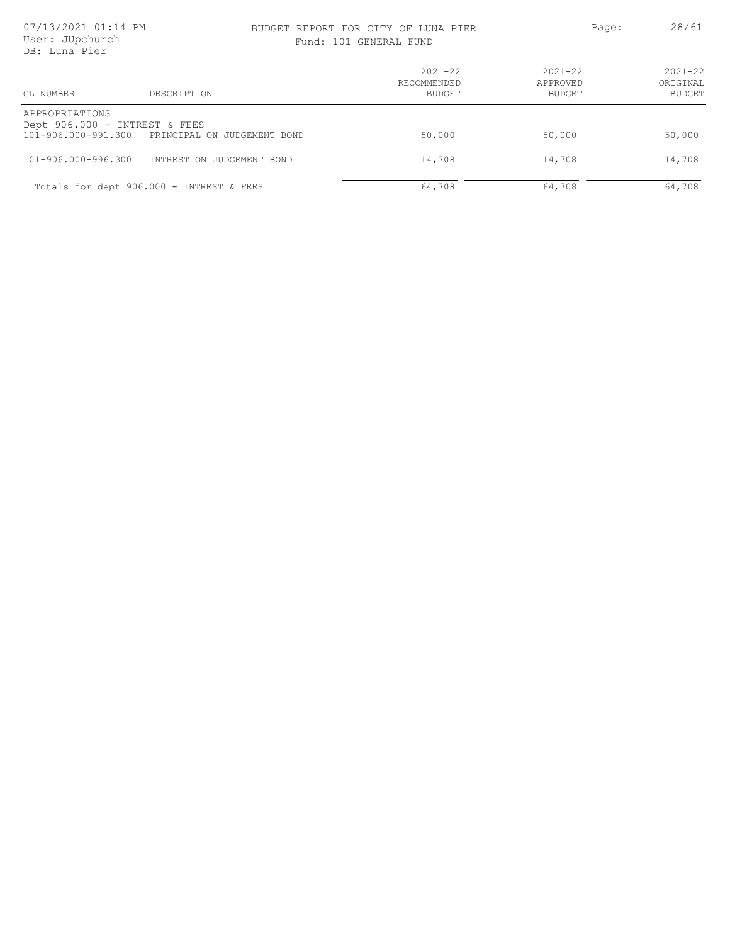### BUDGET REPORT FOR CITY OF LUNA PIER<br>
Fusion 101 contract the contract of the Page: 28/61 Fund: 101 GENERAL FUND

| GL NUMBER                                                              | DESCRIPTION                              | $2021 - 22$<br>RECOMMENDED<br>BUDGET | $2021 - 22$<br>APPROVED<br>BUDGET | $2021 - 22$<br>ORIGINAL<br><b>BUDGET</b> |
|------------------------------------------------------------------------|------------------------------------------|--------------------------------------|-----------------------------------|------------------------------------------|
| APPROPRIATIONS<br>Dept 906.000 - INTREST & FEES<br>101-906.000-991.300 | PRINCIPAL ON JUDGEMENT BOND              | 50,000                               | 50,000                            | 50,000                                   |
| $101 - 906.000 - 996.300$                                              | INTREST ON JUDGEMENT BOND                | 14,708                               | 14,708                            | 14,708                                   |
|                                                                        | Totals for dept 906.000 - INTREST & FEES | 64,708                               | 64,708                            | 64,708                                   |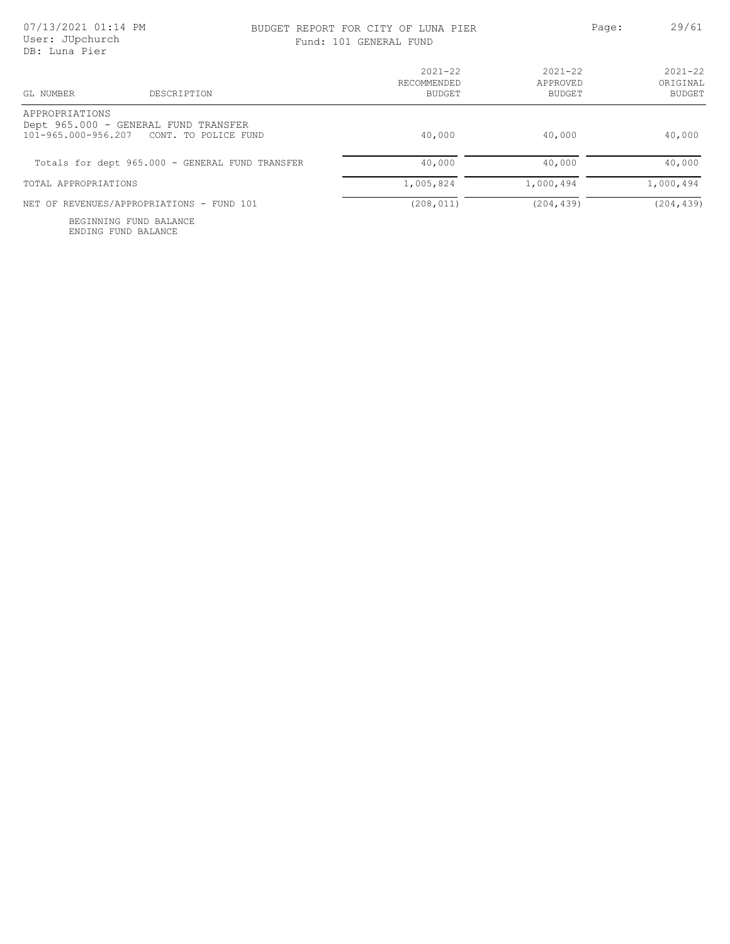### BUDGET REPORT FOR CITY OF LUNA PIER PAGE: 29/61

|  | Fund: 101 GENERAL FUND |  |
|--|------------------------|--|
|  |                        |  |

| GL NUMBER<br>DESCRIPTION                                                                           | $2021 - 22$<br>RECOMMENDED<br>BUDGET | $2021 - 22$<br>APPROVED<br>BUDGET | $2021 - 22$<br>ORIGINAL<br>BUDGET |
|----------------------------------------------------------------------------------------------------|--------------------------------------|-----------------------------------|-----------------------------------|
| APPROPRIATIONS<br>Dept 965.000 - GENERAL FUND TRANSFER<br>101-965.000-956.207 CONT. TO POLICE FUND | 40,000                               | 40,000                            | 40,000                            |
| Totals for dept 965.000 - GENERAL FUND TRANSFER                                                    | 40,000                               | 40,000                            | 40,000                            |
| TOTAL APPROPRIATIONS                                                                               | 1,005,824                            | 1,000,494                         | 1,000,494                         |
| NET OF REVENUES/APPROPRIATIONS - FUND 101                                                          | (208, 011)                           | (204, 439)                        | (204, 439)                        |

ENDING FUND BALANCE BEGINNING FUND BALANCE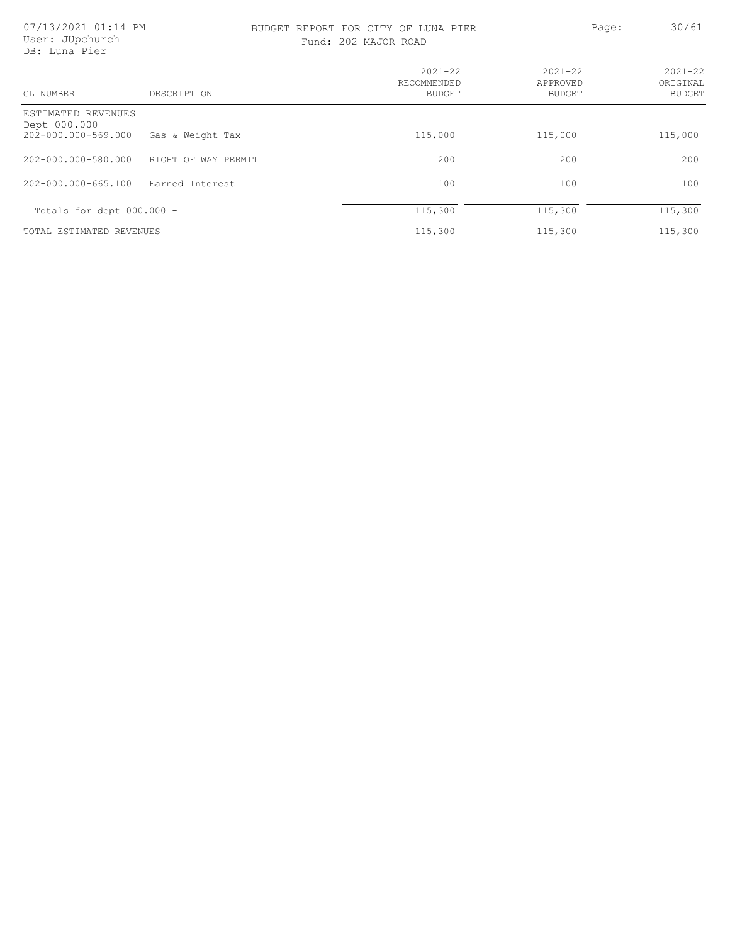### BUDGET REPORT FOR CITY OF LUNA PIER PAGE: 20/61

| GL NUMBER                                                 | DESCRIPTION         | $2021 - 22$<br>RECOMMENDED<br>BUDGET | $2021 - 22$<br>APPROVED<br><b>BUDGET</b> | $2021 - 22$<br>ORIGINAL<br>BUDGET |
|-----------------------------------------------------------|---------------------|--------------------------------------|------------------------------------------|-----------------------------------|
| ESTIMATED REVENUES<br>Dept 000.000<br>202-000.000-569.000 | Gas & Weight Tax    | 115,000                              | 115,000                                  | 115,000                           |
| 202-000.000-580.000                                       | RIGHT OF WAY PERMIT | 200                                  | 200                                      | 200                               |
| 202-000.000-665.100                                       | Earned Interest     | 100                                  | 100                                      | 100                               |
| Totals for dept $000.000 -$                               |                     | 115,300                              | 115,300                                  | 115,300                           |
| TOTAL ESTIMATED REVENUES                                  |                     | 115,300                              | 115,300                                  | 115,300                           |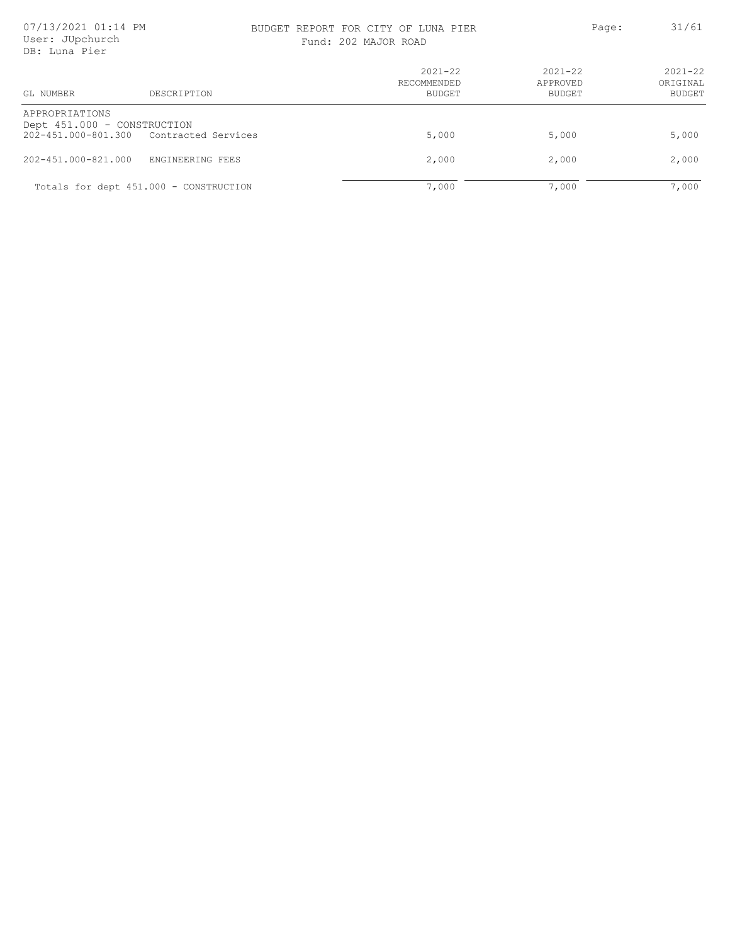### BUDGET REPORT FOR CITY OF LUNA PIER PAGE: 31/61

| Fund: 202 MAJOR ROAD |  |
|----------------------|--|
|----------------------|--|

| DD: Tulla RIET                                                                           |                  |                                      |                                   |                                          |
|------------------------------------------------------------------------------------------|------------------|--------------------------------------|-----------------------------------|------------------------------------------|
| GL NUMBER                                                                                | DESCRIPTION      | $2021 - 22$<br>RECOMMENDED<br>BUDGET | $2021 - 22$<br>APPROVED<br>BUDGET | $2021 - 22$<br>ORIGINAL<br><b>BUDGET</b> |
| APPROPRIATIONS<br>Dept 451.000 - CONSTRUCTION<br>202-451.000-801.300 Contracted Services |                  | 5,000                                | 5,000                             | 5,000                                    |
| $202 - 451.000 - 821.000$                                                                | ENGINEERING FEES | 2,000                                | 2,000                             | 2,000                                    |
| Totals for dept 451.000 - CONSTRUCTION                                                   |                  | 7,000                                | 7,000                             | 7,000                                    |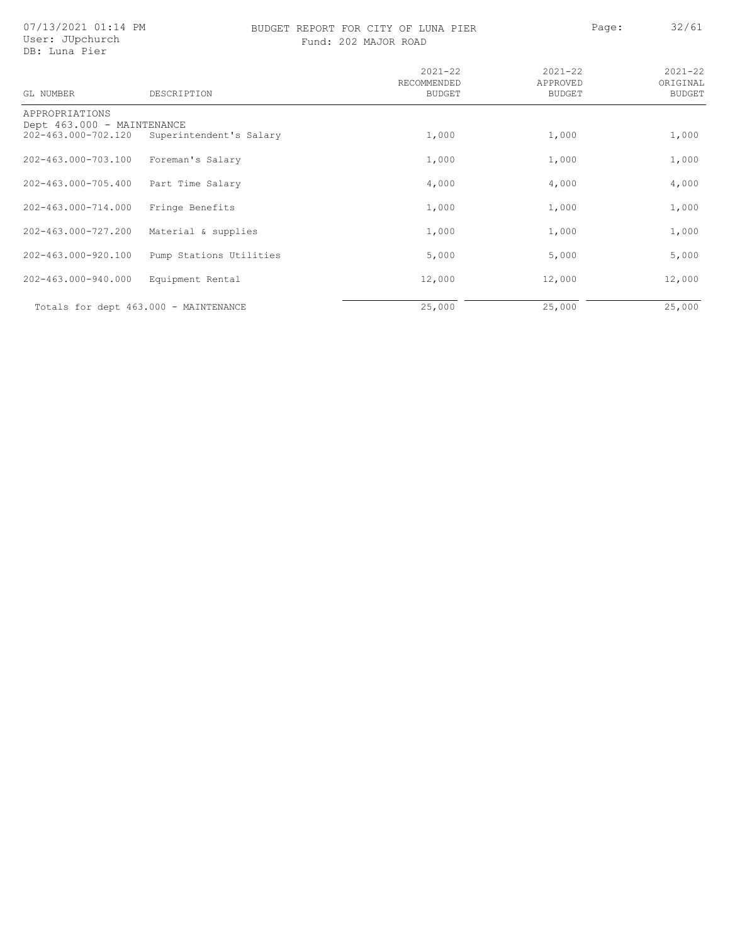07/13/2021 01:14 PM User: JUpchurch DB: Luna Pier

### BUDGET REPORT FOR CITY OF LUNA PIER PAGE: Page: 32/61 Fund: 202 MAJOR ROAD

|  | d: 202 MAJOR ROAD |  |
|--|-------------------|--|
|  |                   |  |

| GL NUMBER                  | DESCRIPTION                           | $2021 - 22$<br>RECOMMENDED<br><b>BUDGET</b> | $2021 - 22$<br>APPROVED<br><b>BUDGET</b> | $2021 - 22$<br>ORIGINAL<br><b>BUDGET</b> |
|----------------------------|---------------------------------------|---------------------------------------------|------------------------------------------|------------------------------------------|
| APPROPRIATIONS             |                                       |                                             |                                          |                                          |
| Dept 463.000 - MAINTENANCE |                                       |                                             |                                          |                                          |
| 202-463.000-702.120        | Superintendent's Salary               | 1,000                                       | 1,000                                    | 1,000                                    |
| 202-463.000-703.100        | Foreman's Salary                      | 1,000                                       | 1,000                                    | 1,000                                    |
| 202-463.000-705.400        | Part Time Salary                      | 4,000                                       | 4,000                                    | 4,000                                    |
| 202-463.000-714.000        | Fringe Benefits                       | 1,000                                       | 1,000                                    | 1,000                                    |
| 202-463.000-727.200        | Material & supplies                   | 1,000                                       | 1,000                                    | 1,000                                    |
| 202-463.000-920.100        | Pump Stations Utilities               | 5,000                                       | 5,000                                    | 5,000                                    |
| 202-463.000-940.000        | Equipment Rental                      | 12,000                                      | 12,000                                   | 12,000                                   |
|                            | Totals for dept 463.000 - MAINTENANCE | 25,000                                      | 25,000                                   | 25,000                                   |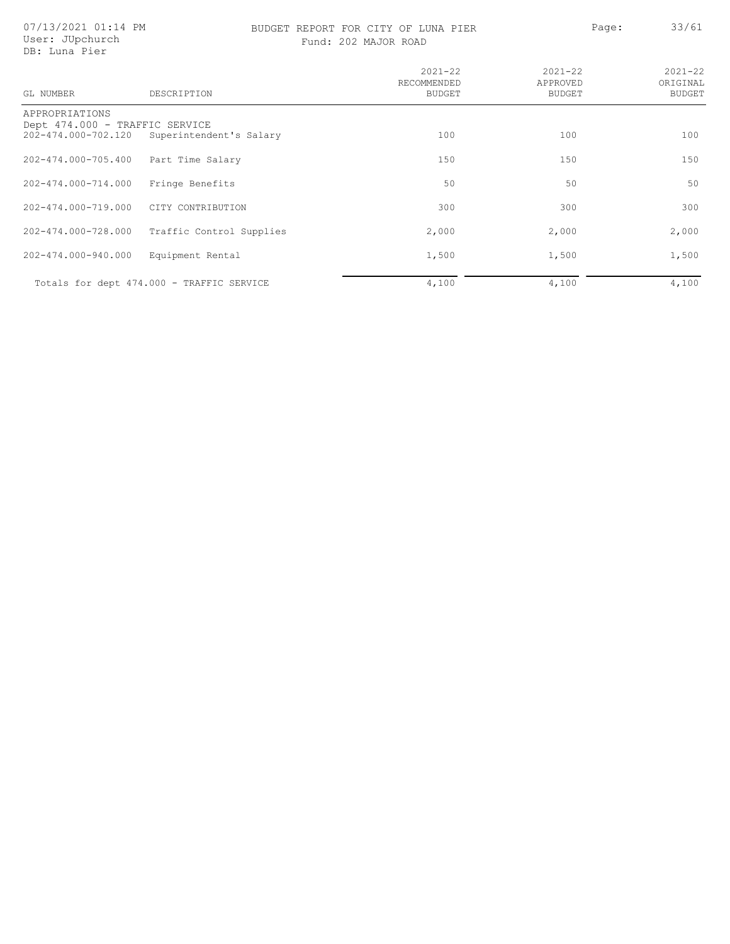# BUDGET REPORT FOR CITY OF LUNA PIER PAGE: 23/61

|  | Fund: 202 MAJOR ROAD |  |
|--|----------------------|--|
|  |                      |  |

| GL NUMBER                      | DESCRIPTION                               | $2021 - 22$<br>RECOMMENDED<br><b>BUDGET</b> | $2021 - 22$<br>APPROVED<br><b>BUDGET</b> | $2021 - 22$<br>ORIGINAL<br><b>BUDGET</b> |
|--------------------------------|-------------------------------------------|---------------------------------------------|------------------------------------------|------------------------------------------|
| APPROPRIATIONS                 |                                           |                                             |                                          |                                          |
| Dept 474.000 - TRAFFIC SERVICE |                                           |                                             |                                          |                                          |
| 202-474.000-702.120            | Superintendent's Salary                   | 100                                         | 100                                      | 100                                      |
| 202-474.000-705.400            | Part Time Salary                          | 150                                         | 150                                      | 150                                      |
|                                |                                           |                                             |                                          |                                          |
| 202-474.000-714.000            | Fringe Benefits                           | 50                                          | 50                                       | 50                                       |
| 202-474.000-719.000            | CITY CONTRIBUTION                         | 300                                         | 300                                      | 300                                      |
|                                |                                           |                                             |                                          |                                          |
| 202-474.000-728.000            | Traffic Control Supplies                  | 2,000                                       | 2,000                                    | 2,000                                    |
| 202-474.000-940.000            | Equipment Rental                          | 1,500                                       | 1,500                                    | 1,500                                    |
|                                |                                           |                                             |                                          |                                          |
|                                | Totals for dept 474.000 - TRAFFIC SERVICE | 4,100                                       | 4,100                                    | 4,100                                    |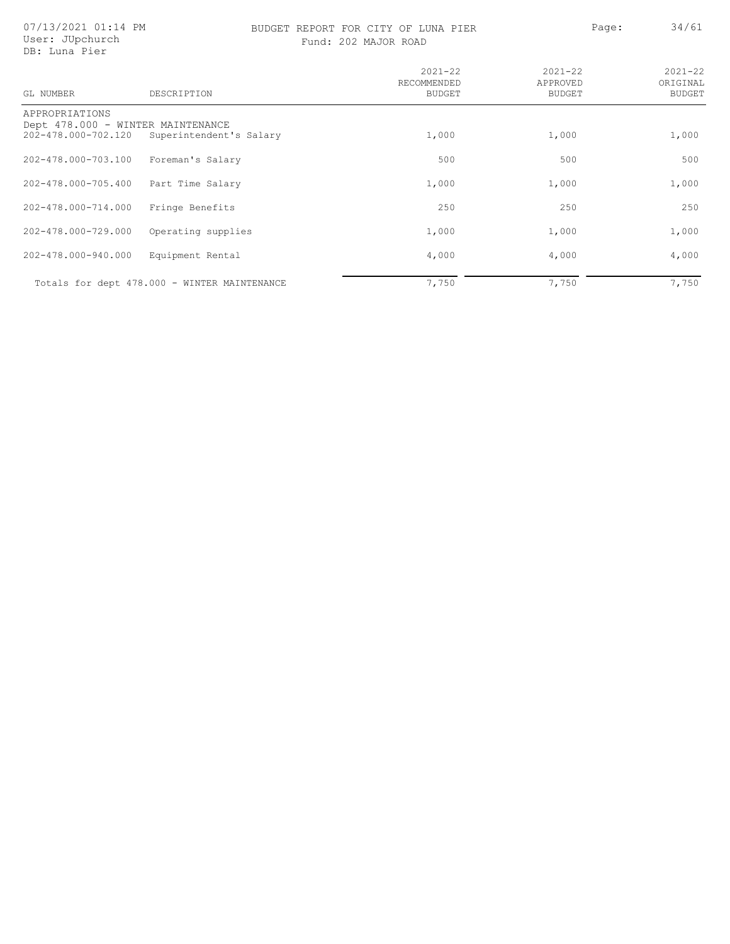# BUDGET REPORT FOR CITY OF LUNA PIER PAGE: Page: 34/61

| GL NUMBER                         | DESCRIPTION                                  | $2021 - 22$<br>RECOMMENDED<br><b>BUDGET</b> | $2021 - 22$<br>APPROVED<br>BUDGET | $2021 - 22$<br>ORIGINAL<br><b>BUDGET</b> |
|-----------------------------------|----------------------------------------------|---------------------------------------------|-----------------------------------|------------------------------------------|
| APPROPRIATIONS                    |                                              |                                             |                                   |                                          |
| Dept 478.000 - WINTER MAINTENANCE |                                              |                                             |                                   |                                          |
| 202-478.000-702.120               | Superintendent's Salary                      | 1,000                                       | 1,000                             | 1,000                                    |
| 202-478.000-703.100               | Foreman's Salary                             | 500                                         | 500                               | 500                                      |
| 202-478.000-705.400               | Part Time Salary                             | 1,000                                       | 1,000                             | 1,000                                    |
| 202-478.000-714.000               | Fringe Benefits                              | 250                                         | 250                               | 250                                      |
| 202-478.000-729.000               | Operating supplies                           | 1,000                                       | 1,000                             | 1,000                                    |
| 202-478.000-940.000               | Equipment Rental                             | 4,000                                       | 4,000                             | 4,000                                    |
|                                   | Totals for dept 478.000 - WINTER MAINTENANCE | 7,750                                       | 7,750                             | 7,750                                    |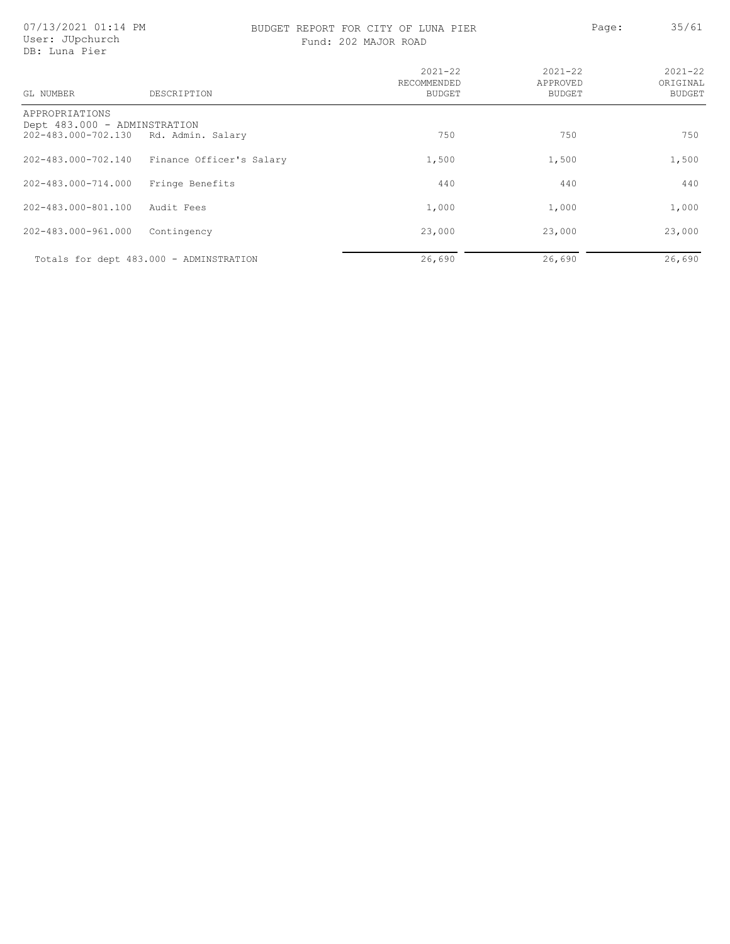### BUDGET REPORT FOR CITY OF LUNA PIER PAGE: Page: 35/61 Fund: 202 MAJOR ROAD

| GL NUMBER                                                             | DESCRIPTION                             | $2021 - 22$<br>RECOMMENDED<br><b>BUDGET</b> | $2021 - 22$<br>APPROVED<br>BUDGET | $2021 - 22$<br>ORIGINAL<br><b>BUDGET</b> |
|-----------------------------------------------------------------------|-----------------------------------------|---------------------------------------------|-----------------------------------|------------------------------------------|
| APPROPRIATIONS<br>Dept 483.000 - ADMINSTRATION<br>202-483.000-702.130 | Rd. Admin. Salary                       | 750                                         | 750                               | 750                                      |
| 202-483.000-702.140                                                   | Finance Officer's Salary                | 1,500                                       | 1,500                             | 1,500                                    |
| 202-483.000-714.000                                                   | Fringe Benefits                         | 440                                         | 440                               | 440                                      |
| 202-483.000-801.100                                                   | Audit Fees                              | 1,000                                       | 1,000                             | 1,000                                    |
| 202-483.000-961.000                                                   | Contingency                             | 23,000                                      | 23,000                            | 23,000                                   |
|                                                                       | Totals for dept 483.000 - ADMINSTRATION | 26,690                                      | 26,690                            | 26,690                                   |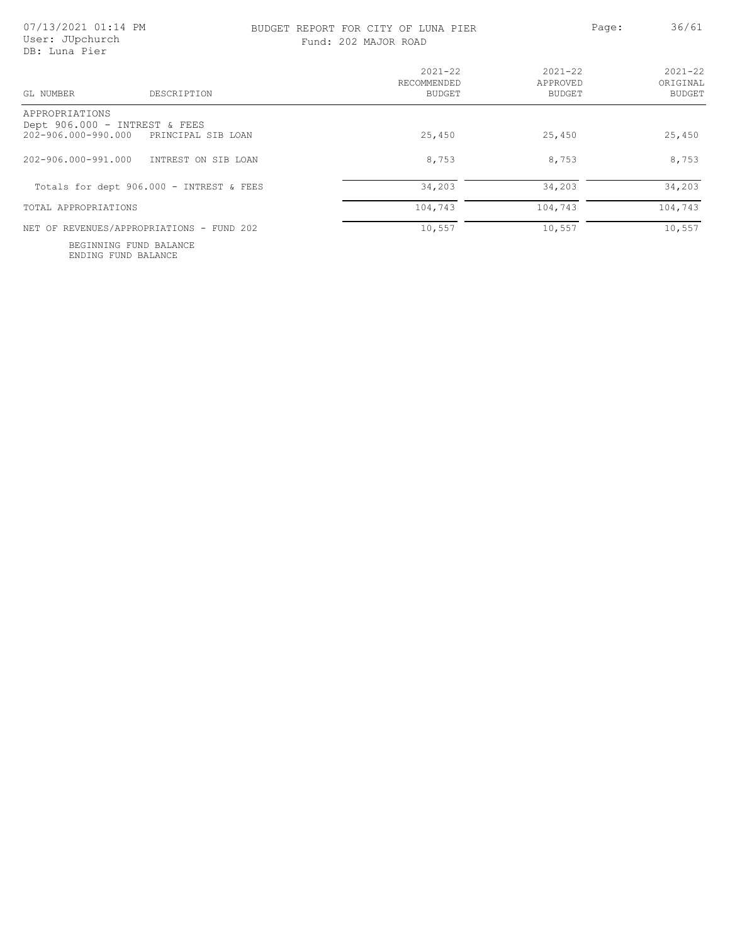### BUDGET REPORT FOR CITY OF LUNA PIER PAGE: Page: 36/61 Fund: 202 MAJOR ROAD

| DESCRIPTION<br>GL NUMBER                                                                  | $2021 - 22$<br>RECOMMENDED<br>BUDGET | $2021 - 22$<br>APPROVED<br>BUDGET | $2021 - 22$<br>ORIGINAL<br><b>BUDGET</b> |
|-------------------------------------------------------------------------------------------|--------------------------------------|-----------------------------------|------------------------------------------|
| APPROPRIATIONS<br>Dept 906.000 - INTREST & FEES<br>202-906.000-990.000 PRINCIPAL SIB LOAN | 25,450                               | 25,450                            | 25,450                                   |
| 202-906.000-991.000<br>INTREST ON SIB LOAN                                                | 8,753                                | 8,753                             | 8,753                                    |
| Totals for dept 906.000 - INTREST & FEES                                                  | 34,203                               | 34,203                            | 34,203                                   |
| TOTAL APPROPRIATIONS                                                                      | 104,743                              | 104,743                           | 104,743                                  |
| NET OF REVENUES/APPROPRIATIONS - FUND 202                                                 | 10,557                               | 10,557                            | 10,557                                   |

ENDING FUND BALANCE BEGINNING FUND BALANCE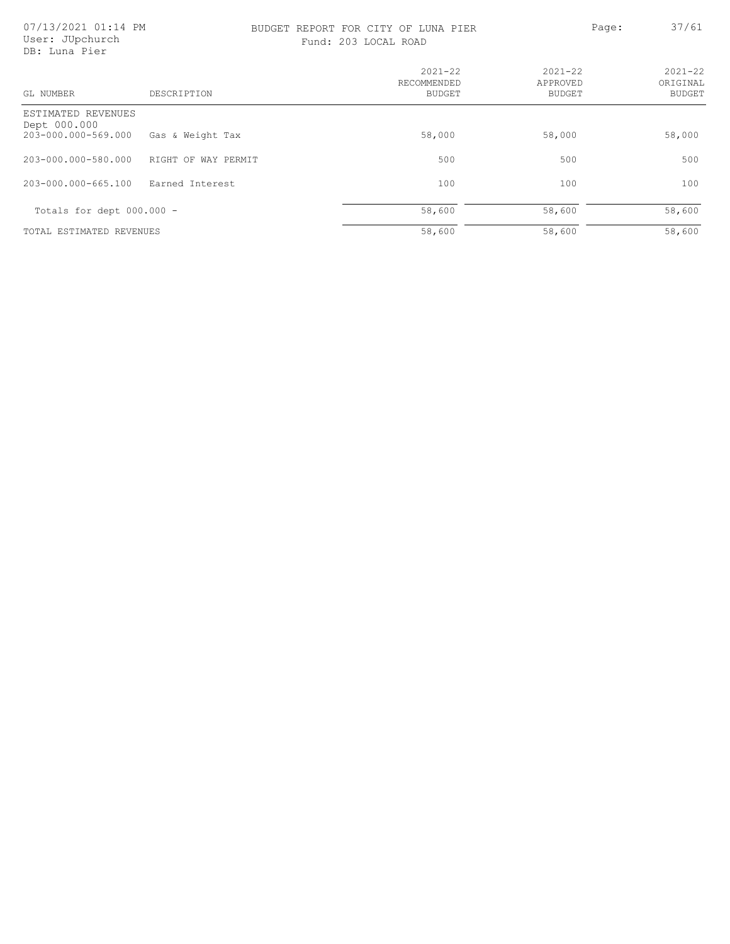### BUDGET REPORT FOR CITY OF LUNA PIER PAGE: 27/61 Fund: 203 LOCAL ROAD

| 203 LOCAL ROAD |  |
|----------------|--|
|                |  |

| GL NUMBER                          | DESCRIPTION         | $2021 - 22$<br>RECOMMENDED<br><b>BUDGET</b> | $2021 - 22$<br>APPROVED<br><b>BUDGET</b> | $2021 - 22$<br>ORIGINAL<br><b>BUDGET</b> |
|------------------------------------|---------------------|---------------------------------------------|------------------------------------------|------------------------------------------|
| ESTIMATED REVENUES<br>Dept 000.000 |                     |                                             |                                          |                                          |
| 203-000.000-569.000                | Gas & Weight Tax    | 58,000                                      | 58,000                                   | 58,000                                   |
| 203-000.000-580.000                | RIGHT OF WAY PERMIT | 500                                         | 500                                      | 500                                      |
| 203-000.000-665.100                | Earned Interest     | 100                                         | 100                                      | 100                                      |
| Totals for dept 000.000 -          |                     | 58,600                                      | 58,600                                   | 58,600                                   |
| TOTAL ESTIMATED REVENUES           |                     | 58,600                                      | 58,600                                   | 58,600                                   |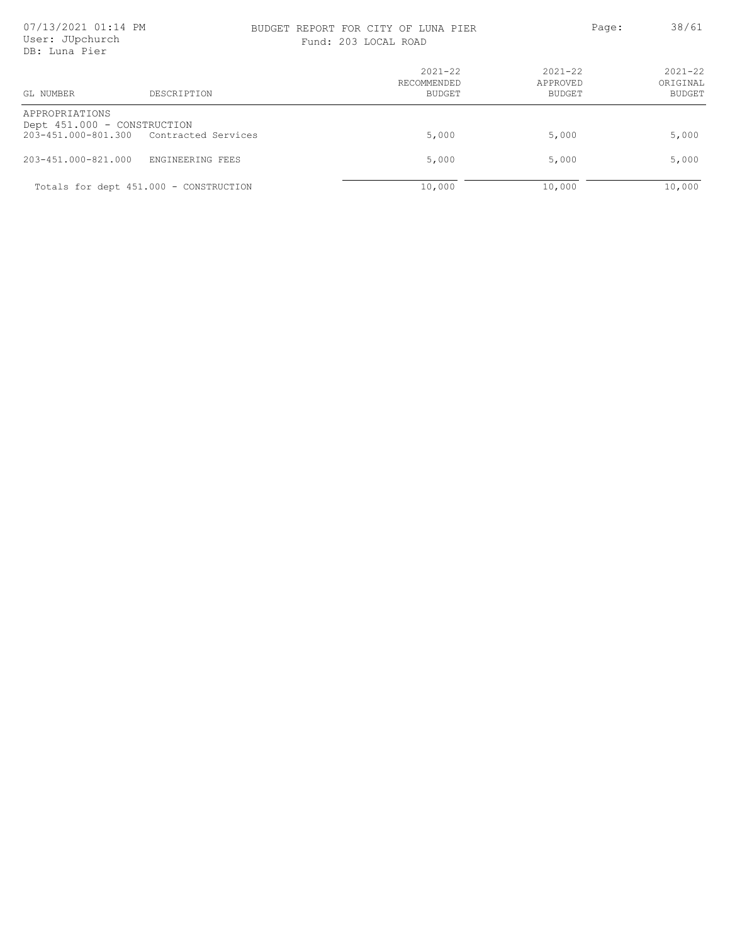### BUDGET REPORT FOR CITY OF LUNA PIER PAGE: Page: 38/61

| Fund: 203 LOCAL ROAD |  |
|----------------------|--|
|----------------------|--|

| GL NUMBER<br>DESCRIPTION                                                                    | $2021 - 22$<br>RECOMMENDED<br>BUDGET | $2021 - 22$<br>APPROVED<br>BUDGET | $2021 - 22$<br>ORIGINAL<br><b>BUDGET</b> |
|---------------------------------------------------------------------------------------------|--------------------------------------|-----------------------------------|------------------------------------------|
| APPROPRIATIONS<br>Dept 451.000 - CONSTRUCTION<br>203-451.000-801.300<br>Contracted Services | 5,000                                | 5,000                             | 5,000                                    |
| 203-451.000-821.000<br>ENGINEERING FEES                                                     | 5,000                                | 5,000                             | 5,000                                    |
| Totals for dept 451.000 - CONSTRUCTION                                                      | 10,000                               | 10,000                            | 10,000                                   |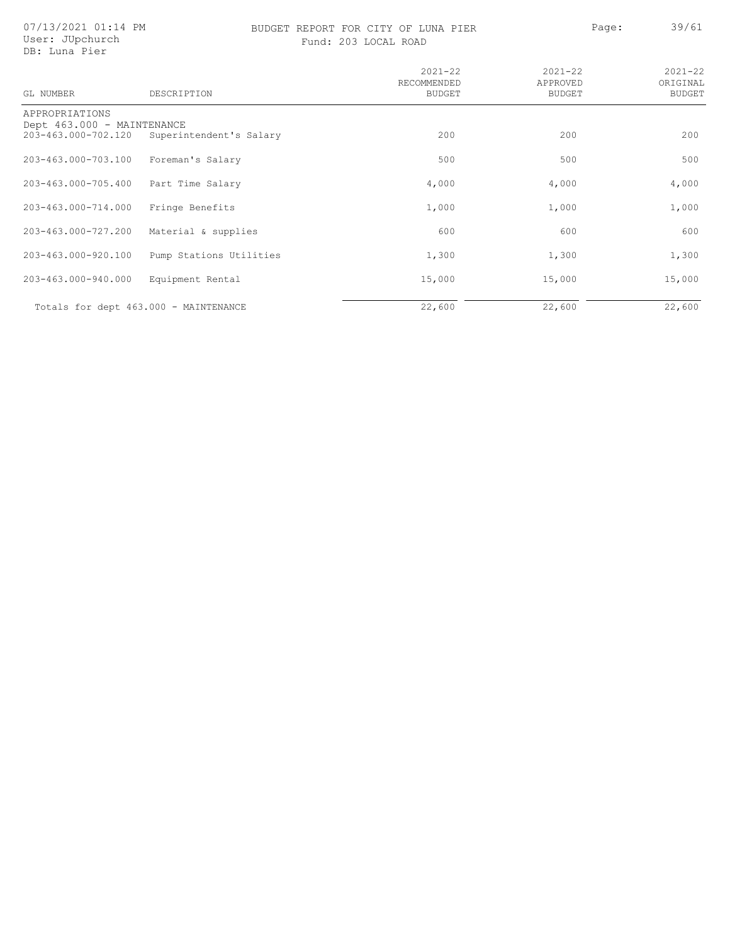07/13/2021 01:14 PM User: JUpchurch DB: Luna Pier

GL NUMBER

# BUDGET REPORT FOR CITY OF LUNA PIER Page: 39/61

2021-22 ORIGINAL BUDGET

| h           | Fund: 203 LOCAL ROAD                 |                                   |
|-------------|--------------------------------------|-----------------------------------|
| DESCRIPTION | $2021 - 22$<br>RECOMMENDED<br>BUDGET | $2021 - 22$<br>APPROVED<br>BUDGET |
| MAINTENANCE |                                      |                                   |

| APPROPRIATIONS<br>Dept 463.000 - MAINTENANCE |                         |        |        |        |
|----------------------------------------------|-------------------------|--------|--------|--------|
| 203-463.000-702.120                          | Superintendent's Salary | 200    | 200    | 200    |
| 203-463.000-703.100                          | Foreman's Salary        | 500    | 500    | 500    |
| 203-463.000-705.400                          | Part Time Salary        | 4,000  | 4,000  | 4,000  |
| 203-463.000-714.000                          | Fringe Benefits         | 1,000  | 1,000  | 1,000  |
| 203-463.000-727.200                          | Material & supplies     | 600    | 600    | 600    |
| 203-463.000-920.100                          | Pump Stations Utilities | 1,300  | 1,300  | 1,300  |
| 203-463.000-940.000                          | Equipment Rental        | 15,000 | 15,000 | 15,000 |
| Totals for dept 463.000 - MAINTENANCE        |                         | 22,600 | 22,600 | 22,600 |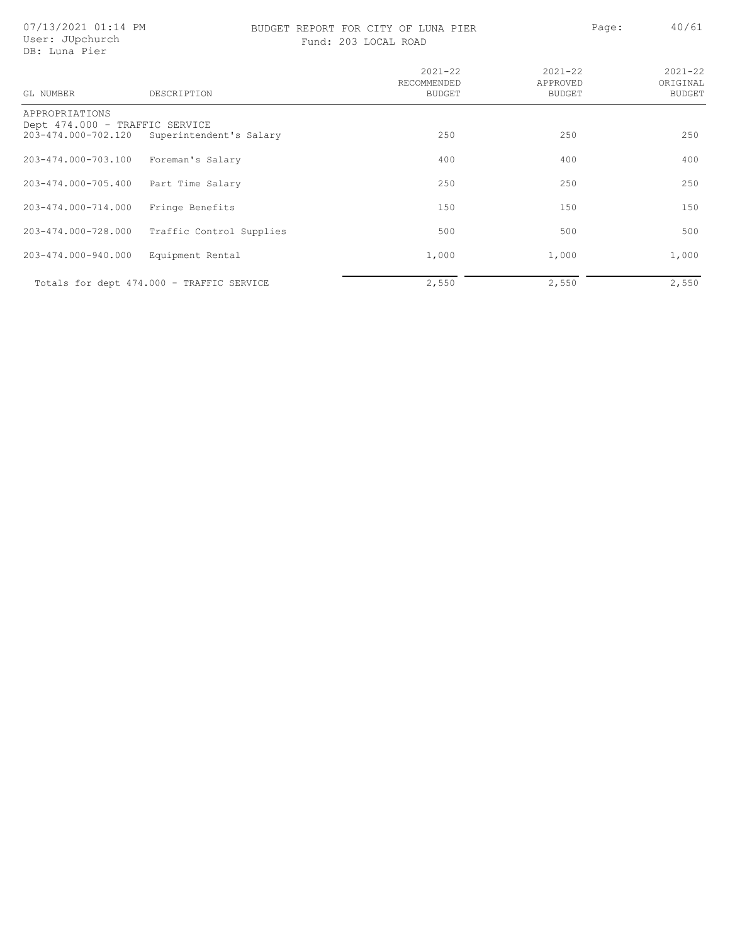### BUDGET REPORT FOR CITY OF LUNA PIER Page: 40/61 Fund: 203 LOCAL ROAD

| GL NUMBER                                             | DESCRIPTION                               | $2021 - 22$<br>RECOMMENDED<br><b>BUDGET</b> | $2021 - 22$<br>APPROVED<br><b>BUDGET</b> | $2021 - 22$<br>ORIGINAL<br><b>BUDGET</b> |
|-------------------------------------------------------|-------------------------------------------|---------------------------------------------|------------------------------------------|------------------------------------------|
| APPROPRIATIONS                                        |                                           |                                             |                                          |                                          |
| Dept 474.000 - TRAFFIC SERVICE<br>203-474.000-702.120 | Superintendent's Salary                   | 250                                         | 250                                      | 250                                      |
| 203-474.000-703.100                                   | Foreman's Salary                          | 400                                         | 400                                      | 400                                      |
| 203-474.000-705.400                                   | Part Time Salary                          | 250                                         | 250                                      | 250                                      |
| 203-474.000-714.000                                   | Fringe Benefits                           | 150                                         | 150                                      | 150                                      |
| 203-474.000-728.000                                   | Traffic Control Supplies                  | 500                                         | 500                                      | 500                                      |
| 203-474.000-940.000                                   | Equipment Rental                          | 1,000                                       | 1,000                                    | 1,000                                    |
|                                                       | Totals for dept 474.000 - TRAFFIC SERVICE | 2,550                                       | 2,550                                    | 2,550                                    |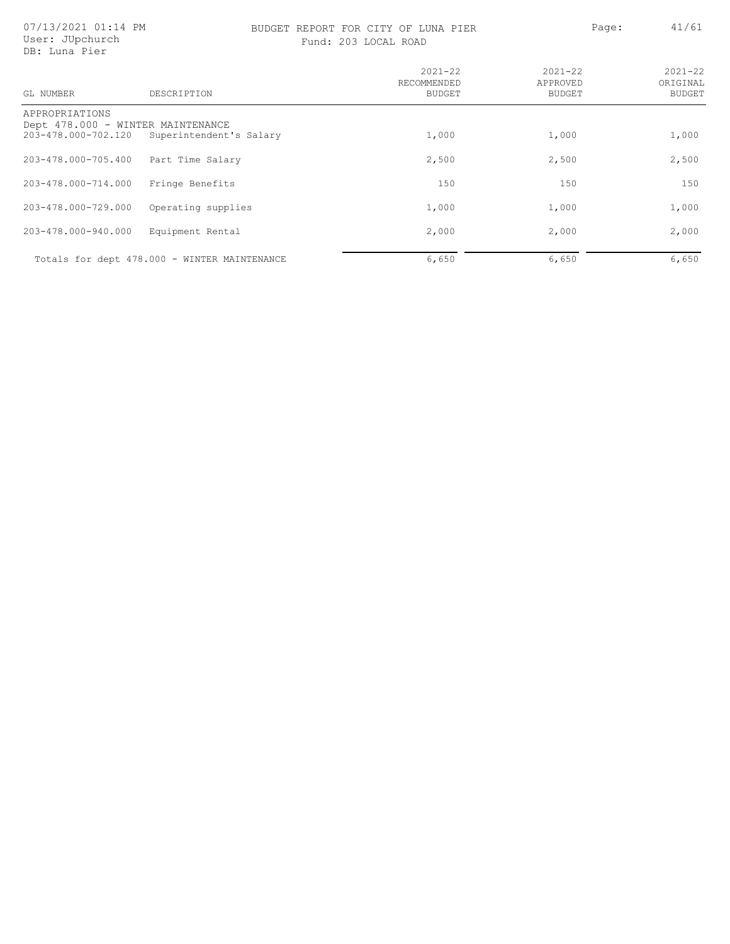### BUDGET REPORT FOR CITY OF LUNA PIER PAGE: 41/61

Fund: 203 LOCAL ROAD

| GL NUMBER                                                                  | DESCRIPTION                                  | $2021 - 22$<br>RECOMMENDED<br><b>BUDGET</b> | $2021 - 22$<br>APPROVED<br><b>BUDGET</b> | $2021 - 22$<br>ORIGINAL<br><b>BUDGET</b> |
|----------------------------------------------------------------------------|----------------------------------------------|---------------------------------------------|------------------------------------------|------------------------------------------|
| APPROPRIATIONS<br>Dept 478.000 - WINTER MAINTENANCE<br>203-478.000-702.120 | Superintendent's Salary                      | 1,000                                       | 1,000                                    | 1,000                                    |
| 203-478.000-705.400                                                        | Part Time Salary                             | 2,500                                       | 2,500                                    | 2,500                                    |
| 203-478.000-714.000                                                        | Fringe Benefits                              | 150                                         | 150                                      | 150                                      |
| 203-478.000-729.000                                                        | Operating supplies                           | 1,000                                       | 1,000                                    | 1,000                                    |
| 203-478.000-940.000                                                        | Equipment Rental                             | 2,000                                       | 2,000                                    | 2,000                                    |
|                                                                            | Totals for dept 478.000 - WINTER MAINTENANCE | 6,650                                       | 6,650                                    | 6,650                                    |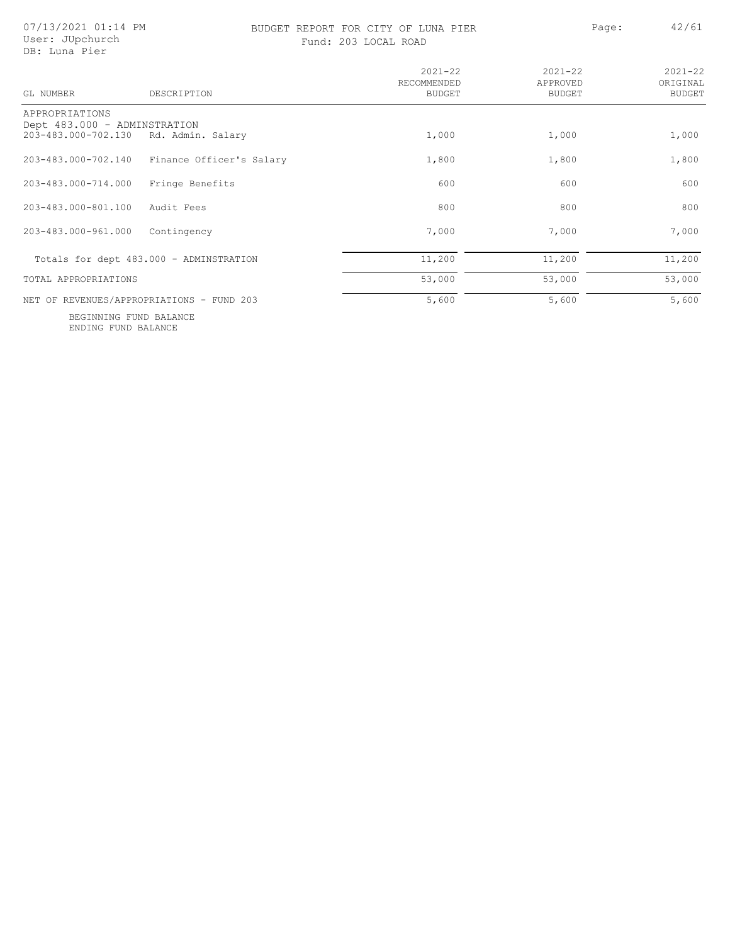07/13/2021 01:14 PM User: JUpchurch DB: Luna Pier

### BUDGET REPORT FOR CITY OF LUNA PIER PAGE: 42/61 Fund: 203 LOCAL ROAD

|  | 203 LOCAL ROAD |  |
|--|----------------|--|
|--|----------------|--|

| Paqe: | 42/ |
|-------|-----|
|       |     |

| GL NUMBER                                           | DESCRIPTION                               | $2021 - 22$<br>RECOMMENDED<br><b>BUDGET</b> | $2021 - 22$<br>APPROVED<br>BUDGET | $2021 - 22$<br>ORIGINAL<br><b>BUDGET</b> |
|-----------------------------------------------------|-------------------------------------------|---------------------------------------------|-----------------------------------|------------------------------------------|
| APPROPRIATIONS                                      |                                           |                                             |                                   |                                          |
| Dept 483.000 - ADMINSTRATION<br>203-483.000-702.130 | Rd. Admin. Salary                         | 1,000                                       | 1,000                             | 1,000                                    |
| 203-483.000-702.140                                 | Finance Officer's Salary                  | 1,800                                       | 1,800                             | 1,800                                    |
| 203-483.000-714.000                                 | Fringe Benefits                           | 600                                         | 600                               | 600                                      |
| 203-483.000-801.100                                 | Audit Fees                                | 800                                         | 800                               | 800                                      |
| 203-483.000-961.000                                 | Contingency                               | 7,000                                       | 7,000                             | 7,000                                    |
|                                                     | Totals for dept 483.000 - ADMINSTRATION   | 11,200                                      | 11,200                            | 11,200                                   |
| TOTAL APPROPRIATIONS                                |                                           | 53,000                                      | 53,000                            | 53,000                                   |
|                                                     | NET OF REVENUES/APPROPRIATIONS - FUND 203 | 5,600                                       | 5,600                             | 5,600                                    |

ENDING FUND BALANCE BEGINNING FUND BALANCE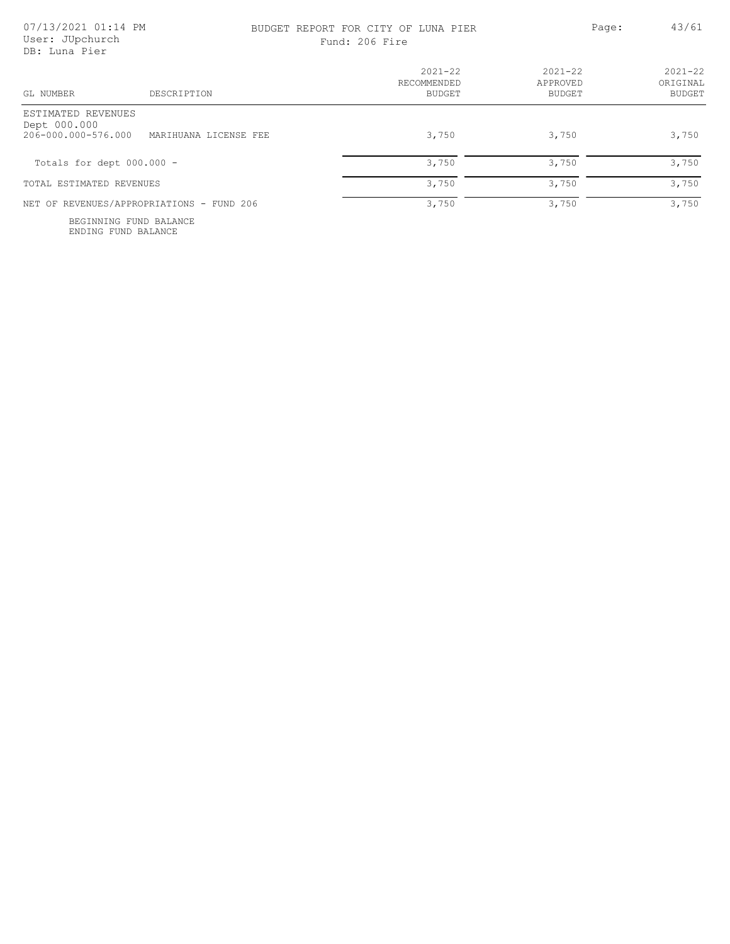### BUDGET REPORT FOR CITY OF LUNA PIER PAGE: 43/61 Fund: 206 Fire

| DESCRIPTION<br>GL NUMBER                                                           | $2021 - 22$<br>RECOMMENDED<br><b>BUDGET</b> | $2021 - 22$<br>APPROVED<br>BUDGET | $2021 - 22$<br>ORIGINAL<br><b>BUDGET</b> |
|------------------------------------------------------------------------------------|---------------------------------------------|-----------------------------------|------------------------------------------|
| ESTIMATED REVENUES<br>Dept 000.000<br>206-000.000-576.000<br>MARIHUANA LICENSE FEE | 3,750                                       | 3,750                             | 3,750                                    |
| Totals for dept $000.000 -$                                                        | 3,750                                       | 3,750                             | 3,750                                    |
| TOTAL ESTIMATED REVENUES                                                           | 3,750                                       | 3,750                             | 3,750                                    |
| NET OF REVENUES/APPROPRIATIONS - FUND 206                                          | 3,750                                       | 3,750                             | 3,750                                    |

ENDING FUND BALANCE BEGINNING FUND BALANCE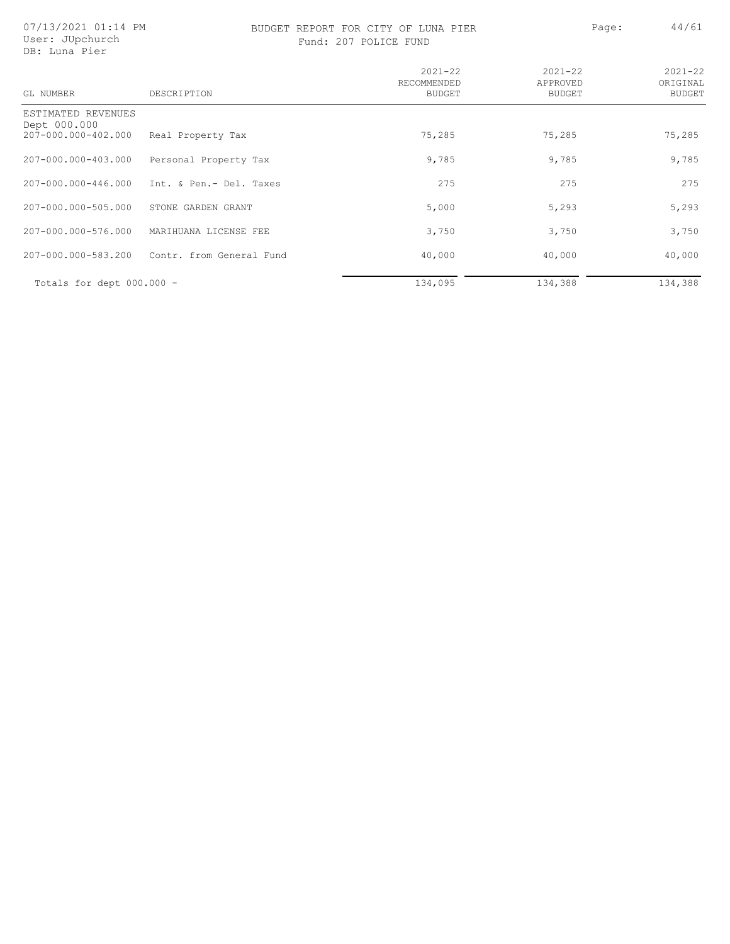07/13/2021 01:14 PM User: JUpchurch DB: Luna Pier

### BUDGET REPORT FOR CITY OF LUNA PIER PAGE: A4/61 Fund: 207 POLICE FUND

| GL NUMBER                          | DESCRIPTION              | $2021 - 22$<br>RECOMMENDED<br><b>BUDGET</b> | $2021 - 22$<br>APPROVED<br><b>BUDGET</b> | $2021 - 22$<br>ORIGINAL<br><b>BUDGET</b> |
|------------------------------------|--------------------------|---------------------------------------------|------------------------------------------|------------------------------------------|
| ESTIMATED REVENUES<br>Dept 000.000 |                          |                                             |                                          |                                          |
| 207-000.000-402.000                | Real Property Tax        | 75,285                                      | 75,285                                   | 75,285                                   |
| 207-000.000-403.000                | Personal Property Tax    | 9,785                                       | 9,785                                    | 9,785                                    |
| 207-000.000-446.000                | Int. & Pen.- Del. Taxes  | 275                                         | 275                                      | 275                                      |
| 207-000.000-505.000                | STONE GARDEN GRANT       | 5,000                                       | 5,293                                    | 5,293                                    |
| 207-000.000-576.000                | MARIHUANA LICENSE FEE    | 3,750                                       | 3,750                                    | 3,750                                    |
| 207-000.000-583.200                | Contr. from General Fund | 40,000                                      | 40,000                                   | 40,000                                   |
| Totals for dept $000.000 -$        |                          | 134,095                                     | 134,388                                  | 134,388                                  |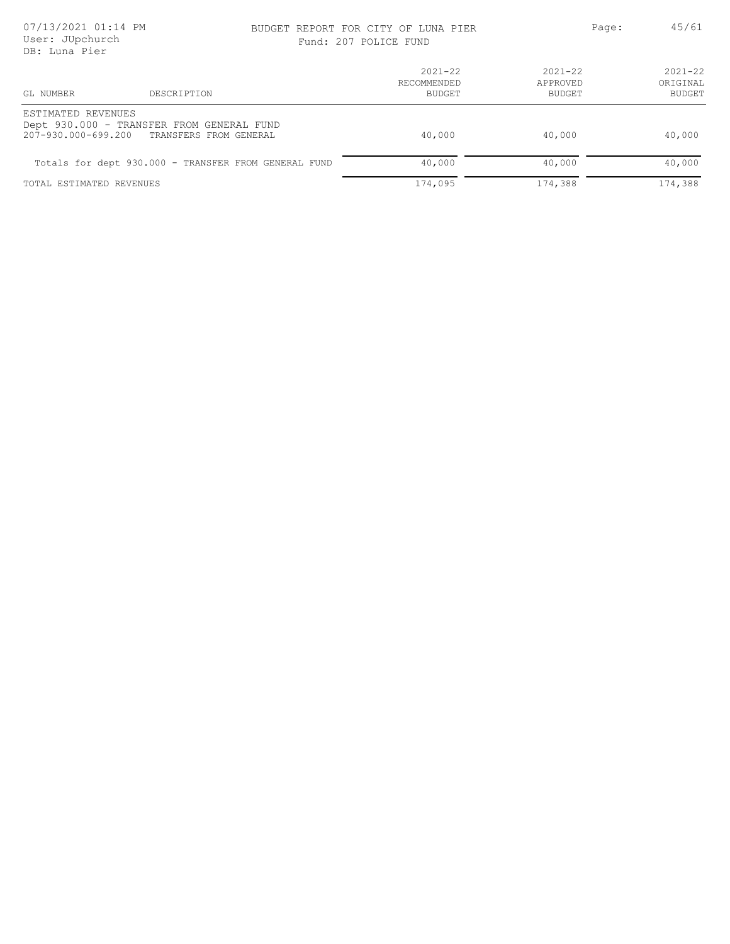# BUDGET REPORT FOR CITY OF LUNA PIER Page: 45/61

| Fund: 207 POLICE FUND |  |  |  |  |  |
|-----------------------|--|--|--|--|--|
|-----------------------|--|--|--|--|--|

| 22. Bana 1101                                                                                                 |                                      |                                   |                                          |
|---------------------------------------------------------------------------------------------------------------|--------------------------------------|-----------------------------------|------------------------------------------|
| GL NUMBER<br>DESCRIPTION                                                                                      | $2021 - 22$<br>RECOMMENDED<br>BUDGET | $2021 - 22$<br>APPROVED<br>BUDGET | $2021 - 22$<br>ORTGINAL<br><b>BUDGET</b> |
| ESTIMATED REVENUES<br>Dept 930.000 - TRANSFER FROM GENERAL FUND<br>207-930.000-699.200 TRANSFERS FROM GENERAL | 40,000                               | 40,000                            | 40,000                                   |
| Totals for dept 930.000 - TRANSFER FROM GENERAL FUND                                                          | 40,000                               | 40,000                            | 40,000                                   |
| TOTAL ESTIMATED REVENUES                                                                                      | 174,095                              | 174,388                           | 174,388                                  |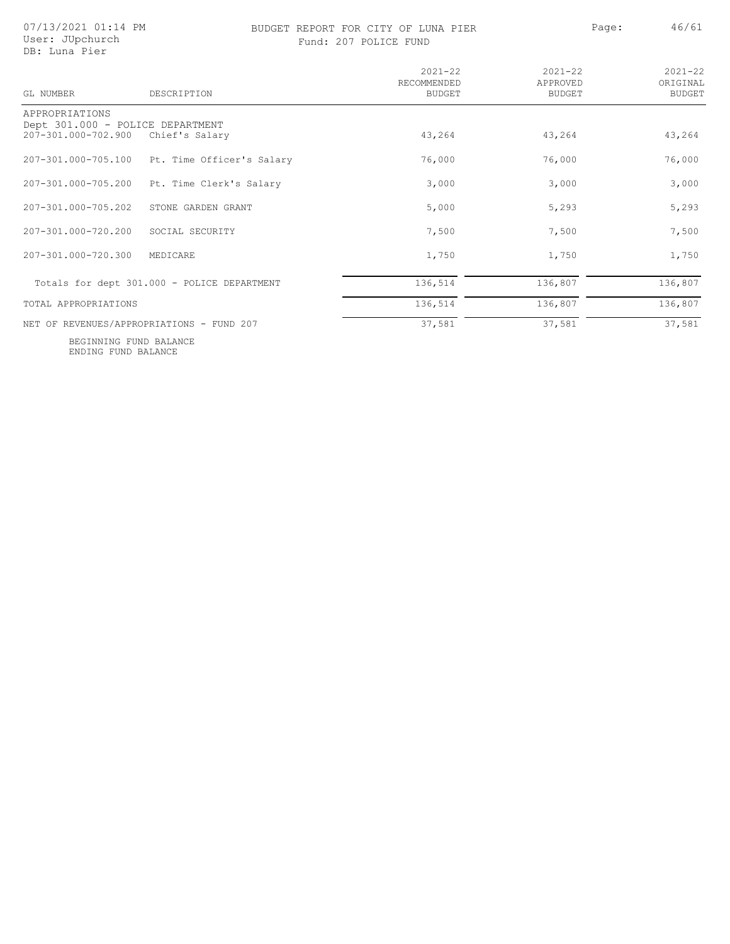### BUDGET REPORT FOR CITY OF LUNA PIER PAGE: Page: 46/61 Fund: 207 POLICE FUND

| GL NUMBER                                               | DESCRIPTION                                 | $2021 - 22$<br>RECOMMENDED<br><b>BUDGET</b> | $2021 - 22$<br>APPROVED<br><b>BUDGET</b> | $2021 - 22$<br>ORIGINAL<br>BUDGET |
|---------------------------------------------------------|---------------------------------------------|---------------------------------------------|------------------------------------------|-----------------------------------|
| APPROPRIATIONS                                          |                                             |                                             |                                          |                                   |
| Dept 301.000 - POLICE DEPARTMENT<br>207-301.000-702.900 | Chief's Salary                              | 43,264                                      | 43,264                                   | 43,264                            |
| 207-301.000-705.100                                     | Pt. Time Officer's Salary                   | 76,000                                      | 76,000                                   | 76,000                            |
| 207-301.000-705.200                                     | Pt. Time Clerk's Salary                     | 3,000                                       | 3,000                                    | 3,000                             |
| 207-301.000-705.202                                     | STONE GARDEN GRANT                          | 5,000                                       | 5,293                                    | 5,293                             |
| 207-301.000-720.200                                     | SOCIAL SECURITY                             | 7,500                                       | 7,500                                    | 7,500                             |
| 207-301.000-720.300                                     | MEDICARE                                    | 1,750                                       | 1,750                                    | 1,750                             |
|                                                         | Totals for dept 301.000 - POLICE DEPARTMENT | 136,514                                     | 136,807                                  | 136,807                           |
| TOTAL APPROPRIATIONS                                    |                                             | 136,514                                     | 136,807                                  | 136,807                           |
|                                                         | NET OF REVENUES/APPROPRIATIONS - FUND 207   | 37,581                                      | 37,581                                   | 37,581                            |

ENDING FUND BALANCE BEGINNING FUND BALANCE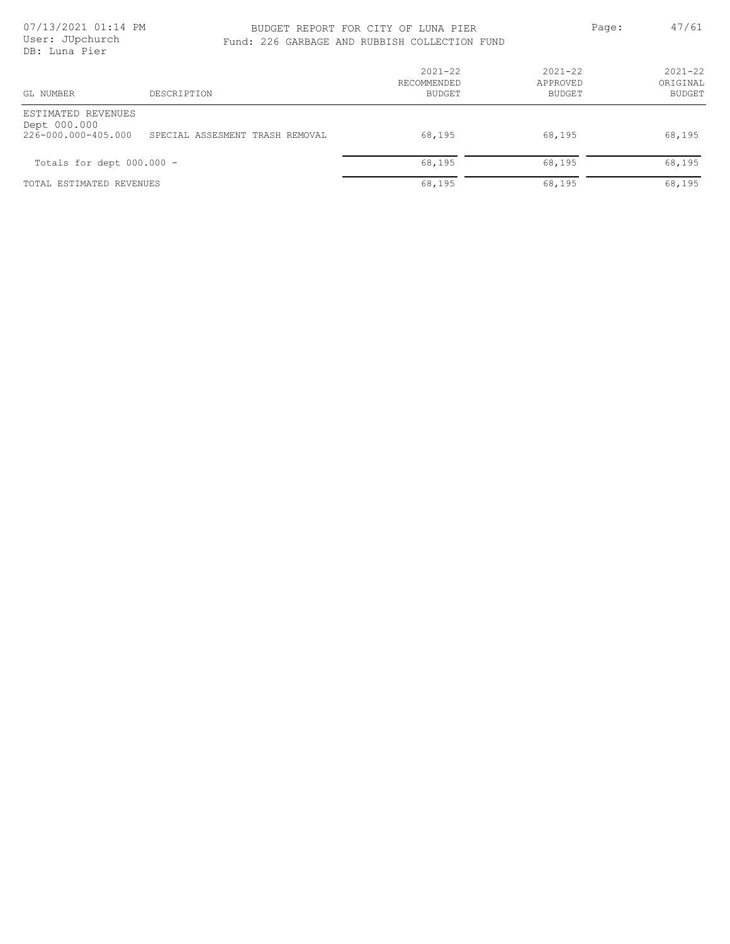### BUDGET REPORT FOR CITY OF LUNA PIER PAGE: 47/61 Fund: 226 GARBAGE AND RUBBISH COLLECTION FUND

| GL NUMBER                                                 | DESCRIPTION                     | $2021 - 22$<br>RECOMMENDED<br><b>BUDGET</b> | $2021 - 22$<br>APPROVED<br><b>BUDGET</b> | $2021 - 22$<br>ORIGINAL<br><b>BUDGET</b> |
|-----------------------------------------------------------|---------------------------------|---------------------------------------------|------------------------------------------|------------------------------------------|
| ESTIMATED REVENUES<br>Dept 000.000<br>226-000.000-405.000 | SPECIAL ASSESMENT TRASH REMOVAL | 68,195                                      | 68,195                                   | 68,195                                   |
| Totals for dept $000.000 -$                               |                                 | 68,195                                      | 68,195                                   | 68,195                                   |
| TOTAL ESTIMATED REVENUES                                  |                                 | 68,195                                      | 68,195                                   | 68,195                                   |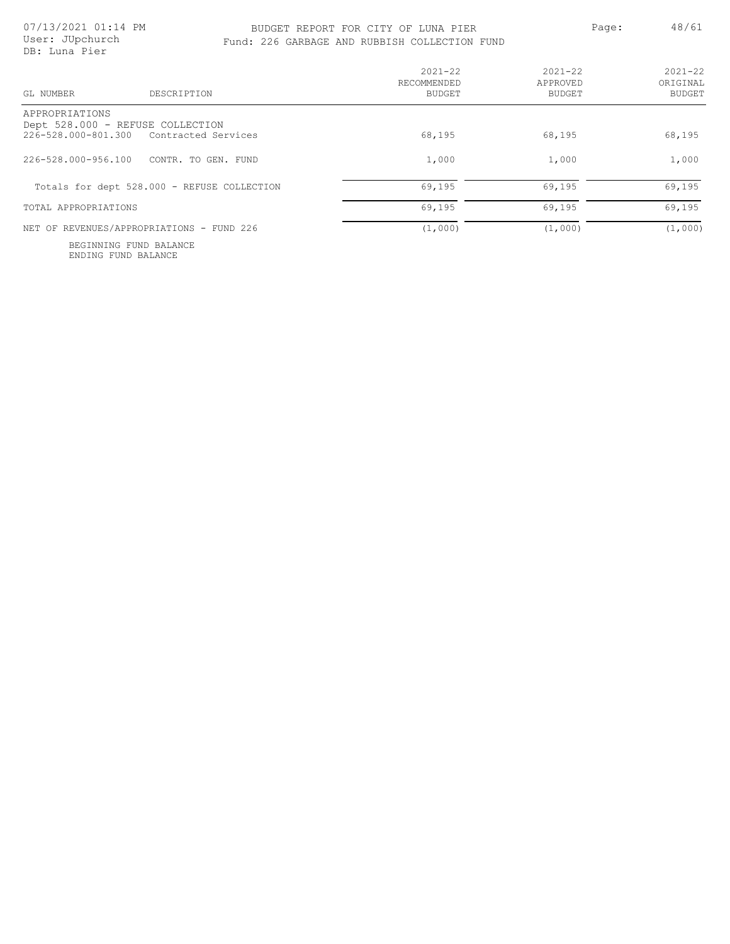# BUDGET REPORT FOR CITY OF LUNA PIER Page: 48/61

| User: JUpchurch<br>DB: Luna Pier |                                             | Fund: 226 GARBAGE AND RUBBISH COLLECTION FUND |                                   |                                          |
|----------------------------------|---------------------------------------------|-----------------------------------------------|-----------------------------------|------------------------------------------|
| GL NUMBER                        | DESCRIPTION                                 | $2021 - 22$<br>RECOMMENDED<br><b>BUDGET</b>   | $2021 - 22$<br>APPROVED<br>BUDGET | $2021 - 22$<br>ORIGINAL<br><b>BUDGET</b> |
| APPROPRIATIONS                   |                                             |                                               |                                   |                                          |
| Dept 528.000 - REFUSE COLLECTION |                                             |                                               |                                   |                                          |
|                                  | 226-528.000-801.300 Contracted Services     | 68,195                                        | 68,195                            | 68,195                                   |
| 226-528.000-956.100              | CONTR. TO GEN. FUND                         | 1,000                                         | 1,000                             | 1,000                                    |
|                                  | Totals for dept 528.000 - REFUSE COLLECTION | 69,195                                        | 69,195                            | 69,195                                   |

TOTAL APPROPRIATIONS 69, 195

NET OF REVENUES/APPROPRIATIONS - FUND 226  $\overline{(1,000)}$  (1,000) (1,000) (1,000)

ENDING FUND BALANCE BEGINNING FUND BALANCE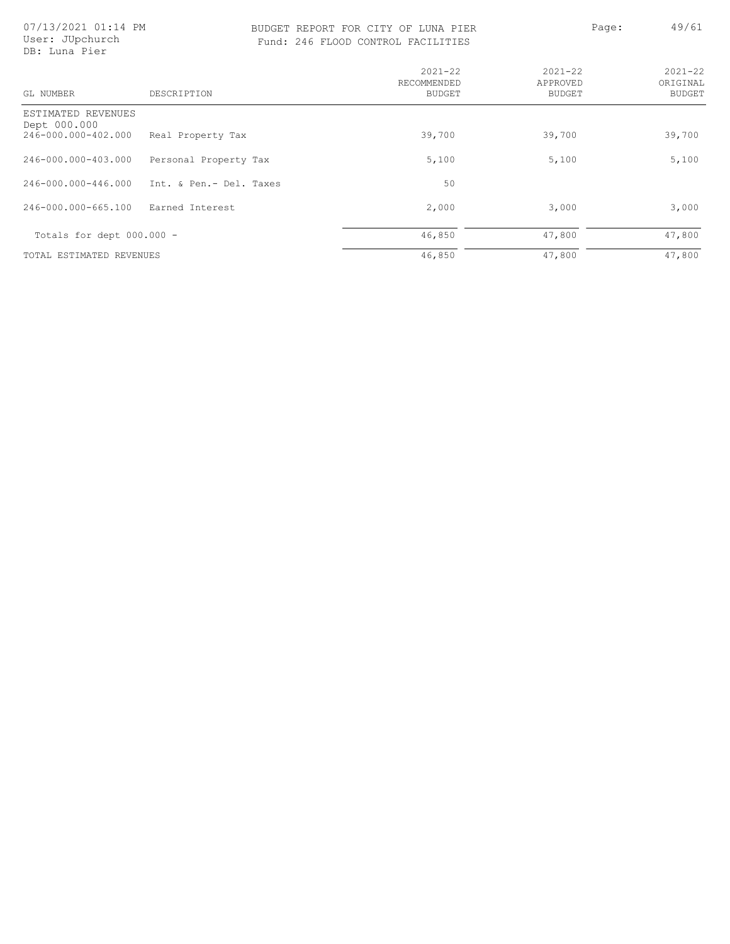07/13/2021 01:14 PM User: JUpchurch DB: Luna Pier

### BUDGET REPORT FOR CITY OF LUNA PIER PAGE: 49/61 Fund: 246 FLOOD CONTROL FACILITIES

| OL FACILITIES |
|---------------|

| e: |  |  |  | 4 | J.<br>í. |
|----|--|--|--|---|----------|
|    |  |  |  |   |          |

| GL NUMBER                                                 | DESCRIPTION             | $2021 - 22$<br>RECOMMENDED<br><b>BUDGET</b> | $2021 - 22$<br>APPROVED<br><b>BUDGET</b> | $2021 - 22$<br>ORIGINAL<br><b>BUDGET</b> |
|-----------------------------------------------------------|-------------------------|---------------------------------------------|------------------------------------------|------------------------------------------|
| ESTIMATED REVENUES<br>Dept 000.000<br>246-000.000-402.000 | Real Property Tax       | 39,700                                      | 39,700                                   | 39,700                                   |
| 246-000.000-403.000                                       | Personal Property Tax   | 5,100                                       | 5,100                                    | 5,100                                    |
| 246-000.000-446.000                                       | Int. & Pen.- Del. Taxes | 50                                          |                                          |                                          |
| 246-000.000-665.100                                       | Earned Interest         | 2,000                                       | 3,000                                    | 3,000                                    |
| Totals for dept $000.000 -$                               |                         | 46,850                                      | 47,800                                   | 47,800                                   |
| TOTAL ESTIMATED REVENUES                                  |                         | 46,850                                      | 47,800                                   | 47,800                                   |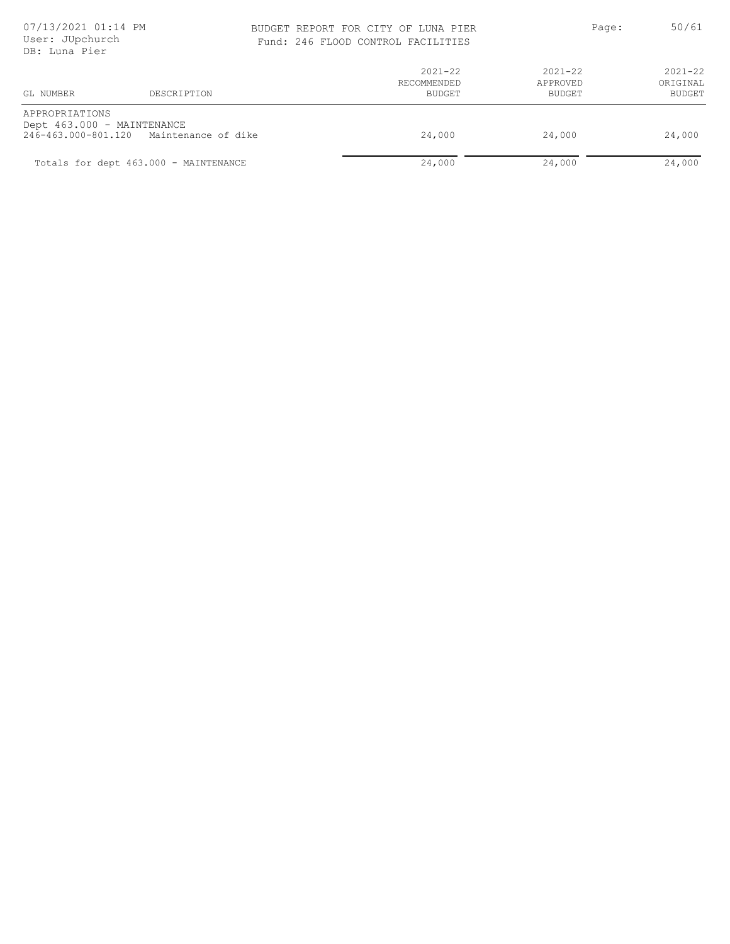### BUDGET REPORT FOR CITY OF LUNA PIER PAGE: 50/61 Fund: 246 FLOOD CONTROL FACILITIES

| GL NUMBER                                    | DESCRIPTION                             | $2021 - 22$<br>RECOMMENDED<br><b>BUDGET</b> | $2021 - 22$<br>APPROVED<br>BUDGET | $2021 - 22$<br>ORIGINAL<br>BUDGET |
|----------------------------------------------|-----------------------------------------|---------------------------------------------|-----------------------------------|-----------------------------------|
| APPROPRIATIONS<br>Dept 463.000 - MAINTENANCE | 246-463.000-801.120 Maintenance of dike | 24,000                                      | 24,000                            | 24,000                            |
|                                              | Totals for dept 463.000 - MAINTENANCE   | 24,000                                      | 24,000                            | 24,000                            |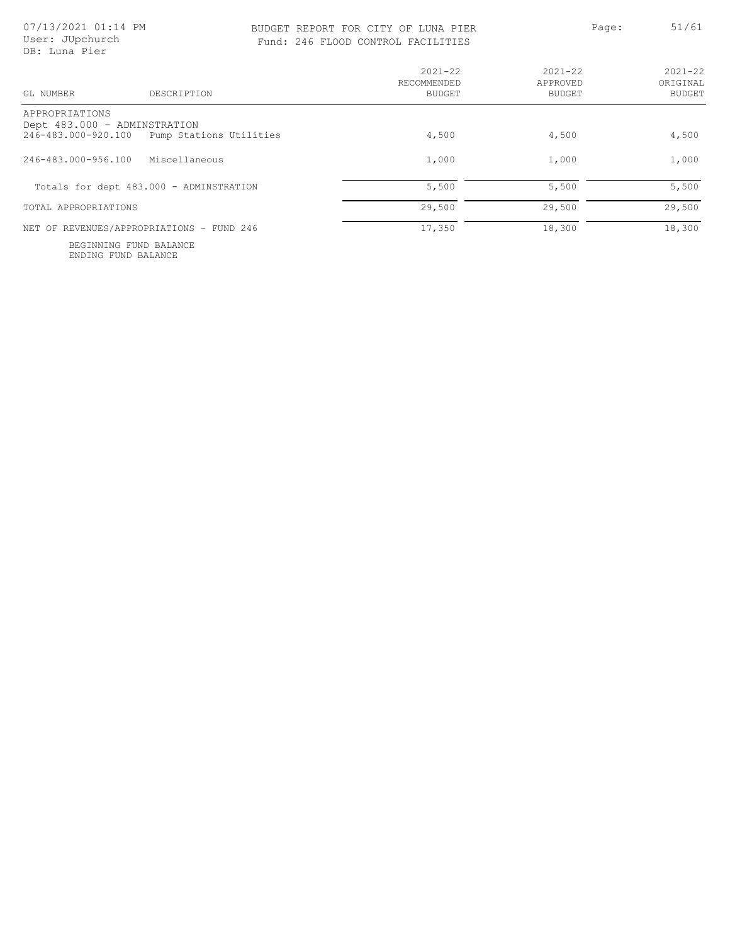APPROPRIATIONS

GL NUMBER DESCRIPTION

# BUDGET REPORT FOR CITY OF LUNA PIER Page: 51/61

| DANGET IZELAIJI LAN ATIT AL HAMU LIEN<br>Fund: 246 FLOOD CONTROL FACILITIES |                              | $    -$            | $\sim$ $ \sim$ $-$ |
|-----------------------------------------------------------------------------|------------------------------|--------------------|--------------------|
|                                                                             | $2021 - 22$                  | $2021 - 22$        | $2021 - 22$        |
|                                                                             | RECOMMENDED<br><b>BUDGET</b> | APPROVED<br>BUDGET | ORIGINAL<br>BUDGET |
| $T+++1+++200$                                                               | 1.500                        | 1.500              | 1.500              |

| Dept 483.000 - ADMINSTRATION                   |        |        |        |
|------------------------------------------------|--------|--------|--------|
| Pump Stations Utilities<br>246-483.000-920.100 | 4,500  | 4,500  | 4,500  |
| 246-483.000-956.100<br>Miscellaneous           | 1,000  | 1,000  | 1,000  |
| Totals for dept 483.000 - ADMINSTRATION        | 5,500  | 5,500  | 5,500  |
| TOTAL APPROPRIATIONS                           | 29,500 | 29,500 | 29,500 |
| NET OF REVENUES/APPROPRIATIONS - FUND 246      | 17,350 | 18,300 | 18,300 |

ENDING FUND BALANCE BEGINNING FUND BALANCE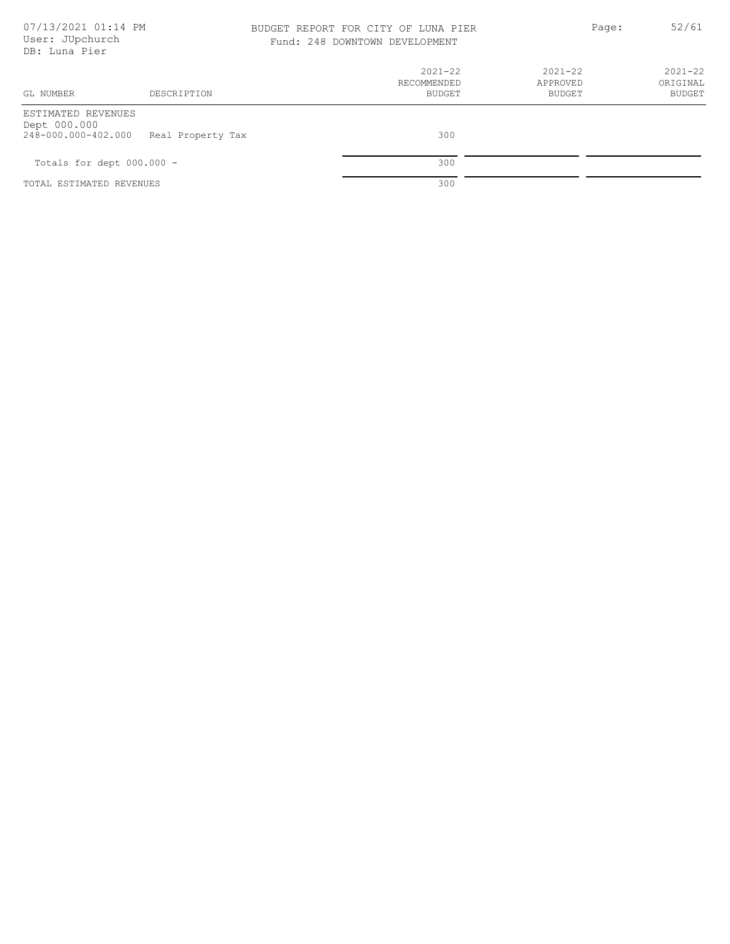### 07/13/2021 01:14 PM BUDGET REPORT FOR CITY OF LUNA PIER Page: 52/61 Fund: 248 DOWNTOWN DEVELOPMENT

|  | Fund: 248 DOWNTOWN DEVELOPMENT |
|--|--------------------------------|
|  |                                |

| GL NUMBER                                                 | DESCRIPTION       | $2021 - 22$<br>RECOMMENDED<br><b>BUDGET</b> | $2021 - 22$<br>APPROVED<br>BUDGET | $2021 - 22$<br>ORIGINAL<br>BUDGET |
|-----------------------------------------------------------|-------------------|---------------------------------------------|-----------------------------------|-----------------------------------|
| ESTIMATED REVENUES<br>Dept 000.000<br>248-000.000-402.000 | Real Property Tax | 300                                         |                                   |                                   |
| Totals for dept $000.000 -$                               |                   | 300                                         |                                   |                                   |
| TOTAL ESTIMATED REVENUES                                  |                   | 300                                         |                                   |                                   |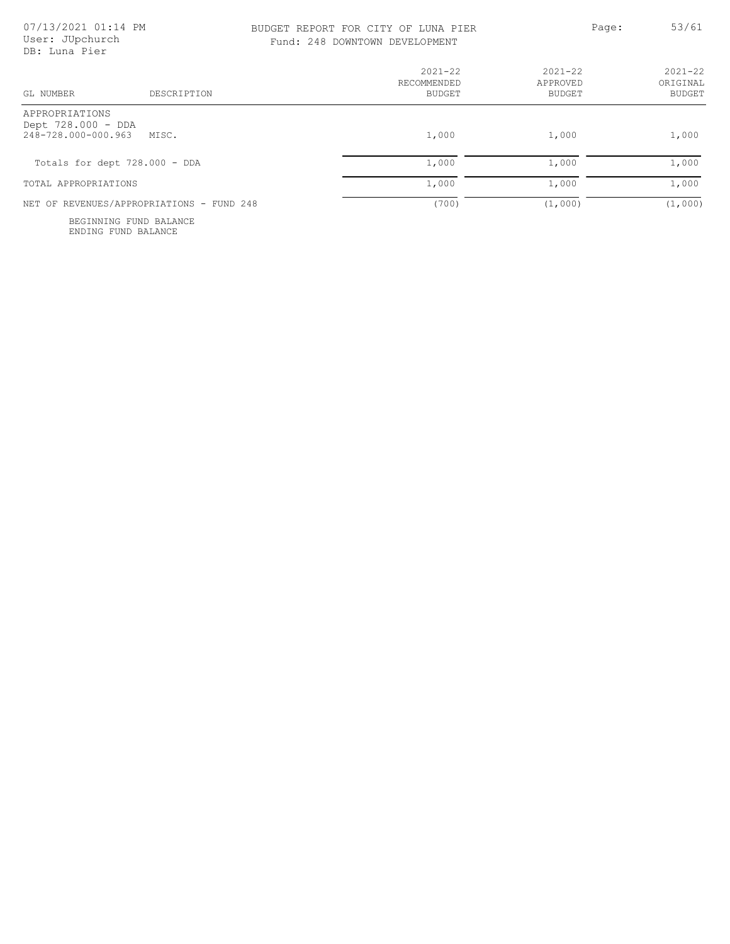### BUDGET REPORT FOR CITY OF LUNA PIER Page: 53/61 Fund:

|  |  |  | : 248 DOWNTOWN DEVELOPMENT |  |
|--|--|--|----------------------------|--|
|--|--|--|----------------------------|--|

| GL NUMBER<br>DESCRIPTION                                             | $2021 - 22$<br>RECOMMENDED<br><b>BUDGET</b> | $2021 - 22$<br>APPROVED<br>BUDGET | $2021 - 22$<br>ORIGINAL<br><b>BUDGET</b> |
|----------------------------------------------------------------------|---------------------------------------------|-----------------------------------|------------------------------------------|
| APPROPRIATIONS<br>Dept 728.000 - DDA<br>248-728.000-000.963<br>MTSC. | 1,000                                       | 1,000                             | 1,000                                    |
| Totals for dept 728.000 - DDA                                        | 1,000                                       | 1,000                             | 1,000                                    |
| TOTAL APPROPRIATIONS                                                 | 1,000                                       | 1,000                             | 1,000                                    |
| NET OF REVENUES/APPROPRIATIONS - FUND 248                            | (700)                                       | (1,000)                           | (1,000)                                  |

ENDING FUND BALANCE BEGINNING FUND BALANCE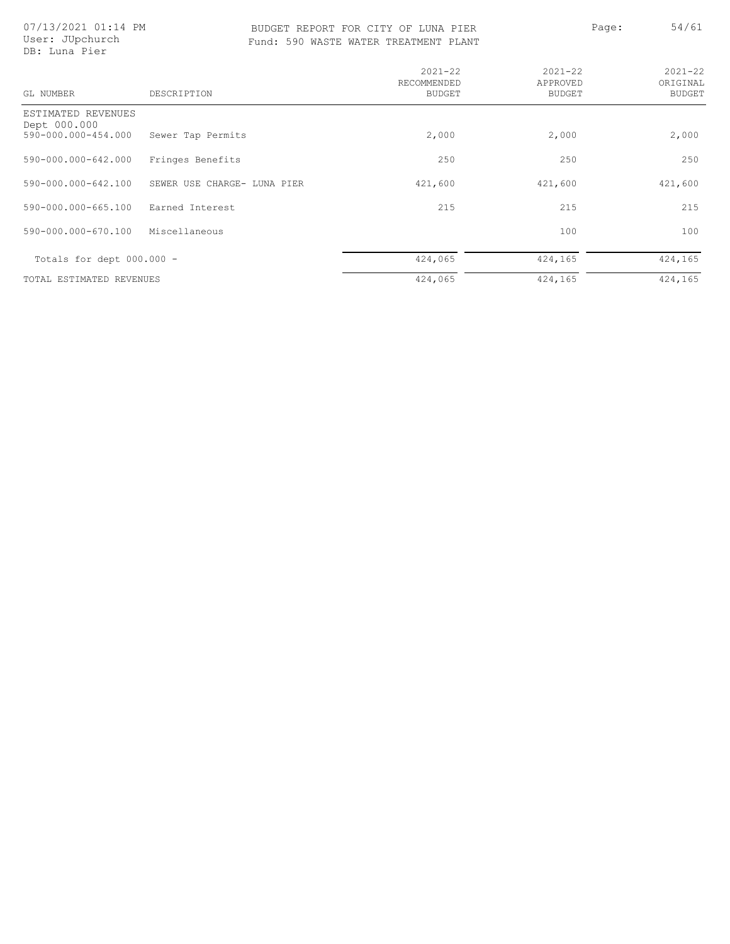07/13/2021 01:14 PM User: JUpchurch DB: Luna Pier

### BUDGET REPORT FOR CITY OF LUNA PIER PAGE: 54/61 Fund: 590 WASTE WATER TREATMENT PLANT

|  |  |  | 0 WASTE WATER TREATMENT PLANT |  |  |
|--|--|--|-------------------------------|--|--|
|--|--|--|-------------------------------|--|--|

| ie: |  | 54/61 |  |
|-----|--|-------|--|
|     |  |       |  |

| GL NUMBER                                                 | DESCRIPTION                 | $2021 - 22$<br>RECOMMENDED<br>BUDGET | $2021 - 22$<br>APPROVED<br>BUDGET | $2021 - 22$<br>ORIGINAL<br><b>BUDGET</b> |
|-----------------------------------------------------------|-----------------------------|--------------------------------------|-----------------------------------|------------------------------------------|
| ESTIMATED REVENUES<br>Dept 000.000<br>590-000.000-454.000 | Sewer Tap Permits           | 2,000                                | 2,000                             | 2,000                                    |
| 590-000.000-642.000                                       | Fringes Benefits            | 250                                  | 250                               | 250                                      |
| 590-000.000-642.100                                       | SEWER USE CHARGE- LUNA PIER | 421,600                              | 421,600                           | 421,600                                  |
| 590-000.000-665.100                                       | Earned Interest             | 215                                  | 215                               | 215                                      |
| 590-000.000-670.100                                       | Miscellaneous               |                                      | 100                               | 100                                      |
| Totals for dept $000.000 -$                               |                             | 424,065                              | 424,165                           | 424,165                                  |
| TOTAL ESTIMATED REVENUES                                  |                             | 424,065                              | 424,165                           | 424,165                                  |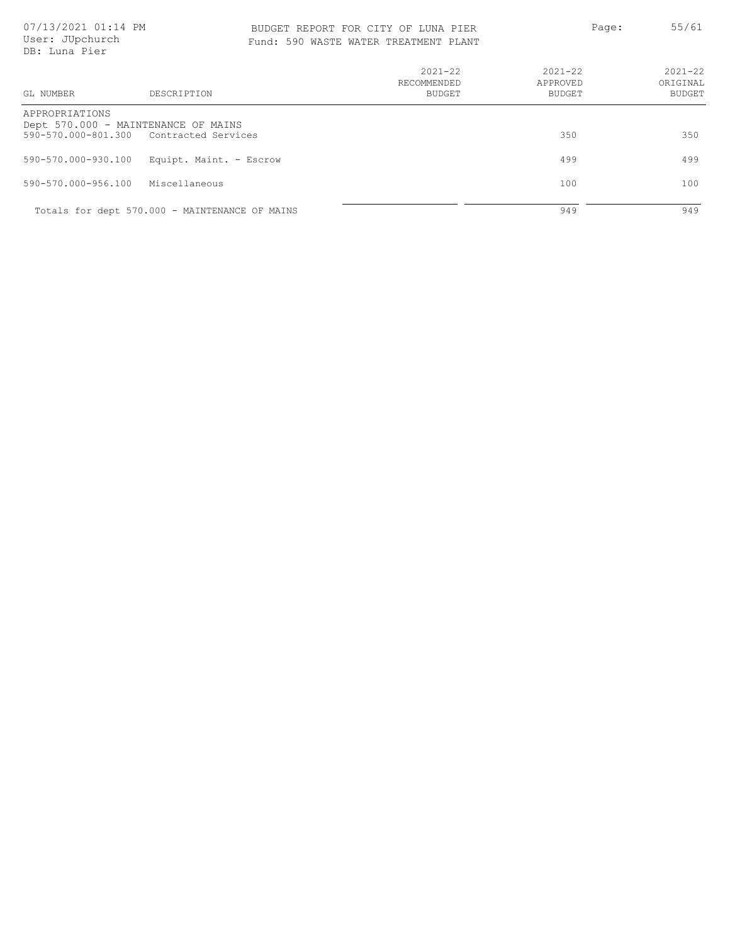| GL NUMBER           | DESCRIPTION                                    | $2021 - 22$<br>RECOMMENDED<br>BUDGET | $2021 - 22$<br>APPROVED<br>BUDGET | $2021 - 22$<br>ORIGINAL<br><b>BUDGET</b> |
|---------------------|------------------------------------------------|--------------------------------------|-----------------------------------|------------------------------------------|
| APPROPRIATIONS      |                                                |                                      |                                   |                                          |
|                     | Dept 570.000 - MAINTENANCE OF MAINS            |                                      |                                   |                                          |
|                     | 590-570.000-801.300 Contracted Services        |                                      | 350                               | 350                                      |
| 590-570.000-930.100 | Equipt, Maint, - Escrow                        |                                      | 499                               | 499                                      |
|                     |                                                |                                      |                                   |                                          |
| 590-570.000-956.100 | Miscellaneous                                  |                                      | 100                               | 100                                      |
|                     |                                                |                                      |                                   |                                          |
|                     | Totals for dept 570.000 - MAINTENANCE OF MAINS |                                      | 949                               | 949                                      |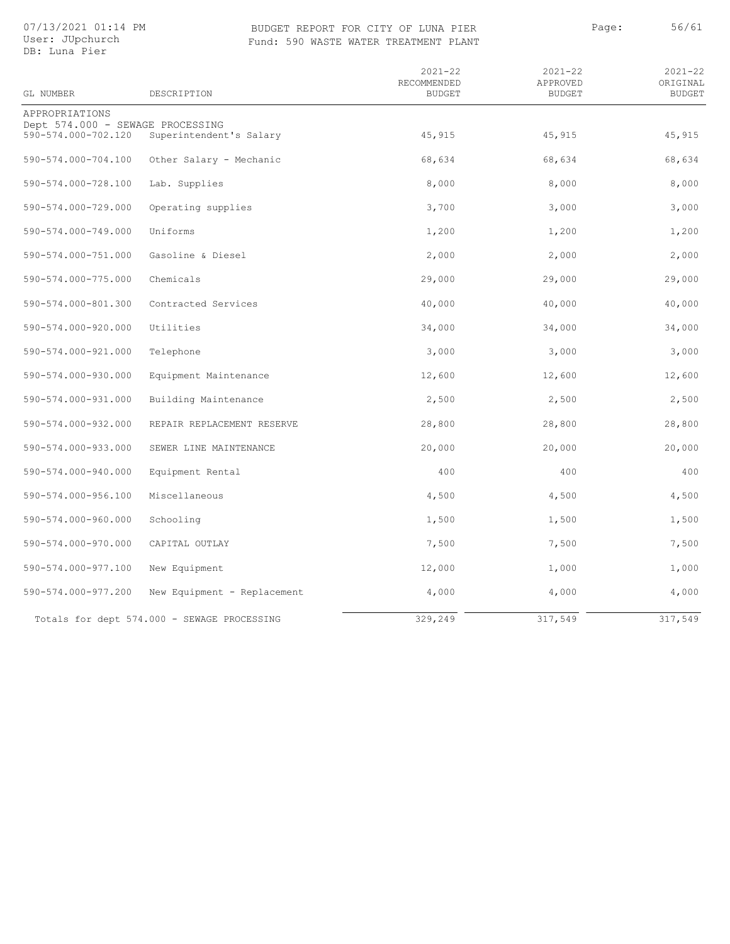### 07/13/2021 01:14 PM User: JUpchurch

### BUDGET REPORT FOR CITY OF LUNA PIER Page: 56/61 Fund: 590 WASTE WATER TREATMENT PLANT

| DB: Luna Pier                                           |                             |                                             |                                          |                                          |
|---------------------------------------------------------|-----------------------------|---------------------------------------------|------------------------------------------|------------------------------------------|
| GL NUMBER                                               | DESCRIPTION                 | $2021 - 22$<br>RECOMMENDED<br><b>BUDGET</b> | $2021 - 22$<br>APPROVED<br><b>BUDGET</b> | $2021 - 22$<br>ORIGINAL<br><b>BUDGET</b> |
| APPROPRIATIONS                                          |                             |                                             |                                          |                                          |
| Dept 574.000 - SEWAGE PROCESSING<br>590-574.000-702.120 | Superintendent's Salary     | 45,915                                      | 45,915                                   | 45,915                                   |
| 590-574.000-704.100                                     | Other Salary - Mechanic     | 68,634                                      | 68,634                                   | 68,634                                   |
| 590-574.000-728.100                                     | Lab. Supplies               | 8,000                                       | 8,000                                    | 8,000                                    |
| 590-574.000-729.000                                     | Operating supplies          | 3,700                                       | 3,000                                    | 3,000                                    |
| 590-574.000-749.000                                     | Uniforms                    | 1,200                                       | 1,200                                    | 1,200                                    |
| 590-574.000-751.000                                     | Gasoline & Diesel           | 2,000                                       | 2,000                                    | 2,000                                    |
| 590-574.000-775.000                                     | Chemicals                   | 29,000                                      | 29,000                                   | 29,000                                   |
| 590-574.000-801.300                                     | Contracted Services         | 40,000                                      | 40,000                                   | 40,000                                   |
| 590-574.000-920.000                                     | Utilities                   | 34,000                                      | 34,000                                   | 34,000                                   |
| 590-574.000-921.000                                     | Telephone                   | 3,000                                       | 3,000                                    | 3,000                                    |
| 590-574.000-930.000                                     | Equipment Maintenance       | 12,600                                      | 12,600                                   | 12,600                                   |
| 590-574.000-931.000                                     | Building Maintenance        | 2,500                                       | 2,500                                    | 2,500                                    |
| 590-574.000-932.000                                     | REPAIR REPLACEMENT RESERVE  | 28,800                                      | 28,800                                   | 28,800                                   |
| 590-574.000-933.000                                     | SEWER LINE MAINTENANCE      | 20,000                                      | 20,000                                   | 20,000                                   |
| 590-574.000-940.000                                     | Equipment Rental            | 400                                         | 400                                      | 400                                      |
| 590-574.000-956.100                                     | Miscellaneous               | 4,500                                       | 4,500                                    | 4,500                                    |
| 590-574.000-960.000                                     | Schooling                   | 1,500                                       | 1,500                                    | 1,500                                    |
| 590-574.000-970.000                                     | CAPITAL OUTLAY              | 7,500                                       | 7,500                                    | 7,500                                    |
| 590-574.000-977.100                                     | New Equipment               | 12,000                                      | 1,000                                    | 1,000                                    |
| 590-574.000-977.200                                     | New Equipment - Replacement | 4,000                                       | 4,000                                    | 4,000                                    |
|                                                         |                             |                                             |                                          |                                          |

Totals for dept 574.000 - SEWAGE PROCESSING 329,249 317,549 317,549 317,549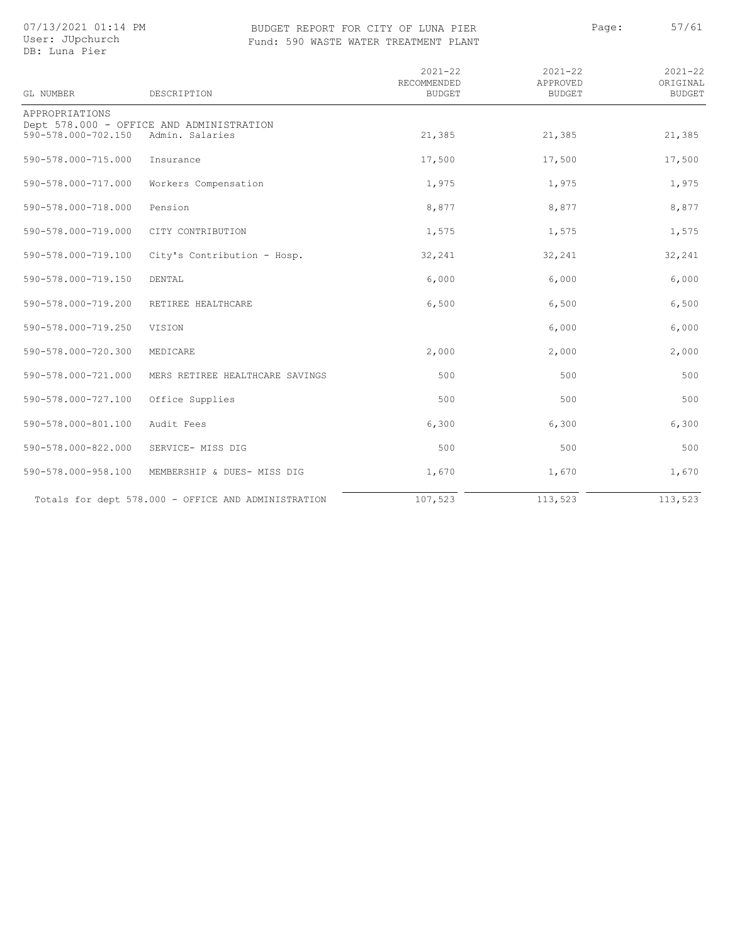### 07/13/2021 01:14 PM User: JUpchurch

### BUDGET REPORT FOR CITY OF LUNA PIER PAGE: 57/61 Fund: 590 WASTE WATER TREATMENT PLANT

|  | OUGL. OURGHALG |
|--|----------------|
|  | DB: Luna Pier  |

| GL NUMBER           | DESCRIPTION                                                 | $2021 - 22$<br>RECOMMENDED<br><b>BUDGET</b> | $2021 - 22$<br>APPROVED<br><b>BUDGET</b> | $2021 - 22$<br>ORIGINAL<br><b>BUDGET</b> |
|---------------------|-------------------------------------------------------------|---------------------------------------------|------------------------------------------|------------------------------------------|
| APPROPRIATIONS      |                                                             |                                             |                                          |                                          |
| 590-578.000-702.150 | Dept 578.000 - OFFICE AND ADMINISTRATION<br>Admin. Salaries | 21,385                                      | 21,385                                   | 21,385                                   |
| 590-578.000-715.000 | Insurance                                                   | 17,500                                      | 17,500                                   | 17,500                                   |
| 590-578.000-717.000 | Workers Compensation                                        | 1,975                                       | 1,975                                    | 1,975                                    |
| 590-578.000-718.000 | Pension                                                     | 8,877                                       | 8,877                                    | 8,877                                    |
| 590-578.000-719.000 | CITY CONTRIBUTION                                           | 1,575                                       | 1,575                                    | 1,575                                    |
| 590-578.000-719.100 | City's Contribution - Hosp.                                 | 32,241                                      | 32,241                                   | 32,241                                   |
| 590-578.000-719.150 | DENTAL                                                      | 6,000                                       | 6,000                                    | 6,000                                    |
| 590-578.000-719.200 | RETIREE HEALTHCARE                                          | 6,500                                       | 6,500                                    | 6,500                                    |
| 590-578.000-719.250 | VISION                                                      |                                             | 6,000                                    | 6,000                                    |
| 590-578.000-720.300 | MEDICARE                                                    | 2,000                                       | 2,000                                    | 2,000                                    |
| 590-578.000-721.000 | MERS RETIREE HEALTHCARE SAVINGS                             | 500                                         | 500                                      | 500                                      |
| 590-578.000-727.100 | Office Supplies                                             | 500                                         | 500                                      | 500                                      |
| 590-578.000-801.100 | Audit Fees                                                  | 6,300                                       | 6,300                                    | 6,300                                    |
| 590-578.000-822.000 | SERVICE- MISS DIG                                           | 500                                         | 500                                      | 500                                      |
| 590-578.000-958.100 | MEMBERSHIP & DUES- MISS DIG                                 | 1,670                                       | 1,670                                    | 1,670                                    |
|                     | Totals for dept 578.000 - OFFICE AND ADMINISTRATION         | 107,523                                     | 113,523                                  | 113,523                                  |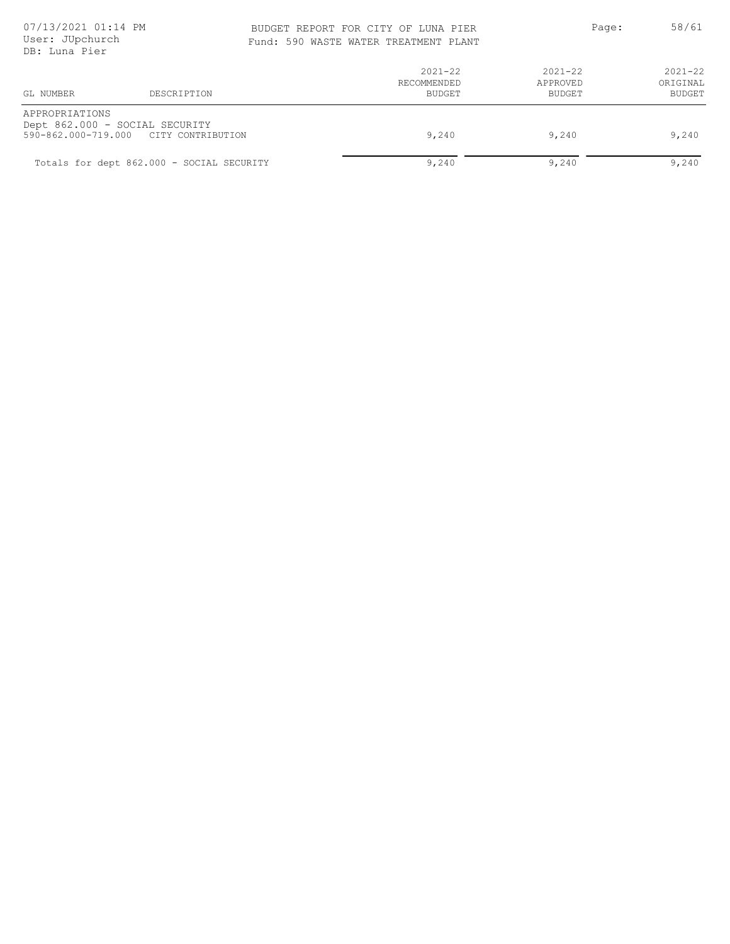### BUDGET REPORT FOR CITY OF LUNA PIER PAGE: 58/61 Fund: 590 WASTE WATER TREATMENT PLANT

|  |  |  | 590 WASTE WATER TREATMENT PLANT |  |  |
|--|--|--|---------------------------------|--|--|
|--|--|--|---------------------------------|--|--|

|  |  | 58/6. |  |
|--|--|-------|--|
|  |  |       |  |
|  |  |       |  |

| GL NUMBER      | DESCRIPTION                                                             | $2021 - 22$<br>RECOMMENDED<br>BUDGET | $2021 - 22$<br>APPROVED<br>BUDGET | $2021 - 22$<br>ORIGINAL<br>BUDGET |  |
|----------------|-------------------------------------------------------------------------|--------------------------------------|-----------------------------------|-----------------------------------|--|
| APPROPRIATIONS | Dept 862.000 - SOCIAL SECURITY<br>590-862.000-719.000 CITY CONTRIBUTION | 9,240                                | 9,240                             | 9,240                             |  |
|                | Totals for dept 862.000 - SOCIAL SECURITY                               | 9,240                                | 9,240                             | 9,240                             |  |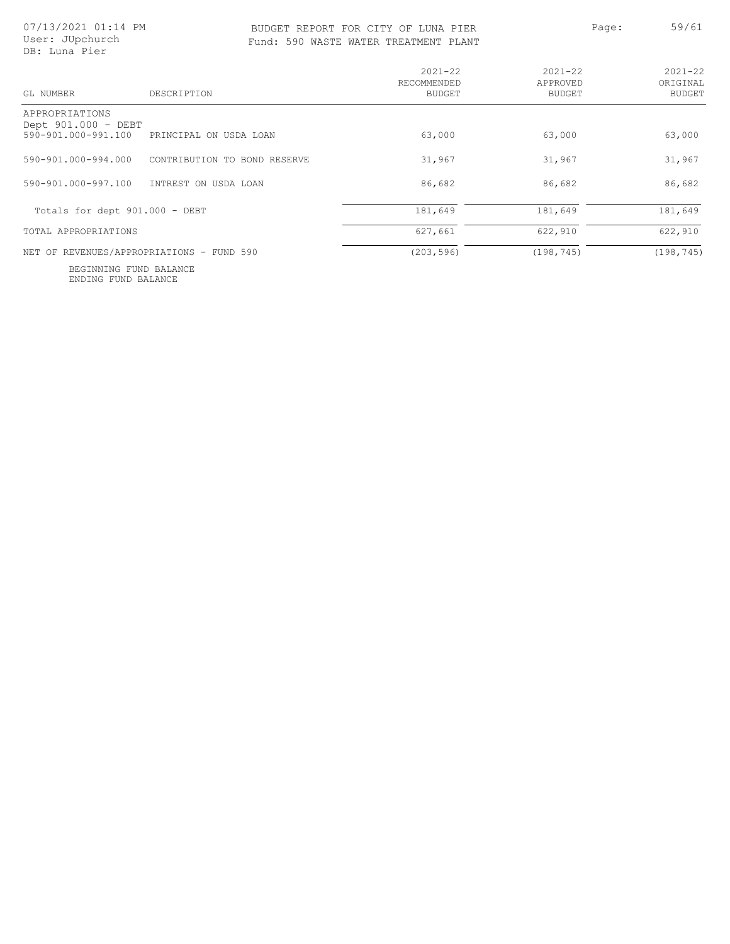### BUDGET REPORT FOR CITY OF LUNA PIER Page: 59/61 Fund:

|  |  |  | 590 WASTE WATER TREATMENT PLANT |  |  |
|--|--|--|---------------------------------|--|--|
|--|--|--|---------------------------------|--|--|

| DB: Luna Pier                                                |                              |                                             |                                          |                                          |
|--------------------------------------------------------------|------------------------------|---------------------------------------------|------------------------------------------|------------------------------------------|
| GL NUMBER                                                    | DESCRIPTION                  | $2021 - 22$<br>RECOMMENDED<br><b>BUDGET</b> | $2021 - 22$<br>APPROVED<br><b>BUDGET</b> | $2021 - 22$<br>ORIGINAL<br><b>BUDGET</b> |
| APPROPRIATIONS<br>Dept 901.000 - DEBT<br>590-901.000-991.100 | PRINCIPAL ON USDA LOAN       | 63,000                                      | 63,000                                   | 63,000                                   |
| 590-901.000-994.000                                          | CONTRIBUTION TO BOND RESERVE | 31,967                                      | 31,967                                   | 31,967                                   |
| 590-901.000-997.100                                          | INTREST ON USDA LOAN         | 86,682                                      | 86,682                                   | 86,682                                   |
| Totals for dept 901.000 - DEBT                               |                              | 181,649                                     | 181,649                                  | 181,649                                  |
| TOTAL APPROPRIATIONS                                         |                              | 627,661                                     | 622,910                                  | 622,910                                  |
| NET OF REVENUES/APPROPRIATIONS - FUND 590                    |                              | (203, 596)                                  | (198, 745)                               | (198, 745)                               |

ENDING FUND BALANCE BEGINNING FUND BALANCE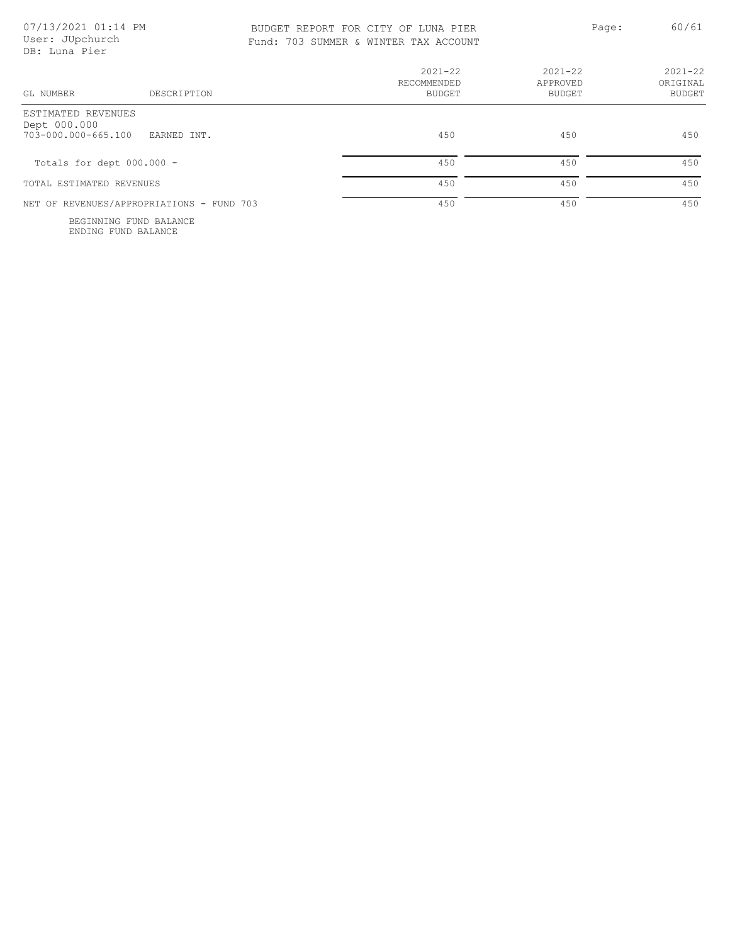| 07/13/2021 01:14 PM |  |
|---------------------|--|
| User: JUpchurch     |  |
| DB: Luna Pier       |  |
|                     |  |

 $DB:$ 

| GL NUMBER<br>DESCRIPTION                                                 | $2021 - 22$<br>RECOMMENDED<br><b>BUDGET</b> | $2021 - 22$<br>APPROVED<br>BUDGET | $2021 - 22$<br>ORIGINAL<br><b>BUDGET</b> |
|--------------------------------------------------------------------------|---------------------------------------------|-----------------------------------|------------------------------------------|
| ESTIMATED REVENUES<br>Dept 000.000<br>703-000.000-665.100<br>EARNED INT. | 450                                         | 450                               | 450                                      |
| Totals for dept $000.000 -$                                              | 450                                         | 450                               | 450                                      |
| TOTAL ESTIMATED REVENUES                                                 | 450                                         | 450                               | 450                                      |
| NET OF REVENUES/APPROPRIATIONS - FUND 703                                | 450                                         | 450                               | 450                                      |

ENDING FUND BALANCE BEGINNING FUND BALANCE